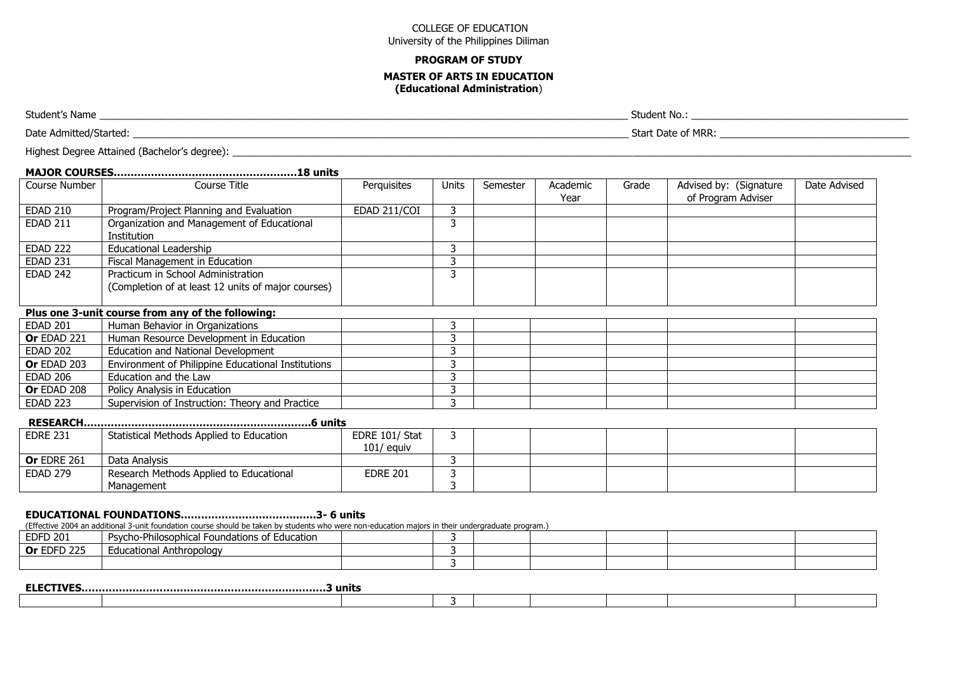### **PROGRAM OF STUDY MASTER OF ARTS IN EDUCATION (Educational Administration**)

Student's Name \_\_\_\_\_\_\_\_\_\_\_\_\_\_\_\_\_\_\_\_\_\_\_\_\_\_\_\_\_\_\_\_\_\_\_\_\_\_\_\_\_\_\_\_\_\_\_\_\_\_\_\_\_\_\_\_\_\_\_\_\_\_\_\_\_\_\_\_\_\_\_\_\_\_\_\_\_\_\_\_\_\_\_\_\_\_\_\_\_\_\_\_\_\_\_ Student No.: \_\_\_\_\_\_\_\_\_\_\_\_\_\_\_\_\_\_\_\_\_\_\_\_\_\_\_\_\_\_\_\_\_\_\_\_\_\_\_

Date Admitted/Started: www.community.community.community.community.community.community.community.community.community.community.community.community.community.community.community.community.community.community.community.commu

Highest Degree Attained (Bachelor's degree): \_\_\_\_\_\_\_\_\_\_\_\_\_\_\_\_\_\_\_\_\_\_\_\_\_\_\_\_\_\_\_\_\_\_\_\_\_\_\_\_\_\_\_\_\_\_\_\_\_\_\_\_\_\_\_\_\_\_\_\_\_\_\_\_\_\_\_\_\_\_\_\_\_\_\_\_\_\_\_\_\_\_\_\_\_\_\_\_\_\_\_\_\_\_\_\_\_\_\_\_\_\_\_\_\_\_\_\_\_\_\_\_\_\_\_\_\_\_\_\_\_\_

| Course Number      | Course Title                                                                             | Perquisites  | <b>Units</b> | Semester | Academic<br>Year | Grade | Advised by: (Signature<br>of Program Adviser | Date Advised |  |  |  |
|--------------------|------------------------------------------------------------------------------------------|--------------|--------------|----------|------------------|-------|----------------------------------------------|--------------|--|--|--|
| <b>EDAD 210</b>    | Program/Project Planning and Evaluation                                                  | EDAD 211/COI |              |          |                  |       |                                              |              |  |  |  |
| <b>EDAD 211</b>    | Organization and Management of Educational<br>Institution                                |              | 3            |          |                  |       |                                              |              |  |  |  |
| <b>EDAD 222</b>    | <b>Educational Leadership</b>                                                            |              | 3            |          |                  |       |                                              |              |  |  |  |
| <b>EDAD 231</b>    | Fiscal Management in Education                                                           |              |              |          |                  |       |                                              |              |  |  |  |
| <b>EDAD 242</b>    | Practicum in School Administration<br>(Completion of at least 12 units of major courses) |              | 3            |          |                  |       |                                              |              |  |  |  |
|                    | Plus one 3-unit course from any of the following:                                        |              |              |          |                  |       |                                              |              |  |  |  |
| EDAD 201           | Human Behavior in Organizations                                                          |              |              |          |                  |       |                                              |              |  |  |  |
| <b>Or EDAD 221</b> | Human Resource Development in Education                                                  |              |              |          |                  |       |                                              |              |  |  |  |
| <b>EDAD 202</b>    | Education and National Development                                                       |              |              |          |                  |       |                                              |              |  |  |  |
| Or EDAD 203        | Environment of Philippine Educational Institutions                                       |              |              |          |                  |       |                                              |              |  |  |  |
| <b>EDAD 206</b>    | Education and the Law                                                                    |              |              |          |                  |       |                                              |              |  |  |  |
| Or EDAD 208        | Policy Analysis in Education                                                             |              |              |          |                  |       |                                              |              |  |  |  |
| <b>EDAD 223</b>    | Supervision of Instruction: Theory and Practice                                          |              |              |          |                  |       |                                              |              |  |  |  |

# **RESEARCH………………………………………………………….6 units**

| <b>EDRE 231</b>    | Statistical Methods Applied to Education | EDRE 101/ Stat  |  |  |  |
|--------------------|------------------------------------------|-----------------|--|--|--|
|                    |                                          | $101/$ equiv    |  |  |  |
| <b>Or EDRE 261</b> | Data Analysis                            |                 |  |  |  |
| EDAD 279           | Research Methods Applied to Educational  | <b>EDRE 201</b> |  |  |  |
|                    | <b>Management</b>                        |                 |  |  |  |

### **EDUCATIONAL FOUNDATIONS………………………………….3- 6 units**

(Effective 2004 an additional 3-unit foundation course should be taken by students who were non-education majors in their undergraduate program.)

| <b>EDFD 201</b>    | $\sim$ $\sim$ $\sim$ $\sim$<br>l Foundations of Education<br>ilosophical<br>Psycho-Pr |  |  |  |  |
|--------------------|---------------------------------------------------------------------------------------|--|--|--|--|
| <b>Or EDFD 225</b> | Jucational Anthropology                                                               |  |  |  |  |
|                    |                                                                                       |  |  |  |  |

| <b>ELECTIVES</b> |  |  |  |  |
|------------------|--|--|--|--|
|                  |  |  |  |  |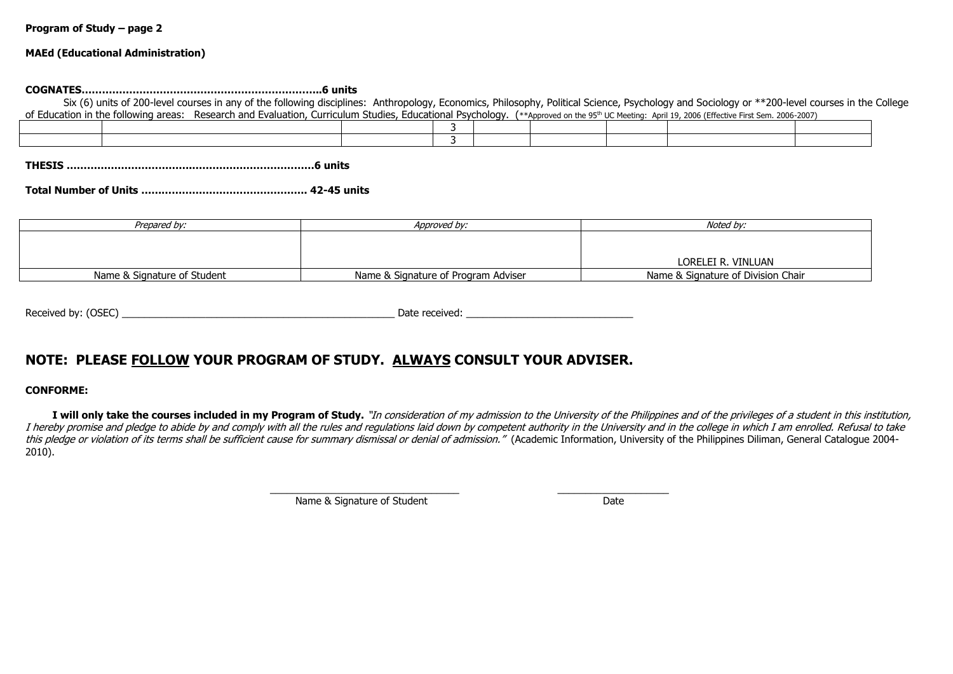#### **MAEd (Educational Administration)**

#### **COGNATES……………………………………………………………..6 units**

 Six (6) units of 200-level courses in any of the following disciplines: Anthropology, Economics, Philosophy, Political Science, Psychology and Sociology or \*\*200-level courses in the College of Education in the following areas: Research and Evaluation, Curriculum Studies, Educational Psychology, (\*\*Approved on the 95<sup>th</sup> UC Meeting: April 19, 2006 (Effective First Sem. 2006-2007)

**THESIS ……………………………….………………………………6 units**

**Total Number of Units …………………………………………. 42-45 units**

| Prepared by:                | Approved by:                        | Noted by:                          |
|-----------------------------|-------------------------------------|------------------------------------|
|                             |                                     |                                    |
|                             |                                     |                                    |
|                             |                                     | LORELEI R. VINLUAN                 |
| Name & Signature of Student | Name & Signature of Program Adviser | Name & Signature of Division Chair |

| (OSEC)<br>Received by: | Date received: |
|------------------------|----------------|
|                        |                |

# **NOTE: PLEASE FOLLOW YOUR PROGRAM OF STUDY. ALWAYS CONSULT YOUR ADVISER.**

#### **CONFORME:**

I will only take the courses included in my Program of Study. "In consideration of my admission to the University of the Philippines and of the privileges of a student in this institution, I hereby promise and pledge to abide by and comply with all the rules and regulations laid down by competent authority in the University and in the college in which I am enrolled. Refusal to take this pledge or violation of its terms shall be sufficient cause for summary dismissal or denial of admission." (Academic Information, University of the Philippines Diliman, General Catalogue 2004-2010).

> \_\_\_\_\_\_\_\_\_\_\_\_\_\_\_\_\_\_\_\_\_\_\_\_\_\_\_\_\_\_\_\_\_\_ \_\_\_\_\_\_\_\_\_\_\_\_\_\_\_\_\_\_\_\_ Name & Signature of Student Date Date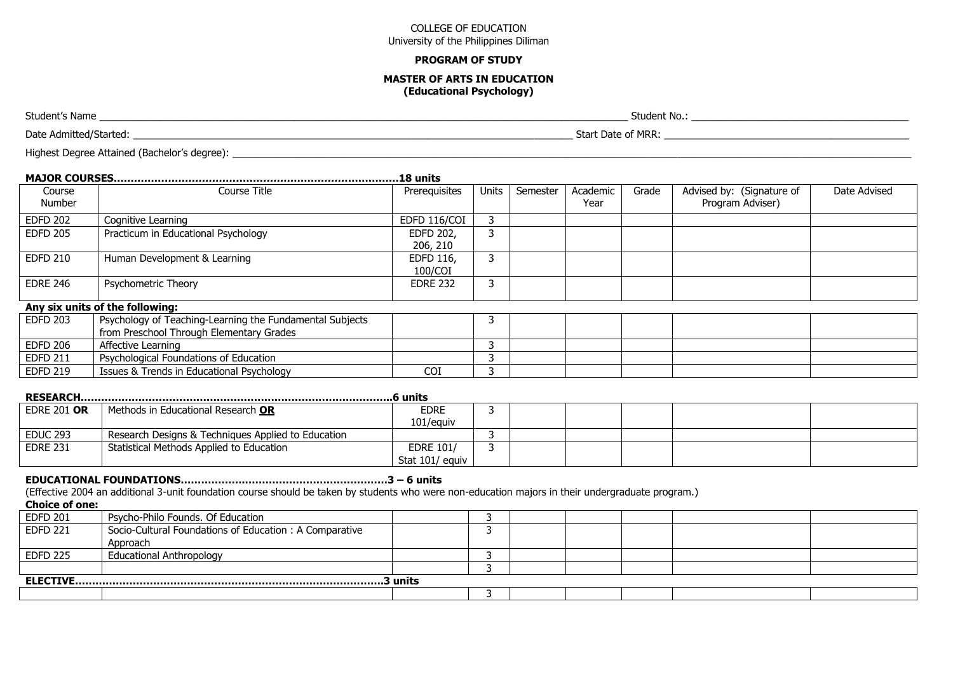#### **PROGRAM OF STUDY**

#### **MASTER OF ARTS IN EDUCATION (Educational Psychology)**

Student's Name \_\_\_\_\_\_\_\_\_\_\_\_\_\_\_\_\_\_\_\_\_\_\_\_\_\_\_\_\_\_\_\_\_\_\_\_\_\_\_\_\_\_\_\_\_\_\_\_\_\_\_\_\_\_\_\_\_\_\_\_\_\_\_\_\_\_\_\_\_\_\_\_\_\_\_\_\_\_\_\_\_\_\_\_\_\_\_\_\_\_\_\_\_\_\_ Student No.: \_\_\_\_\_\_\_\_\_\_\_\_\_\_\_\_\_\_\_\_\_\_\_\_\_\_\_\_\_\_\_\_\_\_\_\_\_\_\_

Date Admitted/Started: www.community.community.community.community.community.community.community.community.community.community.community.community.community.community.community.community.community.community.community.commu

Highest Degree Attained (Bachelor's degree): \_\_\_\_\_\_\_\_\_\_\_\_\_\_\_\_\_\_\_\_\_\_\_\_\_\_\_\_\_\_\_\_\_\_\_\_\_\_\_\_\_\_\_\_\_\_\_\_\_\_\_\_\_\_\_\_\_\_\_\_\_\_\_\_\_\_\_\_\_\_\_\_\_\_\_\_\_\_\_\_\_\_\_\_\_\_\_\_\_\_\_\_\_\_\_\_\_\_\_\_\_\_\_\_\_\_\_\_\_\_\_\_\_\_\_\_\_\_\_\_\_\_

|                    |                                                                                                      | .18 units                           |       |          |                  |       |                                               |              |
|--------------------|------------------------------------------------------------------------------------------------------|-------------------------------------|-------|----------|------------------|-------|-----------------------------------------------|--------------|
| Course<br>Number   | Course Title                                                                                         | Prerequisites                       | Units | Semester | Academic<br>Year | Grade | Advised by: (Signature of<br>Program Adviser) | Date Advised |
| <b>EDFD 202</b>    | Cognitive Learning                                                                                   | EDFD 116/COI                        | 3     |          |                  |       |                                               |              |
| <b>EDFD 205</b>    | Practicum in Educational Psychology                                                                  | EDFD 202,<br>206, 210               | 3     |          |                  |       |                                               |              |
| <b>EDFD 210</b>    | Human Development & Learning                                                                         | EDFD 116,<br>100/COI                | 3     |          |                  |       |                                               |              |
| <b>EDRE 246</b>    | Psychometric Theory                                                                                  | <b>EDRE 232</b>                     | 3     |          |                  |       |                                               |              |
|                    | Any six units of the following:                                                                      |                                     |       |          |                  |       |                                               |              |
| <b>EDFD 203</b>    | Psychology of Teaching-Learning the Fundamental Subjects<br>from Preschool Through Elementary Grades |                                     | 3     |          |                  |       |                                               |              |
| <b>EDFD 206</b>    | Affective Learning                                                                                   |                                     | 3     |          |                  |       |                                               |              |
| <b>EDFD 211</b>    | Psychological Foundations of Education                                                               |                                     | ຳ     |          |                  |       |                                               |              |
| <b>EDFD 219</b>    | Issues & Trends in Educational Psychology                                                            | <b>COI</b>                          | 3     |          |                  |       |                                               |              |
|                    |                                                                                                      |                                     |       |          |                  |       |                                               |              |
| <b>EDRE 201 OR</b> | Methods in Educational Research OR                                                                   | <b>EDRE</b><br>101/equiv            | 3     |          |                  |       |                                               |              |
| <b>EDUC 293</b>    | Research Designs & Techniques Applied to Education                                                   |                                     | 3     |          |                  |       |                                               |              |
| <b>EDRE 231</b>    | Statistical Methods Applied to Education                                                             | <b>EDRE 101/</b><br>Stat 101/ equiv | 3     |          |                  |       |                                               |              |

#### **EDUCATIONAL FOUNDATIONS……………….……………………………………3 – 6 units**

(Effective 2004 an additional 3-unit foundation course should be taken by students who were non-education majors in their undergraduate program.)

**Choice of one:**

| <b>EDFD 201</b> | Psycho-Philo Founds. Of Education                      |  |  |  |  |  |  |  |
|-----------------|--------------------------------------------------------|--|--|--|--|--|--|--|
| <b>EDFD 221</b> | Socio-Cultural Foundations of Education: A Comparative |  |  |  |  |  |  |  |
|                 | Approach                                               |  |  |  |  |  |  |  |
| <b>EDFD 225</b> | <b>Educational Anthropology</b>                        |  |  |  |  |  |  |  |
|                 |                                                        |  |  |  |  |  |  |  |
|                 |                                                        |  |  |  |  |  |  |  |
|                 |                                                        |  |  |  |  |  |  |  |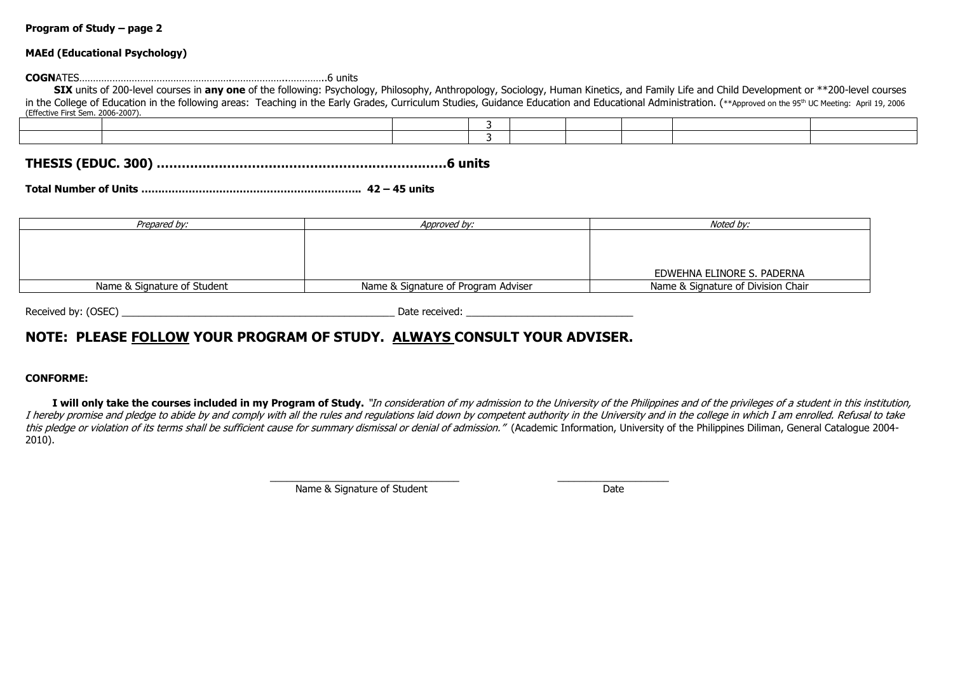#### **MAEd (Educational Psychology)**

**COGN**ATES……………………………………………….………………..…………..6 units **SIX** units of 200-level courses in **any one** of the following: Psychology, Philosophy, Anthropology, Sociology, Human Kinetics, and Family Life and Child Development or \*\*200-level courses

| in the College of Education in the following areas: Teaching in the Early Grades, Curriculum Studies, Guidance Education and Educational Administration. (**Approved on the 95 <sup>th</sup> UC Meeting: April 19, 2006<br>(Effective First Sem. 2006-2007). |  |  |  |  |  |  |  |  |  |
|--------------------------------------------------------------------------------------------------------------------------------------------------------------------------------------------------------------------------------------------------------------|--|--|--|--|--|--|--|--|--|
|                                                                                                                                                                                                                                                              |  |  |  |  |  |  |  |  |  |
|                                                                                                                                                                                                                                                              |  |  |  |  |  |  |  |  |  |

# **THESIS (EDUC. 300) ………….…………………………………………………6 units**

**Total Number of Units ……………………………………………………….. 42 – 45 units**

| Prepared by:                | Approved by:                        | Noted by:                          |
|-----------------------------|-------------------------------------|------------------------------------|
|                             |                                     |                                    |
|                             |                                     |                                    |
|                             |                                     |                                    |
|                             |                                     | EDWEHNA ELINORE S. PADERNA         |
| Name & Signature of Student | Name & Signature of Program Adviser | Name & Signature of Division Chair |

Received by: (OSEC) \_\_\_\_\_\_\_\_\_\_\_\_\_\_\_\_\_\_\_\_\_\_\_\_\_\_\_\_\_\_\_\_\_\_\_\_\_\_\_\_\_\_\_\_\_\_\_\_\_ Date received: \_\_\_\_\_\_\_\_\_\_\_\_\_\_\_\_\_\_\_\_\_\_\_\_\_\_\_\_\_\_

# **NOTE: PLEASE FOLLOW YOUR PROGRAM OF STUDY. ALWAYS CONSULT YOUR ADVISER.**

#### **CONFORME:**

I will only take the courses included in my Program of Study. "In consideration of my admission to the University of the Philippines and of the privileges of a student in this institution, I hereby promise and pledge to abide by and comply with all the rules and regulations laid down by competent authority in the University and in the college in which I am enrolled. Refusal to take this pledge or violation of its terms shall be sufficient cause for summary dismissal or denial of admission." (Academic Information, University of the Philippines Diliman, General Catalogue 2004-2010).

> \_\_\_\_\_\_\_\_\_\_\_\_\_\_\_\_\_\_\_\_\_\_\_\_\_\_\_\_\_\_\_\_\_\_ \_\_\_\_\_\_\_\_\_\_\_\_\_\_\_\_\_\_\_\_ Name & Signature of Student Date Date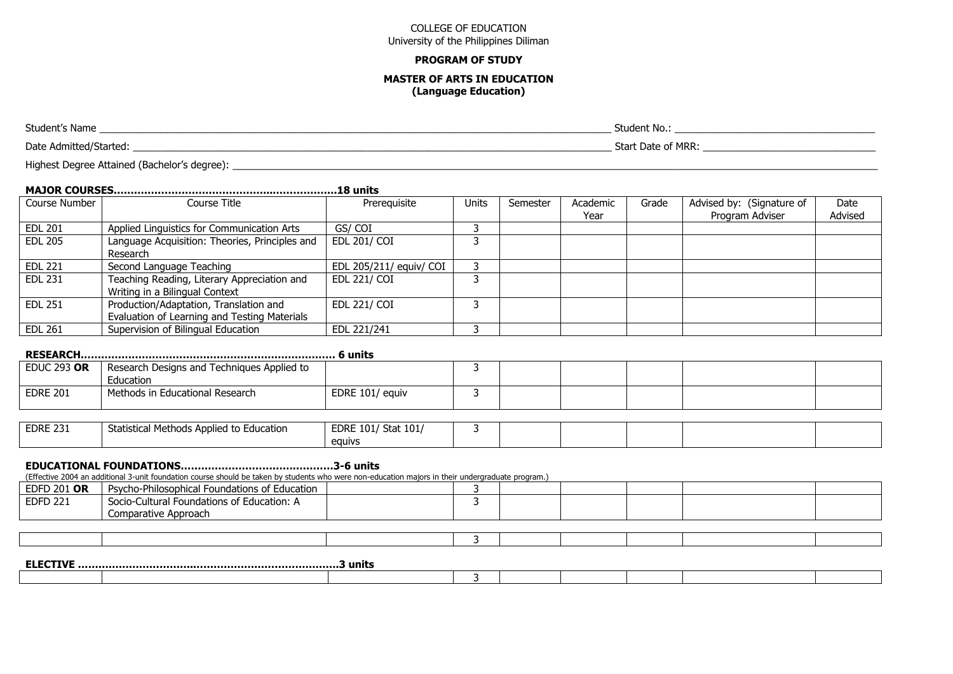#### **PROGRAM OF STUDY**

#### **MASTER OF ARTS IN EDUCATION (Language Education)**

Student's Name \_\_\_\_\_\_\_\_\_\_\_\_\_\_\_\_\_\_\_\_\_\_\_\_\_\_\_\_\_\_\_\_\_\_\_\_\_\_\_\_\_\_\_\_\_\_\_\_\_\_\_\_\_\_\_\_\_\_\_\_\_\_\_\_\_\_\_\_\_\_\_\_\_\_\_\_\_\_\_\_\_\_\_\_\_\_\_\_\_\_\_\_ Student No.: \_\_\_\_\_\_\_\_\_\_\_\_\_\_\_\_\_\_\_\_\_\_\_\_\_\_\_\_\_\_\_\_\_\_\_\_ Date Admitted/Started: with a start Date of MRR: Start Date of MRR: Start Date of MRR: Start Date of MRR: Start Date of MRR: Start Date of MRR: Start Date of MRR: Start Date of MRR: Start Date of MRR: Start Date of MRR: St

Highest Degree Attained (Bachelor's degree): \_\_\_\_\_\_\_\_\_\_\_\_\_\_\_\_\_\_\_\_\_\_\_\_\_\_\_\_\_\_\_\_\_\_\_\_\_\_\_\_\_\_\_\_\_\_\_\_\_\_\_\_\_\_\_\_\_\_\_\_\_\_\_\_\_\_\_\_\_\_\_\_\_\_\_\_\_\_\_\_\_\_\_\_\_\_\_\_\_\_\_\_\_\_\_\_\_\_\_\_\_\_\_\_\_\_\_\_\_\_\_\_\_\_\_\_

# **MAJOR COURSES………………………………………..……………….18 units**

| Course Number  | Course Title                                   | Prerequisite            | Units | Semester | Academic | Grade | Advised by: (Signature of | Date    |
|----------------|------------------------------------------------|-------------------------|-------|----------|----------|-------|---------------------------|---------|
|                |                                                |                         |       |          | Year     |       | Program Adviser           | Advised |
| <b>EDL 201</b> | Applied Linguistics for Communication Arts     | GS/COI                  |       |          |          |       |                           |         |
| <b>EDL 205</b> | Language Acquisition: Theories, Principles and | EDL 201/ COI            |       |          |          |       |                           |         |
|                | Research                                       |                         |       |          |          |       |                           |         |
| <b>EDL 221</b> | Second Language Teaching                       | EDL 205/211/ equiv/ COI |       |          |          |       |                           |         |
| EDL 231        | Teaching Reading, Literary Appreciation and    | EDL 221/ COI            |       |          |          |       |                           |         |
|                | Writing in a Bilingual Context                 |                         |       |          |          |       |                           |         |
| <b>EDL 251</b> | Production/Adaptation, Translation and         | EDL 221/ COI            |       |          |          |       |                           |         |
|                | Evaluation of Learning and Testing Materials   |                         |       |          |          |       |                           |         |
| <b>EDL 261</b> | Supervision of Bilingual Education             | EDL 221/241             |       |          |          |       |                           |         |

|                    | 6 units                                    |                 |  |  |  |  |  |  |
|--------------------|--------------------------------------------|-----------------|--|--|--|--|--|--|
| EDUC 293 <b>OR</b> | Research Designs and Techniques Applied to |                 |  |  |  |  |  |  |
|                    | Education                                  |                 |  |  |  |  |  |  |
| <b>EDRE 201</b>    | Methods in Educational Research            | EDRE 101/ equiv |  |  |  |  |  |  |

| <b>EDRE 231</b> | Statistical Methods Applied to Education | / Stat 101<br>EDRE 101/ |  |  |  |
|-----------------|------------------------------------------|-------------------------|--|--|--|
|                 |                                          | equivs                  |  |  |  |

#### **EDUCATIONAL FOUNDATIONS………………………………………3-6 units**

(Effective 2004 an additional 3-unit foundation course should be taken by students who were non-education majors in their undergraduate program.)

| <b>EDFD 201 OR</b> | Psycho-Philosophical<br>indations of Education.<br>– ⊢o <u>us</u><br>ט י       |  |  |  |  |
|--------------------|--------------------------------------------------------------------------------|--|--|--|--|
| <b>EDFD 221</b>    | $\sim$ $\sim$<br>` Education: .<br>Socio-Cultural<br>` Foundations oi<br>ี่ ี่ |  |  |  |  |
|                    | Comparative Approach                                                           |  |  |  |  |

| ----<br>- ELEJ<br>. .TTVF | } units |  |  |  |  |  |  |  |  |
|---------------------------|---------|--|--|--|--|--|--|--|--|
|                           |         |  |  |  |  |  |  |  |  |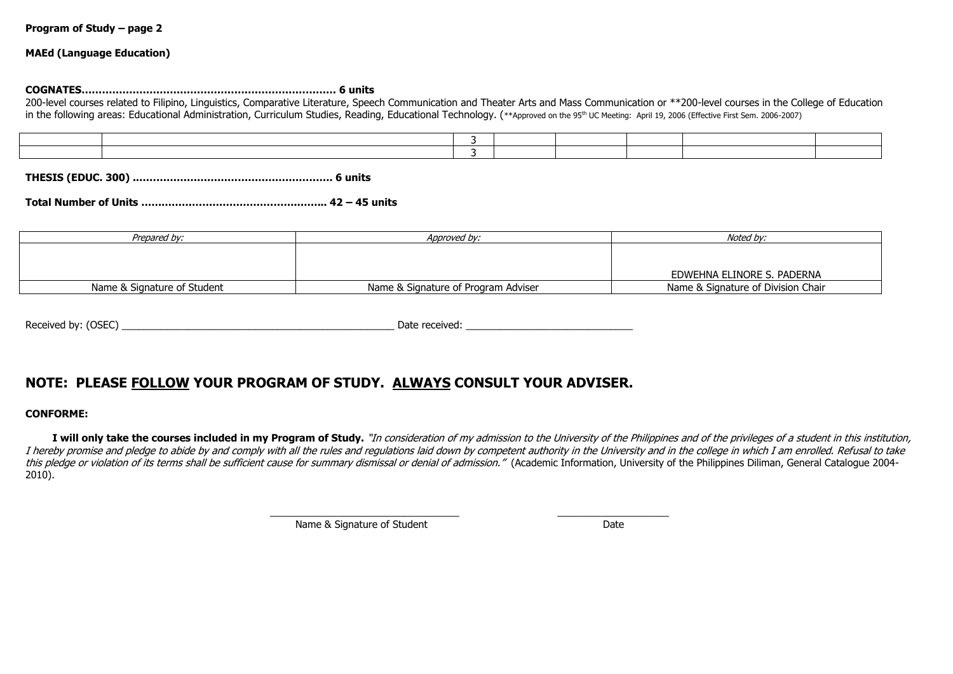#### **MAEd (Language Education)**

#### **COGNATES………………………………………………………………… 6 units**

200-level courses related to Filipino, Linguistics, Comparative Literature, Speech Communication and Theater Arts and Mass Communication or \*\*200-level courses in the College of Education in the following areas: Educational Administration, Curriculum Studies, Reading, Educational Technology, (\*\*Approved on the 95<sup>th</sup> UC Meeting: April 19, 2006 (Effective First Sem. 2006-2007)

**THESIS (EDUC. 300) .…………………………………………………. 6 units**

## **Total Number of Units ……………………………………….……... 42 – 45 units**

| Prepared by:                | Approved by:                        | Noted bv:                          |
|-----------------------------|-------------------------------------|------------------------------------|
|                             |                                     |                                    |
|                             |                                     |                                    |
|                             |                                     | EDWEHNA ELINORE S. PADERNA         |
| Name & Signature of Student | Name & Signature of Program Adviser | Name & Signature of Division Chair |

# **NOTE: PLEASE FOLLOW YOUR PROGRAM OF STUDY. ALWAYS CONSULT YOUR ADVISER.**

#### **CONFORME:**

I will only take the courses included in my Program of Study. "In consideration of my admission to the University of the Philippines and of the privileges of a student in this institution, I hereby promise and pledge to abide by and comply with all the rules and regulations laid down by competent authority in the University and in the college in which I am enrolled. Refusal to take this pledge or violation of its terms shall be sufficient cause for summary dismissal or denial of admission." (Academic Information, University of the Philippines Diliman, General Catalogue 2004-2010).

\_\_\_\_\_\_\_\_\_\_\_\_\_\_\_\_\_\_\_\_\_\_\_\_\_\_\_\_\_\_\_\_\_\_ \_\_\_\_\_\_\_\_\_\_\_\_\_\_\_\_\_\_\_\_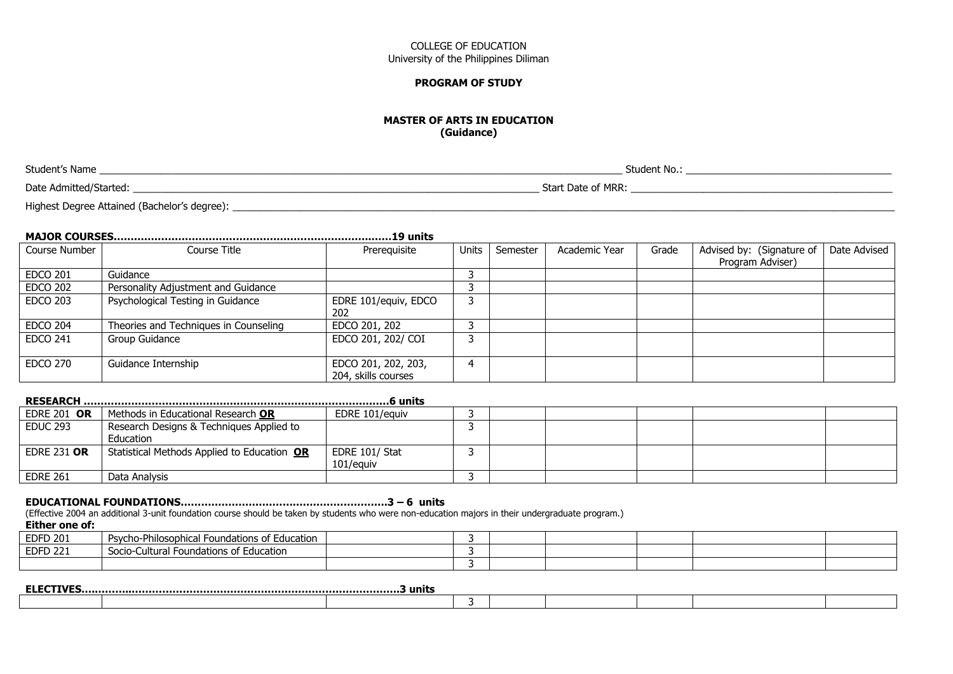#### **PROGRAM OF STUDY**

#### **MASTER OF ARTS IN EDUCATION (Guidance)**

Student's Name \_\_\_\_\_\_\_\_\_\_\_\_\_\_\_\_\_\_\_\_\_\_\_\_\_\_\_\_\_\_\_\_\_\_\_\_\_\_\_\_\_\_\_\_\_\_\_\_\_\_\_\_\_\_\_\_\_\_\_\_\_\_\_\_\_\_\_\_\_\_\_\_\_\_\_\_\_\_\_\_\_\_\_\_\_\_\_\_\_\_\_\_\_\_ Student No.: \_\_\_\_\_\_\_\_\_\_\_\_\_\_\_\_\_\_\_\_\_\_\_\_\_\_\_\_\_\_\_\_\_\_\_\_\_

Date Admitted/Started: \_\_\_\_\_\_\_\_\_\_\_\_\_\_\_\_\_\_\_\_\_\_\_\_\_\_\_\_\_\_\_\_\_\_\_\_\_\_\_\_\_\_\_\_\_\_\_\_\_\_\_\_\_\_\_\_\_\_\_\_\_\_\_\_\_\_\_\_\_\_\_\_\_ Start Date of MRR: \_\_\_\_\_\_\_\_\_\_\_\_\_\_\_\_\_\_\_\_\_\_\_\_\_\_\_\_\_\_\_\_\_\_\_\_\_\_\_\_\_\_\_\_\_\_\_

Highest Degree Attained (Bachelor's degree): \_\_\_\_\_\_\_\_\_\_\_\_\_\_\_\_\_\_\_\_\_\_\_\_\_\_\_\_\_\_\_\_\_\_\_\_\_\_\_\_\_\_\_\_\_\_\_\_\_\_\_\_\_\_\_\_\_\_\_\_\_\_\_\_\_\_\_\_\_\_\_\_\_\_\_\_\_\_\_\_\_\_\_\_\_\_\_\_\_\_\_\_\_\_\_\_\_\_\_\_\_\_\_\_\_\_\_\_\_\_\_\_\_\_\_\_\_\_\_

# **MAJOR COURSES………………………………………………………………….……19 units**

| Course Number   | Course Title                          | Prerequisite         | <b>Units</b> | Semester | Academic Year | Grade | Advised by: (Signature of | Date Advised |
|-----------------|---------------------------------------|----------------------|--------------|----------|---------------|-------|---------------------------|--------------|
|                 |                                       |                      |              |          |               |       | Program Adviser)          |              |
| <b>EDCO 201</b> | Guidance                              |                      |              |          |               |       |                           |              |
| <b>EDCO 202</b> | Personality Adjustment and Guidance   |                      |              |          |               |       |                           |              |
| <b>EDCO 203</b> | Psychological Testing in Guidance     | EDRE 101/equiv, EDCO |              |          |               |       |                           |              |
|                 |                                       | 202                  |              |          |               |       |                           |              |
| <b>EDCO 204</b> | Theories and Techniques in Counseling | EDCO 201, 202        |              |          |               |       |                           |              |
| <b>EDCO 241</b> | Group Guidance                        | EDCO 201, 202/ COI   |              |          |               |       |                           |              |
|                 |                                       |                      |              |          |               |       |                           |              |
| <b>EDCO 270</b> | Guidance Internship                   | EDCO 201, 202, 203,  | 4            |          |               |       |                           |              |
|                 |                                       | 204, skills courses  |              |          |               |       |                           |              |

|                    |                                             | …6 units       |  |  |  |
|--------------------|---------------------------------------------|----------------|--|--|--|
| <b>EDRE 201 OR</b> | Methods in Educational Research OR          | EDRE 101/eauiv |  |  |  |
| <b>EDUC 293</b>    | Research Designs & Techniques Applied to    |                |  |  |  |
|                    | Education                                   |                |  |  |  |
| <b>EDRE 231 OR</b> | Statistical Methods Applied to Education OR | EDRE 101/ Stat |  |  |  |
|                    |                                             | 101/equiv      |  |  |  |
| <b>EDRE 261</b>    | Data Analysis                               |                |  |  |  |

### **EDUCATIONAL FOUNDATIONS…………………………………………………….3 – 6 units**

(Effective 2004 an additional 3-unit foundation course should be taken by students who were non-education majors in their undergraduate program.)

### **Either one of:**

| <b>EDFD 201</b> | .<br><b>Psycho-Philosophical i</b><br>Foundations of Education  |  |  |  |
|-----------------|-----------------------------------------------------------------|--|--|--|
| <b>EDFD 221</b> | $\sim$ $ \cdot$<br>I Foundations of Education<br>Socio-Cultural |  |  |  |
|                 |                                                                 |  |  |  |

| .<br>----<br>гім<br>. EL N |  |  |  |  |
|----------------------------|--|--|--|--|
|                            |  |  |  |  |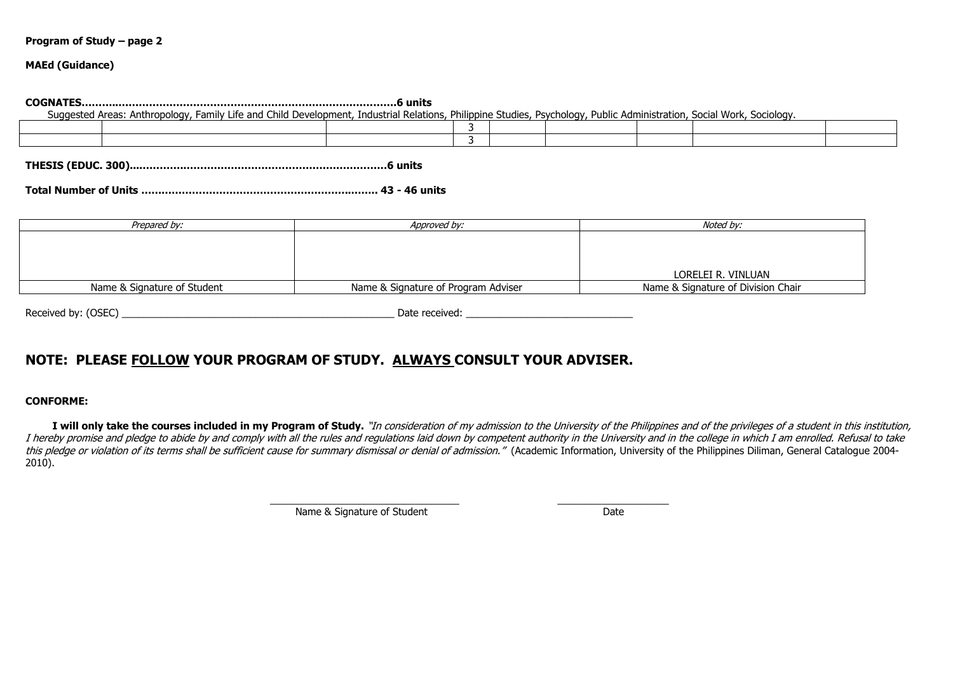#### **MAEd (Guidance)**

#### **COGNATES………..……………………………………………………………………….6 units**

Suggested Areas: Anthropology, Family Life and Child Development, Industrial Relations, Philippine Studies, Psychology, Public Administration, Social Work, Sociology.

**THESIS (EDUC. 300)...………….……………………………………………………6 units**

**Total Number of Units ……………………………………………………..…….. 43 - 46 units**

| Prepared by:                | Approved by:                        | Noted by:                          |
|-----------------------------|-------------------------------------|------------------------------------|
|                             |                                     |                                    |
|                             |                                     |                                    |
|                             |                                     |                                    |
|                             |                                     | LORELEI R. VINLUAN                 |
| Name & Signature of Student | Name & Signature of Program Adviser | Name & Signature of Division Chair |

Received by: (OSEC) example and the set of the set of the set of the set of the set of the set of the set of the set of the set of the set of the set of the set of the set of the set of the set of the set of the set of the

# **NOTE: PLEASE FOLLOW YOUR PROGRAM OF STUDY. ALWAYS CONSULT YOUR ADVISER.**

#### **CONFORME:**

I will only take the courses included in my Program of Study. "In consideration of my admission to the University of the Philippines and of the privileges of a student in this institution, I hereby promise and pledge to abide by and comply with all the rules and regulations laid down by competent authority in the University and in the college in which I am enrolled. Refusal to take this pledge or violation of its terms shall be sufficient cause for summary dismissal or denial of admission." (Academic Information, University of the Philippines Diliman, General Catalogue 2004-2010).

\_\_\_\_\_\_\_\_\_\_\_\_\_\_\_\_\_\_\_\_\_\_\_\_\_\_\_\_\_\_\_\_\_\_ \_\_\_\_\_\_\_\_\_\_\_\_\_\_\_\_\_\_\_\_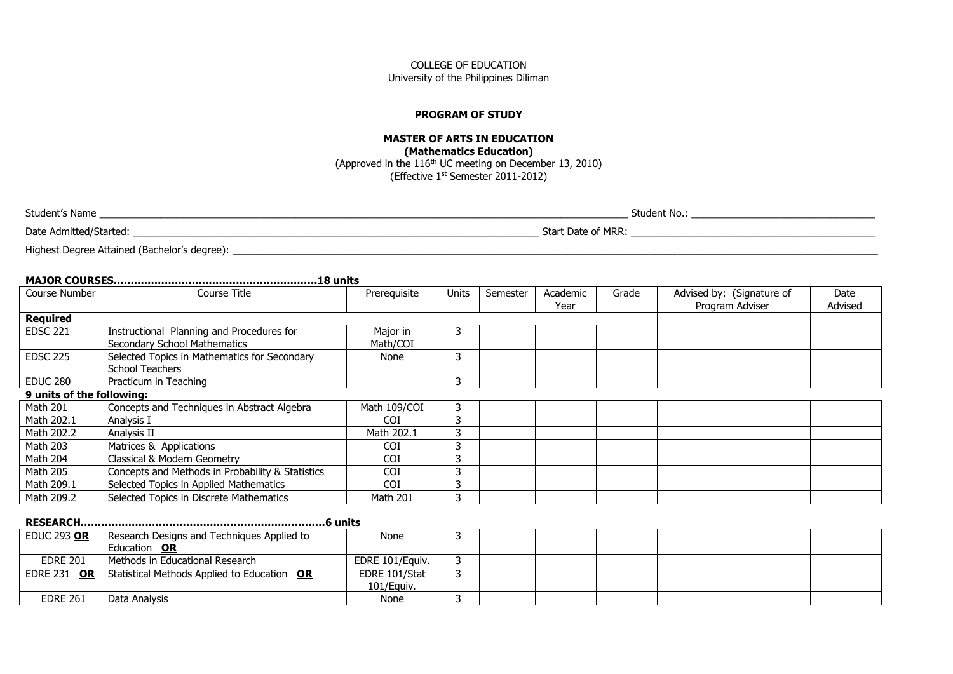#### **PROGRAM OF STUDY**

### **MASTER OF ARTS IN EDUCATION (Mathematics Education)** (Approved in the 116th UC meeting on December 13, 2010) (Effective 1st Semester 2011-2012)

| Student's Name         | Student No.:       |
|------------------------|--------------------|
| Date Admitted/Started: | Start Date of MRR: |

Highest Degree Attained (Bachelor's degree): \_\_\_\_\_\_\_\_\_\_\_\_\_\_\_\_\_\_\_\_\_\_\_\_\_\_\_\_\_\_\_\_\_\_\_\_\_\_\_\_\_\_\_\_\_\_\_\_\_\_\_\_\_\_\_\_\_\_\_\_\_\_\_\_\_\_\_\_\_\_\_\_\_\_\_\_\_\_\_\_\_\_\_\_\_\_\_\_\_\_\_\_\_\_\_\_\_\_\_\_\_\_\_\_\_\_\_\_\_\_\_\_\_\_\_\_

# **MAJOR COURSES……………………………………………………18 units**

| Course Number             | <b>Course Title</b>                              | Prerequisite | <b>Units</b> | Semester | Academic<br>Year | Grade | Advised by: (Signature of<br>Program Adviser | Date<br>Advised |
|---------------------------|--------------------------------------------------|--------------|--------------|----------|------------------|-------|----------------------------------------------|-----------------|
| <b>Required</b>           |                                                  |              |              |          |                  |       |                                              |                 |
| <b>EDSC 221</b>           | Instructional Planning and Procedures for        | Major in     |              |          |                  |       |                                              |                 |
|                           | <b>Secondary School Mathematics</b>              | Math/COI     |              |          |                  |       |                                              |                 |
| <b>EDSC 225</b>           | Selected Topics in Mathematics for Secondary     | None         |              |          |                  |       |                                              |                 |
|                           | <b>School Teachers</b>                           |              |              |          |                  |       |                                              |                 |
| <b>EDUC 280</b>           | Practicum in Teaching                            |              |              |          |                  |       |                                              |                 |
| 9 units of the following: |                                                  |              |              |          |                  |       |                                              |                 |
| <b>Math 201</b>           | Concepts and Techniques in Abstract Algebra      | Math 109/COI |              |          |                  |       |                                              |                 |
| Math 202.1                | Analysis I                                       | <b>COI</b>   |              |          |                  |       |                                              |                 |
| Math 202.2                | Analysis II                                      | Math 202.1   |              |          |                  |       |                                              |                 |
| <b>Math 203</b>           | Matrices & Applications                          | <b>COI</b>   |              |          |                  |       |                                              |                 |
| Math 204                  | Classical & Modern Geometry                      | <b>COI</b>   |              |          |                  |       |                                              |                 |
| <b>Math 205</b>           | Concepts and Methods in Probability & Statistics | <b>COI</b>   |              |          |                  |       |                                              |                 |
| Math 209.1                | Selected Topics in Applied Mathematics           | <b>COI</b>   |              |          |                  |       |                                              |                 |
| Math 209.2                | Selected Topics in Discrete Mathematics          | Math 201     |              |          |                  |       |                                              |                 |

# **RESEARCH………………………………………………………………6 units**

| <b>EDUC 293 OR</b> | Research Designs and Techniques Applied to                       | None            |  |  |  |
|--------------------|------------------------------------------------------------------|-----------------|--|--|--|
|                    | Education OR                                                     |                 |  |  |  |
| <b>EDRE 201</b>    | Methods in Educational Research                                  | EDRE 101/Eauiv. |  |  |  |
|                    | <b>EDRE 231 OR   Statistical Methods Applied to Education OR</b> | EDRE 101/Stat   |  |  |  |
|                    |                                                                  | 101/Equiv.      |  |  |  |
| <b>EDRE 261</b>    | Data Analysis                                                    | None            |  |  |  |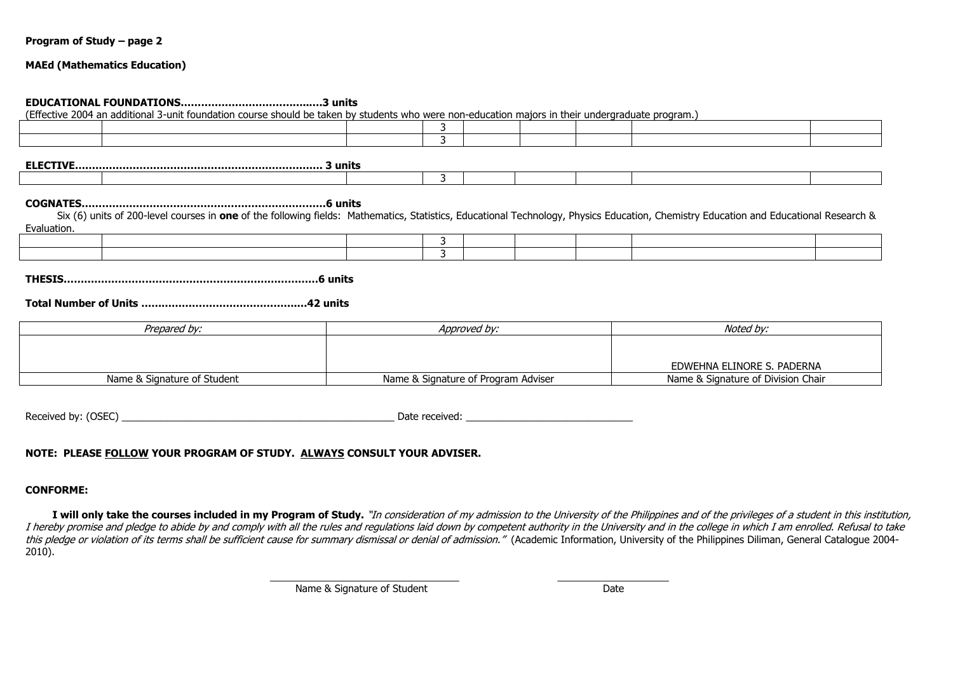#### **MAEd (Mathematics Education)**

#### **EDUCATIONAL FOUNDATIONS………………………………..….3 units**

(Effective 2004 an additional 3-unit foundation course should be taken by students who were non-education majors in their undergraduate program.)

3

**ELECTIVE………………………………………………………………. 3 units**

#### **COGNATES………………………………………………………………6 units**

 Six (6) units of 200-level courses in **one** of the following fields: Mathematics, Statistics, Educational Technology, Physics Education, Chemistry Education and Educational Research & Evaluation.

**THESIS…………………………………………………………………6 units**

#### **Total Number of Units ……………………………………….…42 units**

| Prepared by:                | Approved by:                        | Noted by:                          |  |  |
|-----------------------------|-------------------------------------|------------------------------------|--|--|
|                             |                                     |                                    |  |  |
|                             |                                     |                                    |  |  |
|                             |                                     | EDWEHNA ELINORE S. PADERNA         |  |  |
| Name & Signature of Student | Name & Signature of Program Adviser | Name & Signature of Division Chair |  |  |

Received by: (OSEC) example and the set of the set of the set of the set of the set of the set of the set of the set of the set of the set of the set of the set of the set of the set of the set of the set of the set of the

### **NOTE: PLEASE FOLLOW YOUR PROGRAM OF STUDY. ALWAYS CONSULT YOUR ADVISER.**

#### **CONFORME:**

I will only take the courses included in my Program of Study. "In consideration of my admission to the University of the Philippines and of the privileges of a student in this institution, I hereby promise and pledge to abide by and comply with all the rules and regulations laid down by competent authority in the University and in the college in which I am enrolled. Refusal to take this pledge or violation of its terms shall be sufficient cause for summary dismissal or denial of admission." (Academic Information, University of the Philippines Diliman, General Catalogue 2004-2010).

\_\_\_\_\_\_\_\_\_\_\_\_\_\_\_\_\_\_\_\_\_\_\_\_\_\_\_\_\_\_\_\_\_\_ \_\_\_\_\_\_\_\_\_\_\_\_\_\_\_\_\_\_\_\_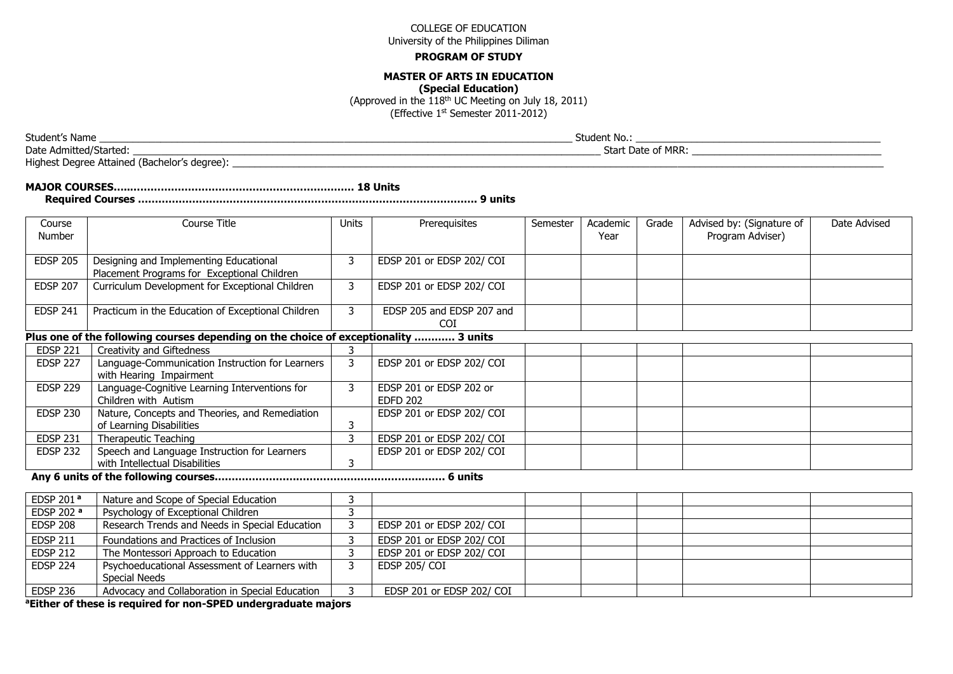#### **PROGRAM OF STUDY**

### **MASTER OF ARTS IN EDUCATION**

**(Special Education)**

(Approved in the  $118<sup>th</sup>$  UC Meeting on July 18, 2011)

(Effective 1st Semester 2011-2012)

Date Admitted/Started: \_\_\_\_\_\_\_\_\_\_\_\_\_\_\_\_\_\_\_\_\_\_\_\_\_\_\_\_\_\_\_\_\_\_\_\_\_\_\_\_\_\_\_\_\_\_\_\_\_\_\_\_\_\_\_\_\_\_\_\_\_\_\_\_\_\_\_\_\_\_\_\_\_\_\_\_\_\_\_\_\_\_\_\_ Start Date of MRR: \_\_\_\_\_\_\_\_\_\_\_\_\_\_\_\_\_\_\_\_\_\_\_\_\_\_\_\_\_\_\_\_\_\_

Highest Degree Attained (Bachelor's degree): \_\_\_\_\_\_\_\_\_\_\_\_\_\_\_\_\_\_\_\_\_\_\_\_\_\_\_\_\_\_\_\_\_\_\_\_\_\_\_\_\_\_\_\_\_\_\_\_\_\_\_\_\_\_\_\_\_\_\_\_\_\_\_\_\_\_\_\_\_\_\_\_\_\_\_\_\_\_\_\_\_\_\_\_\_\_\_\_\_\_\_\_\_\_\_\_\_\_\_\_\_\_\_\_\_\_\_\_\_\_\_\_\_\_\_\_\_

| Course<br>Number | Course Title                                                                                                                              | <b>Units</b> | Prerequisites                              | Semester | Academic<br>Year | Grade | Advised by: (Signature of<br>Program Adviser) | Date Advised |
|------------------|-------------------------------------------------------------------------------------------------------------------------------------------|--------------|--------------------------------------------|----------|------------------|-------|-----------------------------------------------|--------------|
| <b>EDSP 205</b>  | Designing and Implementing Educational<br>Placement Programs for Exceptional Children                                                     | 3            | EDSP 201 or EDSP 202/ COI                  |          |                  |       |                                               |              |
| <b>EDSP 207</b>  | Curriculum Development for Exceptional Children                                                                                           | 3            | EDSP 201 or EDSP 202/ COI                  |          |                  |       |                                               |              |
| <b>EDSP 241</b>  | Practicum in the Education of Exceptional Children                                                                                        | 3            | EDSP 205 and EDSP 207 and<br>COI           |          |                  |       |                                               |              |
|                  | Plus one of the following courses depending on the choice of exceptionality  3 units                                                      |              |                                            |          |                  |       |                                               |              |
| <b>EDSP 221</b>  | Creativity and Giftedness                                                                                                                 |              |                                            |          |                  |       |                                               |              |
| <b>EDSP 227</b>  | Language-Communication Instruction for Learners<br>with Hearing Impairment                                                                |              | EDSP 201 or EDSP 202/ COI                  |          |                  |       |                                               |              |
| <b>EDSP 229</b>  | Language-Cognitive Learning Interventions for<br>Children with Autism                                                                     | 3            | EDSP 201 or EDSP 202 or<br><b>EDFD 202</b> |          |                  |       |                                               |              |
| <b>EDSP 230</b>  | Nature, Concepts and Theories, and Remediation<br>of Learning Disabilities                                                                | з            | EDSP 201 or EDSP 202/ COI                  |          |                  |       |                                               |              |
| <b>EDSP 231</b>  | Therapeutic Teaching                                                                                                                      | 3            | EDSP 201 or EDSP 202/ COI                  |          |                  |       |                                               |              |
| <b>EDSP 232</b>  | Speech and Language Instruction for Learners<br>with Intellectual Disabilities<br>$\sim$ $\sim$ $\sim$ $\sim$ $\sim$ $\sim$ $\sim$ $\sim$ |              | EDSP 201 or EDSP 202/ COI                  |          |                  |       |                                               |              |

**Any 6 units of the following courses…………………………………………………….……. 6 units**

| EDSP 201 <sup>a</sup> | Nature and Scope of Special Education           |                           |  |  |  |
|-----------------------|-------------------------------------------------|---------------------------|--|--|--|
| EDSP 202 a            | Psychology of Exceptional Children              |                           |  |  |  |
| <b>EDSP 208</b>       | Research Trends and Needs in Special Education  | EDSP 201 or EDSP 202/ COI |  |  |  |
| <b>EDSP 211</b>       | Foundations and Practices of Inclusion          | EDSP 201 or EDSP 202/ COI |  |  |  |
| <b>EDSP 212</b>       | The Montessori Approach to Education            | EDSP 201 or EDSP 202/ COI |  |  |  |
| <b>EDSP 224</b>       | Psychoeducational Assessment of Learners with   | EDSP 205/ COI             |  |  |  |
|                       | Special Needs                                   |                           |  |  |  |
| <b>EDSP 236</b>       | Advocacy and Collaboration in Special Education | EDSP 201 or EDSP 202/ COI |  |  |  |

**<sup>a</sup>Either of these is required for non-SPED undergraduate majors**

Student's Name \_\_\_\_\_\_\_\_\_\_\_\_\_\_\_\_\_\_\_\_\_\_\_\_\_\_\_\_\_\_\_\_\_\_\_\_\_\_\_\_\_\_\_\_\_\_\_\_\_\_\_\_\_\_\_\_\_\_\_\_\_\_\_\_\_\_\_\_\_\_\_\_\_\_\_\_\_\_\_\_\_\_\_\_\_ Student No.: \_\_\_\_\_\_\_\_\_\_\_\_\_\_\_\_\_\_\_\_\_\_\_\_\_\_\_\_\_\_\_\_\_\_\_\_\_\_\_\_\_\_\_\_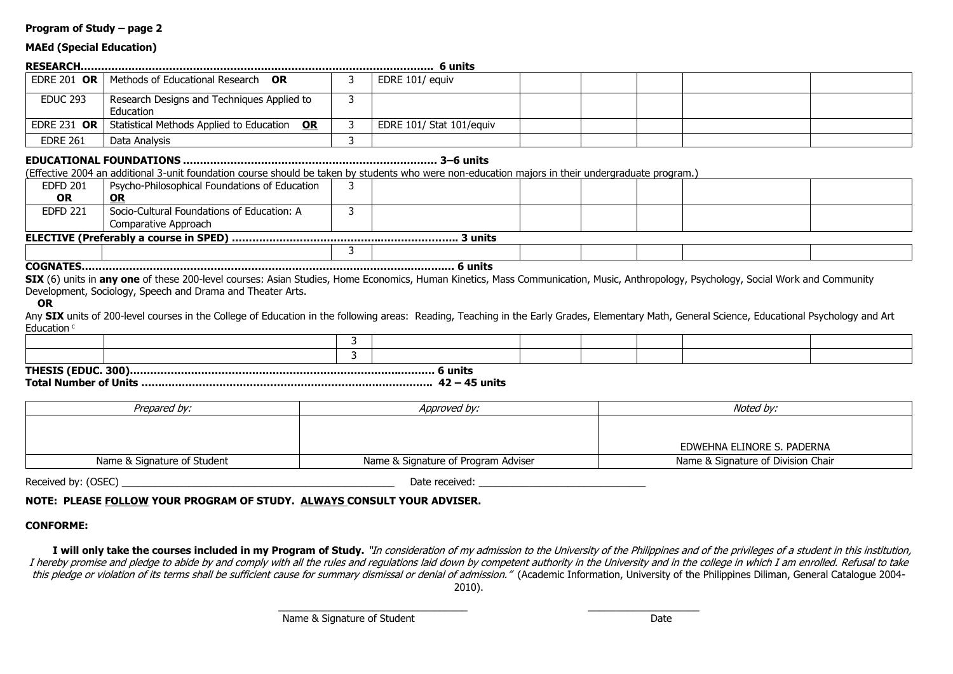### **MAEd (Special Education)**

|                    |                                                         | 6 units                  |  |  |  |
|--------------------|---------------------------------------------------------|--------------------------|--|--|--|
|                    | <b>EDRE 201 OR   Methods of Educational Research OR</b> | EDRE 101/ equiv          |  |  |  |
| <b>EDUC 293</b>    | Research Designs and Techniques Applied to<br>Education |                          |  |  |  |
| <b>EDRE 231 OR</b> | Statistical Methods Applied to Education OR             | EDRE 101/ Stat 101/equiv |  |  |  |
| <b>EDRE 261</b>    | Data Analysis                                           |                          |  |  |  |

#### **EDUCATIONAL FOUNDATIONS ………………………………………………………………… 3–6 units**

(Effective 2004 an additional 3-unit foundation course should be taken by students who were non-education majors in their undergraduate program.)

| Psycho-Philosophical Foundations of Education |  |  |  |  |  |  |  |
|-----------------------------------------------|--|--|--|--|--|--|--|
| <u>OR</u>                                     |  |  |  |  |  |  |  |
| Socio-Cultural Foundations of Education: A    |  |  |  |  |  |  |  |
| Comparative Approach                          |  |  |  |  |  |  |  |
|                                               |  |  |  |  |  |  |  |
|                                               |  |  |  |  |  |  |  |
|                                               |  |  |  |  |  |  |  |

**COGNATES…………………………………………………………………………………….……….… 6 units**

SIX (6) units in any one of these 200-level courses: Asian Studies, Home Economics, Human Kinetics, Mass Communication, Music, Anthropology, Psychology, Social Work and Community Development, Sociology, Speech and Drama and Theater Arts.

#### **OR**

Any SIX units of 200-level courses in the College of Education in the following areas: Reading, Teaching in the Early Grades, Elementary Math, General Science, Educational Psychology and Art Education<sup>c</sup>

**THESIS (EDUC. 300)……………………………………………………………………..………. 6 units**

**Total Number of Units ………………………………………………………………………….. 42 – 45 units**

| Prepared by:                | Approved by:                        | Noted by:                          |
|-----------------------------|-------------------------------------|------------------------------------|
|                             |                                     |                                    |
|                             |                                     |                                    |
|                             |                                     | EDWEHNA ELINORE S. PADERNA         |
| Name & Signature of Student | Name & Signature of Program Adviser | Name & Signature of Division Chair |

Received by: (OSEC) example and the set of the set of the set of the set of the set of the set of the set of the set of the set of the set of the set of the set of the set of the set of the set of the set of the set of the

### **NOTE: PLEASE FOLLOW YOUR PROGRAM OF STUDY. ALWAYS CONSULT YOUR ADVISER.**

### **CONFORME:**

I will only take the courses included in my Program of Study. "In consideration of my admission to the University of the Philippines and of the privileges of a student in this institution, I hereby promise and pledge to abide by and comply with all the rules and regulations laid down by competent authority in the University and in the college in which I am enrolled. Refusal to take this pledge or violation of its terms shall be sufficient cause for summary dismissal or denial of admission." (Academic Information, University of the Philippines Diliman, General Catalogue 2004-2010).

\_\_\_\_\_\_\_\_\_\_\_\_\_\_\_\_\_\_\_\_\_\_\_\_\_\_\_\_\_\_\_\_\_\_ \_\_\_\_\_\_\_\_\_\_\_\_\_\_\_\_\_\_\_\_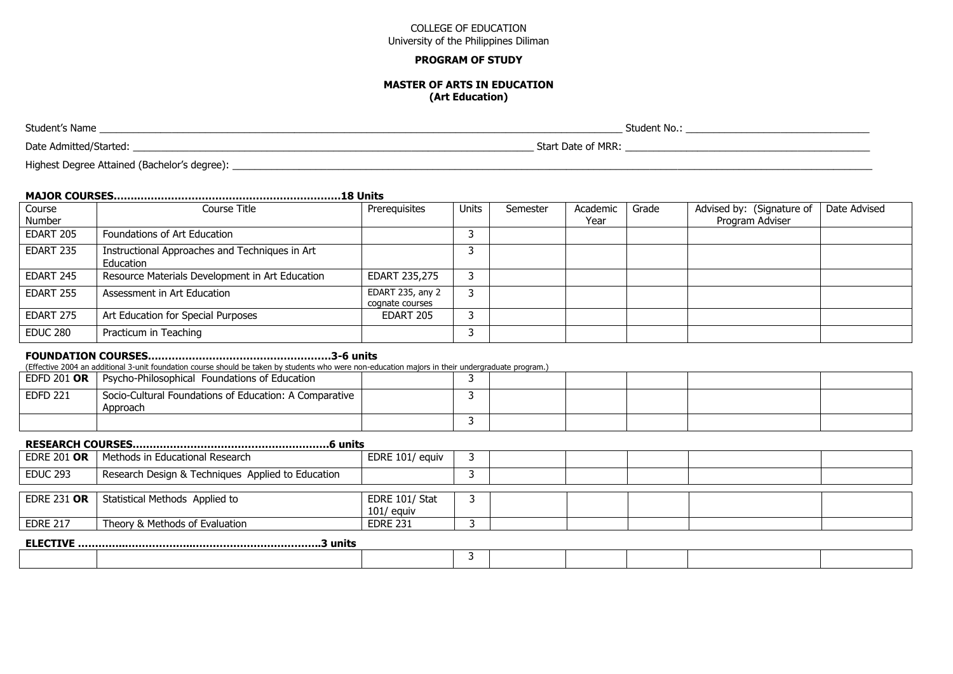#### **PROGRAM OF STUDY**

#### **MASTER OF ARTS IN EDUCATION (Art Education)**

| Student's Name         | Student No.:          |
|------------------------|-----------------------|
| Date Admitted/Started: | Mrr:<br>Start Date of |

Highest Degree Attained (Bachelor's degree): \_\_\_\_\_\_\_\_\_\_\_\_\_\_\_\_\_\_\_\_\_\_\_\_\_\_\_\_\_\_\_\_\_\_\_\_\_\_\_\_\_\_\_\_\_\_\_\_\_\_\_\_\_\_\_\_\_\_\_\_\_\_\_\_\_\_\_\_\_\_\_\_\_\_\_\_\_\_\_\_\_\_\_\_\_\_\_\_\_\_\_\_\_\_\_\_\_\_\_\_\_\_\_\_\_\_\_\_\_\_\_\_\_\_\_

#### **MAJOR COURSES…….……………………………………………………18 Units**

| Course<br>Number | Course Title                                                | Prerequisites                       | Units | Semester | Academic<br>Year | Grade | Advised by: (Signature of<br>Program Adviser | Date Advised |
|------------------|-------------------------------------------------------------|-------------------------------------|-------|----------|------------------|-------|----------------------------------------------|--------------|
| EDART 205        | Foundations of Art Education                                |                                     |       |          |                  |       |                                              |              |
| EDART 235        | Instructional Approaches and Techniques in Art<br>Education |                                     |       |          |                  |       |                                              |              |
| EDART 245        | Resource Materials Development in Art Education             | EDART 235,275                       |       |          |                  |       |                                              |              |
| EDART 255        | Assessment in Art Education                                 | EDART 235, any 2<br>cognate courses |       |          |                  |       |                                              |              |
| EDART 275        | Art Education for Special Purposes                          | EDART 205                           |       |          |                  |       |                                              |              |
| EDUC 280         | Practicum in Teaching                                       |                                     |       |          |                  |       |                                              |              |

### **FOUNDATION COURSES………………………………………………3-6 units**

(Effective 2004 an additional 3-unit foundation course should be taken by students who were non-education majors in their undergraduate program.)

| EDFD 201 OR $ $ | Psycho-Philosophical Foundations of Education                        |  |  |  |  |
|-----------------|----------------------------------------------------------------------|--|--|--|--|
| <b>EDFD 221</b> | Socio-Cultural Foundations of Education: A Comparative  <br>Approach |  |  |  |  |
|                 |                                                                      |  |  |  |  |

### **RESEARCH COURSES………………………………………………….6 units**

|                    | <b>EDRE 201 OR</b>   Methods in Educational Research | EDRE 101/ equiv                |  |  |  |
|--------------------|------------------------------------------------------|--------------------------------|--|--|--|
| <b>EDUC 293</b>    | Research Design & Techniques Applied to Education    |                                |  |  |  |
|                    |                                                      |                                |  |  |  |
| <b>EDRE 231 OR</b> | Statistical Methods Applied to                       | EDRE 101/ Stat<br>$101/$ equiv |  |  |  |
| <b>EDRE 217</b>    | Theory & Methods of Evaluation                       | <b>EDRE 231</b>                |  |  |  |
|                    |                                                      |                                |  |  |  |

# **ELECTIVE …………..………………..………………………………..3 units**

|--|--|--|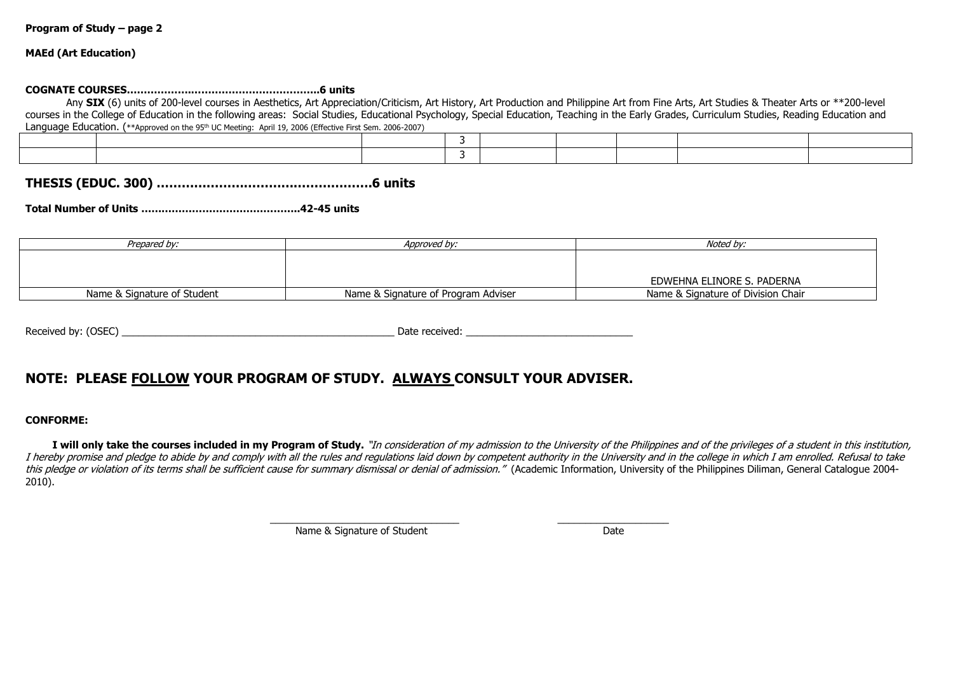#### **MAEd (Art Education)**

#### **COGNATE COURSES……………….………………………………..6 units**

Any SIX (6) units of 200-level courses in Aesthetics, Art Appreciation/Criticism, Art History, Art Production and Philippine Art from Fine Arts, Art Studies & Theater Arts or \*\*200-level courses in the College of Education in the following areas: Social Studies, Educational Psychology, Special Education, Teaching in the Early Grades, Curriculum Studies, Reading Education and Language Education. (\*\*Approved on the 95<sup>th</sup> UC Meeting: April 19, 2006 (Effective First Sem. 2006-2007)

# **THESIS (EDUC. 300) …………………………………………….6 units**

**Total Number of Units ………………………………………..42-45 units**

| Prepared by:                | Approved by:                        | Noted by:                          |
|-----------------------------|-------------------------------------|------------------------------------|
|                             |                                     |                                    |
|                             |                                     |                                    |
|                             |                                     | EDWEHNA ELINORE S. PADERNA         |
| Name & Signature of Student | Name & Signature of Program Adviser | Name & Signature of Division Chair |

| Received by:<br>(OSEC) | . א∼ר<br>Jau | received. |
|------------------------|--------------|-----------|
|                        |              |           |

# **NOTE: PLEASE FOLLOW YOUR PROGRAM OF STUDY. ALWAYS CONSULT YOUR ADVISER.**

#### **CONFORME:**

I will only take the courses included in my Program of Study. "In consideration of my admission to the University of the Philippines and of the privileges of a student in this institution, I hereby promise and pledge to abide by and comply with all the rules and regulations laid down by competent authority in the University and in the college in which I am enrolled. Refusal to take this pledge or violation of its terms shall be sufficient cause for summary dismissal or denial of admission." (Academic Information, University of the Philippines Diliman, General Catalogue 2004-2010).

\_\_\_\_\_\_\_\_\_\_\_\_\_\_\_\_\_\_\_\_\_\_\_\_\_\_\_\_\_\_\_\_\_\_ \_\_\_\_\_\_\_\_\_\_\_\_\_\_\_\_\_\_\_\_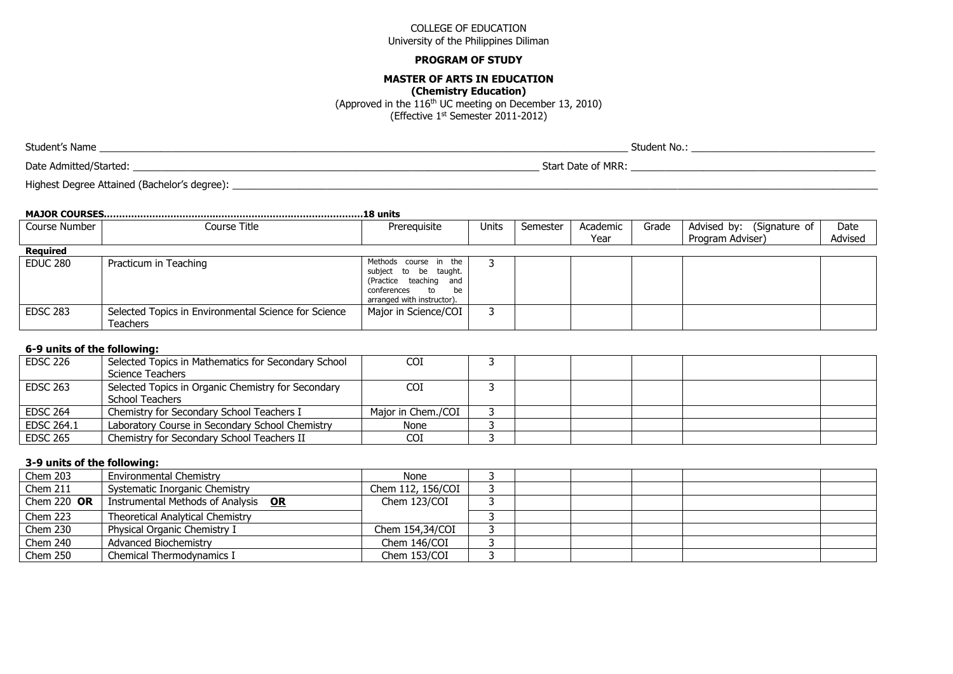#### **PROGRAM OF STUDY**

#### **MASTER OF ARTS IN EDUCATION**

**(Chemistry Education)**

(Approved in the 116th UC meeting on December 13, 2010)

(Effective 1st Semester 2011-2012)

Date Admitted/Started: \_\_\_\_\_\_\_\_\_\_\_\_\_\_\_\_\_\_\_\_\_\_\_\_\_\_\_\_\_\_\_\_\_\_\_\_\_\_\_\_\_\_\_\_\_\_\_\_\_\_\_\_\_\_\_\_\_\_\_\_\_\_\_\_\_\_\_\_\_\_\_\_\_ Start Date of MRR: \_\_\_\_\_\_\_\_\_\_\_\_\_\_\_\_\_\_\_\_\_\_\_\_\_\_\_\_\_\_\_\_\_\_\_\_\_\_\_\_\_\_\_\_

Highest Degree Attained (Bachelor's degree): \_\_\_\_\_\_\_\_\_\_\_\_\_\_\_\_\_\_\_\_\_\_\_\_\_\_\_\_\_\_\_\_\_\_\_\_\_\_\_\_\_\_\_\_\_\_\_\_\_\_\_\_\_\_\_\_\_\_\_\_\_\_\_\_\_\_\_\_\_\_\_\_\_\_\_\_\_\_\_\_\_\_\_\_\_\_\_\_\_\_\_\_\_\_\_\_\_\_\_\_\_\_\_\_\_\_\_\_\_\_\_\_\_\_\_\_

| Course Number   | Course Title                                                     | Prerequisite                                                                                                                                                                        | Units | Semester | Academic | Grade | Advised by: (Signature of | Date    |
|-----------------|------------------------------------------------------------------|-------------------------------------------------------------------------------------------------------------------------------------------------------------------------------------|-------|----------|----------|-------|---------------------------|---------|
|                 |                                                                  |                                                                                                                                                                                     |       |          | Year     |       | Program Adviser)          | Advised |
| <b>Required</b> |                                                                  |                                                                                                                                                                                     |       |          |          |       |                           |         |
| EDUC 280        | Practicum in Teaching                                            | Methods course in the<br>subject to be taught.<br>(Practice teaching and<br>conferences<br>be<br>$\overline{\phantom{a}}$ to $\overline{\phantom{a}}$<br>arranged with instructor). |       |          |          |       |                           |         |
| <b>EDSC 283</b> | Selected Topics in Environmental Science for Science<br>Teachers | Major in Science/COI                                                                                                                                                                |       |          |          |       |                           |         |

#### **6-9 units of the following:**

| <b>EDSC 226</b> | Selected Topics in Mathematics for Secondary School | COI                |  |  |  |
|-----------------|-----------------------------------------------------|--------------------|--|--|--|
|                 | Science Teachers                                    |                    |  |  |  |
| <b>EDSC 263</b> | Selected Topics in Organic Chemistry for Secondary  | COI                |  |  |  |
|                 | <b>School Teachers</b>                              |                    |  |  |  |
| <b>EDSC 264</b> | Chemistry for Secondary School Teachers I           | Major in Chem./COI |  |  |  |
| EDSC 264.1      | Laboratory Course in Secondary School Chemistry     | None               |  |  |  |
| <b>EDSC 265</b> | Chemistry for Secondary School Teachers II          | COI                |  |  |  |

#### **3-9 units of the following:**

| Chem 203    | <b>Environmental Chemistry</b>          | None               |  |  |  |
|-------------|-----------------------------------------|--------------------|--|--|--|
| Chem 211    | Systematic Inorganic Chemistry          | Chem 112, 156/COI  |  |  |  |
| Chem 220 OR | Instrumental Methods of Analysis OR     | Chem 123/COI       |  |  |  |
| Chem 223    | <b>Theoretical Analytical Chemistry</b> |                    |  |  |  |
| Chem 230    | Physical Organic Chemistry I            | Chem $154,34$ /COI |  |  |  |
| Chem 240    | Advanced Biochemistry                   | Chem 146/COI       |  |  |  |
| Chem 250    | Chemical Thermodynamics I               | Chem 153/COI       |  |  |  |

Student's Name \_\_\_\_\_\_\_\_\_\_\_\_\_\_\_\_\_\_\_\_\_\_\_\_\_\_\_\_\_\_\_\_\_\_\_\_\_\_\_\_\_\_\_\_\_\_\_\_\_\_\_\_\_\_\_\_\_\_\_\_\_\_\_\_\_\_\_\_\_\_\_\_\_\_\_\_\_\_\_\_\_\_\_\_\_\_\_\_\_\_\_\_\_\_\_ Student No.: \_\_\_\_\_\_\_\_\_\_\_\_\_\_\_\_\_\_\_\_\_\_\_\_\_\_\_\_\_\_\_\_\_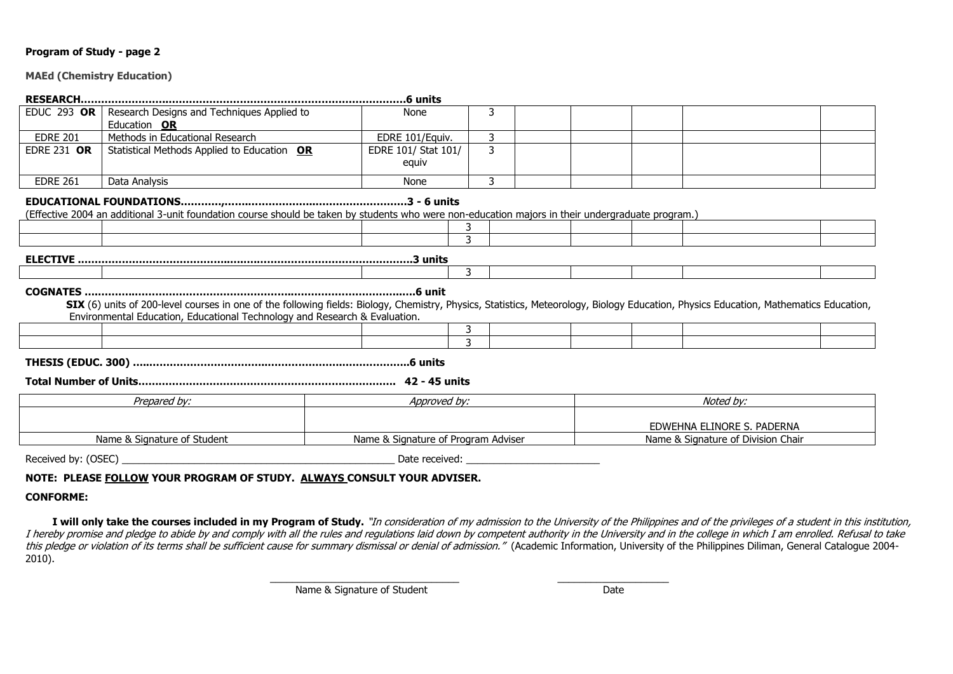#### **MAEd (Chemistry Education)**

| <b>EDUC 293 OR</b>                                                                                                                                | Research Designs and Techniques Applied to                                                                                                                                                                                                                          | None                                                                                                                                                                                                                           | 3 |                                     |  |  |                                    |  |  |  |
|---------------------------------------------------------------------------------------------------------------------------------------------------|---------------------------------------------------------------------------------------------------------------------------------------------------------------------------------------------------------------------------------------------------------------------|--------------------------------------------------------------------------------------------------------------------------------------------------------------------------------------------------------------------------------|---|-------------------------------------|--|--|------------------------------------|--|--|--|
|                                                                                                                                                   | Education OR                                                                                                                                                                                                                                                        |                                                                                                                                                                                                                                |   |                                     |  |  |                                    |  |  |  |
| <b>EDRE 201</b>                                                                                                                                   | Methods in Educational Research                                                                                                                                                                                                                                     | EDRE 101/Equiv.                                                                                                                                                                                                                | 3 |                                     |  |  |                                    |  |  |  |
| <b>EDRE 231 OR</b>                                                                                                                                | Statistical Methods Applied to Education OR                                                                                                                                                                                                                         | EDRE 101/ Stat 101/                                                                                                                                                                                                            | 3 |                                     |  |  |                                    |  |  |  |
|                                                                                                                                                   |                                                                                                                                                                                                                                                                     | equiv                                                                                                                                                                                                                          |   |                                     |  |  |                                    |  |  |  |
| <b>EDRE 261</b>                                                                                                                                   | Data Analysis                                                                                                                                                                                                                                                       | None                                                                                                                                                                                                                           | 3 |                                     |  |  |                                    |  |  |  |
| (Effective 2004 an additional 3-unit foundation course should be taken by students who were non-education majors in their undergraduate program.) |                                                                                                                                                                                                                                                                     |                                                                                                                                                                                                                                |   |                                     |  |  |                                    |  |  |  |
|                                                                                                                                                   |                                                                                                                                                                                                                                                                     |                                                                                                                                                                                                                                | 3 |                                     |  |  |                                    |  |  |  |
|                                                                                                                                                   |                                                                                                                                                                                                                                                                     |                                                                                                                                                                                                                                |   |                                     |  |  |                                    |  |  |  |
|                                                                                                                                                   |                                                                                                                                                                                                                                                                     |                                                                                                                                                                                                                                | 3 |                                     |  |  |                                    |  |  |  |
|                                                                                                                                                   | SIX (6) units of 200-level courses in one of the following fields: Biology, Chemistry, Physics, Statistics, Meteorology, Biology Education, Physics Education, Mathematics Education,<br>Environmental Education, Educational Technology and Research & Evaluation. |                                                                                                                                                                                                                                |   |                                     |  |  |                                    |  |  |  |
|                                                                                                                                                   |                                                                                                                                                                                                                                                                     |                                                                                                                                                                                                                                | 3 |                                     |  |  |                                    |  |  |  |
|                                                                                                                                                   |                                                                                                                                                                                                                                                                     |                                                                                                                                                                                                                                | 3 |                                     |  |  |                                    |  |  |  |
|                                                                                                                                                   |                                                                                                                                                                                                                                                                     |                                                                                                                                                                                                                                |   |                                     |  |  |                                    |  |  |  |
|                                                                                                                                                   | Prepared by:                                                                                                                                                                                                                                                        | Approved by:                                                                                                                                                                                                                   |   |                                     |  |  | Noted by:                          |  |  |  |
|                                                                                                                                                   |                                                                                                                                                                                                                                                                     |                                                                                                                                                                                                                                |   |                                     |  |  |                                    |  |  |  |
|                                                                                                                                                   |                                                                                                                                                                                                                                                                     |                                                                                                                                                                                                                                |   |                                     |  |  | EDWEHNA ELINORE S. PADERNA         |  |  |  |
|                                                                                                                                                   | Name & Signature of Student                                                                                                                                                                                                                                         |                                                                                                                                                                                                                                |   | Name & Signature of Program Adviser |  |  | Name & Signature of Division Chair |  |  |  |
| Received by: (OSEC)                                                                                                                               |                                                                                                                                                                                                                                                                     | Date received: and the control of the control of the control of the control of the control of the control of the control of the control of the control of the control of the control of the control of the control of the cont |   |                                     |  |  |                                    |  |  |  |

### **NOTE: PLEASE FOLLOW YOUR PROGRAM OF STUDY. ALWAYS CONSULT YOUR ADVISER.**

#### **CONFORME:**

I will only take the courses included in my Program of Study. "In consideration of my admission to the University of the Philippines and of the privileges of a student in this institution, I hereby promise and pledge to abide by and comply with all the rules and regulations laid down by competent authority in the University and in the college in which I am enrolled. Refusal to take this pledge or violation of its terms shall be sufficient cause for summary dismissal or denial of admission." (Academic Information, University of the Philippines Diliman, General Catalogue 2004-2010).

\_\_\_\_\_\_\_\_\_\_\_\_\_\_\_\_\_\_\_\_\_\_\_\_\_\_\_\_\_\_\_\_\_\_ \_\_\_\_\_\_\_\_\_\_\_\_\_\_\_\_\_\_\_\_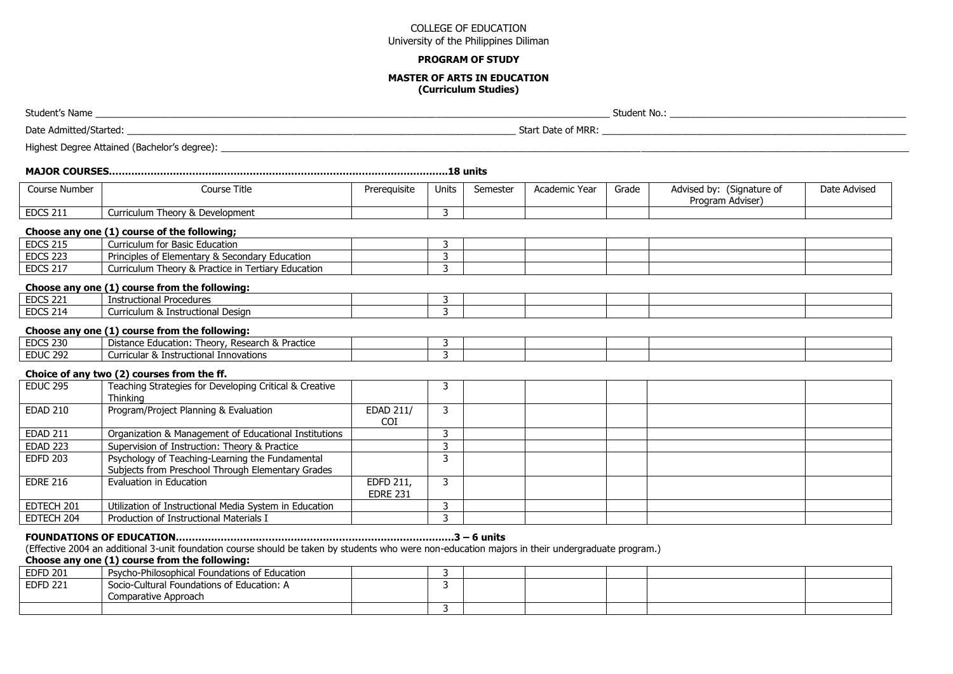#### **PROGRAM OF STUDY**

#### **MASTER OF ARTS IN EDUCATION (Curriculum Studies)**

Student's Name **and the student of the student No.**: **Student No.: Student No.: Student No.: Student No.: Student No.:** 

Date Admitted/Started: \_\_\_\_\_\_\_\_\_\_\_\_\_\_\_\_\_\_\_\_\_\_\_\_\_\_\_\_\_\_\_\_\_\_\_\_\_\_\_\_\_\_\_\_\_\_\_\_\_\_\_\_\_\_\_\_\_\_\_\_\_\_\_\_\_\_\_\_\_\_\_\_\_\_ Start Date of MRR: \_\_\_\_\_\_\_\_\_\_\_\_\_\_\_\_\_\_\_\_\_\_\_\_\_\_\_\_\_\_\_\_\_\_\_\_\_\_\_\_\_\_\_\_\_\_\_\_\_\_\_\_\_\_\_\_\_\_

Highest Degree Attained (Bachelor's degree):  $\overline{a}$ 

|--|--|--|--|--|--|--|

| Course Number   | Course Title                                   | Prereguisite | Units | Semester | Academic Year | Grade | (Signature of<br>Advised by: | Date Advised |
|-----------------|------------------------------------------------|--------------|-------|----------|---------------|-------|------------------------------|--------------|
|                 |                                                |              |       |          |               |       | Program<br>ı Adviser         |              |
| <b>EDCS 211</b> | Theory & Development<br>urriculum <sup>:</sup> |              |       |          |               |       |                              |              |

#### **Choose any one (1) course of the following;**

| <b>EDCS 215</b> | Curriculum for Basic Education                            |  |  |  |  |
|-----------------|-----------------------------------------------------------|--|--|--|--|
| <b>EDCS 223</b> | Elementary & Secondary Education<br>Principles of E       |  |  |  |  |
| <b>EDCS 217</b> | Curriculum Theory &<br>l Practice in Tertiary Education ، |  |  |  |  |

### **Choose any one (1) course from the following:**

| <b>EDCS 221</b> | Instructional Procedures          |  |  |  |  |
|-----------------|-----------------------------------|--|--|--|--|
| <b>EDCS 214</b> | Curriculum & Instructional Design |  |  |  |  |
|                 |                                   |  |  |  |  |

#### **Choose any one (1) course from the following:**

| <b>EDCS 230</b> | Practice<br>Theorv.<br>Research<br>Education:<br>Distance<br>v.<br>$\alpha$ |  |  |  |  |
|-----------------|-----------------------------------------------------------------------------|--|--|--|--|
| <b>EDUC 292</b> | <b>Innovations</b><br>uctiona<br>urricular :<br>ิ X Instr                   |  |  |  |  |
|                 |                                                                             |  |  |  |  |

### **Choice of any two (2) courses from the ff.**

| <b>EDUC 295</b> | Teaching Strategies for Developing Critical & Creative<br>Thinking                                   |                              |  |  |  |
|-----------------|------------------------------------------------------------------------------------------------------|------------------------------|--|--|--|
| <b>EDAD 210</b> | Program/Project Planning & Evaluation                                                                | EDAD 211/<br>COI.            |  |  |  |
| <b>EDAD 211</b> | Organization & Management of Educational Institutions                                                |                              |  |  |  |
| <b>EDAD 223</b> | Supervision of Instruction: Theory & Practice                                                        |                              |  |  |  |
| <b>EDFD 203</b> | Psychology of Teaching-Learning the Fundamental<br>Subjects from Preschool Through Elementary Grades |                              |  |  |  |
| <b>EDRE 216</b> | Evaluation in Education                                                                              | EDFD 211,<br><b>EDRE 231</b> |  |  |  |
| EDTECH 201      | Utilization of Instructional Media System in Education                                               |                              |  |  |  |
| EDTECH 204      | Production of Instructional Materials I                                                              |                              |  |  |  |

# **FOUNDATIONS OF EDUCATION……………………..…………………………………………………….3 – 6 units**

(Effective 2004 an additional 3-unit foundation course should be taken by students who were non-education majors in their undergraduate program.)

### **Choose any one (1) course from the following:**

| <b>EDFD 201</b> | Psycho-Philosophical Foundations of Education                      |  |  |  |  |
|-----------------|--------------------------------------------------------------------|--|--|--|--|
| <b>EDFD 221</b> | Socio-Cultural Foundations of Education: A<br>Comparative Approach |  |  |  |  |
|                 |                                                                    |  |  |  |  |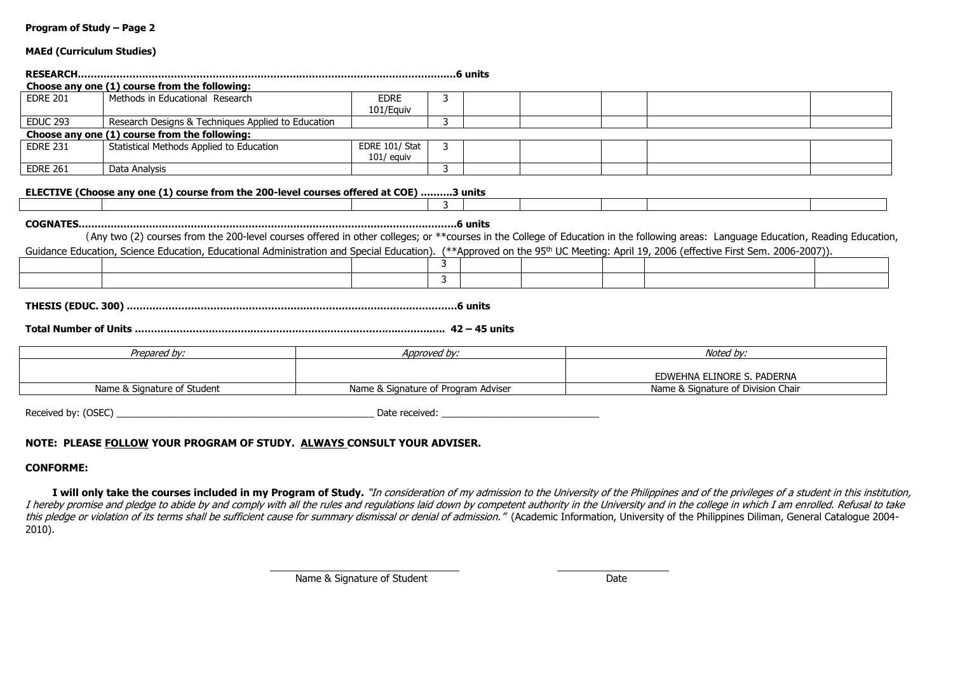|  | Program of Study – Page 2 |  |
|--|---------------------------|--|
|  |                           |  |

#### **MAEd (Curriculum Studies)**

|                 | Choose any one (1) course from the following:                                                                                                                                                                                                                                                                                                                                     |                                     |              |  |                                    |  |                            |  |  |
|-----------------|-----------------------------------------------------------------------------------------------------------------------------------------------------------------------------------------------------------------------------------------------------------------------------------------------------------------------------------------------------------------------------------|-------------------------------------|--------------|--|------------------------------------|--|----------------------------|--|--|
| <b>EDRE 201</b> | Methods in Educational Research                                                                                                                                                                                                                                                                                                                                                   | <b>EDRE</b><br>101/Equiv            | 3            |  |                                    |  |                            |  |  |
| <b>EDUC 293</b> | Research Designs & Techniques Applied to Education                                                                                                                                                                                                                                                                                                                                |                                     | 3            |  |                                    |  |                            |  |  |
|                 | Choose any one (1) course from the following:                                                                                                                                                                                                                                                                                                                                     |                                     |              |  |                                    |  |                            |  |  |
| <b>EDRE 231</b> | Statistical Methods Applied to Education                                                                                                                                                                                                                                                                                                                                          | EDRE 101/ Stat<br>$101/$ equiv      | 3            |  |                                    |  |                            |  |  |
| <b>EDRE 261</b> | Data Analysis                                                                                                                                                                                                                                                                                                                                                                     |                                     | 3            |  |                                    |  |                            |  |  |
|                 | ELECTIVE (Choose any one (1) course from the 200-level courses offered at COE) 3 units                                                                                                                                                                                                                                                                                            |                                     |              |  |                                    |  |                            |  |  |
|                 | (Any two (2) courses from the 200-level courses offered in other colleges; or **courses in the College of Education in the following areas: Language Education, Reading Education,<br>Guidance Education, Science Education, Educational Administration and Special Education). (**Approved on the 95 <sup>th</sup> UC Meeting: April 19, 2006 (effective First Sem. 2006-2007)). |                                     |              |  |                                    |  |                            |  |  |
|                 |                                                                                                                                                                                                                                                                                                                                                                                   |                                     |              |  |                                    |  |                            |  |  |
|                 |                                                                                                                                                                                                                                                                                                                                                                                   |                                     | 3            |  |                                    |  |                            |  |  |
|                 |                                                                                                                                                                                                                                                                                                                                                                                   |                                     |              |  |                                    |  |                            |  |  |
|                 | Prepared by:                                                                                                                                                                                                                                                                                                                                                                      |                                     | Approved by: |  |                                    |  | Noted by:                  |  |  |
|                 |                                                                                                                                                                                                                                                                                                                                                                                   |                                     |              |  |                                    |  | EDWEHNA ELINORE S. PADERNA |  |  |
|                 | Name & Signature of Student                                                                                                                                                                                                                                                                                                                                                       | Name & Signature of Program Adviser |              |  | Name & Signature of Division Chair |  |                            |  |  |
|                 |                                                                                                                                                                                                                                                                                                                                                                                   |                                     |              |  |                                    |  |                            |  |  |

Received by: (OSEC) \_\_\_\_\_\_\_\_\_\_\_\_\_\_\_\_\_\_\_\_\_\_\_\_\_\_\_\_\_\_\_\_\_\_\_\_\_\_\_\_\_\_\_\_\_\_\_\_\_ Date received: \_\_\_\_\_\_\_\_\_\_\_\_\_\_\_\_\_\_\_\_\_\_\_\_\_\_\_\_\_\_

### **NOTE: PLEASE FOLLOW YOUR PROGRAM OF STUDY. ALWAYS CONSULT YOUR ADVISER.**

#### **CONFORME:**

I will only take the courses included in my Program of Study. "In consideration of my admission to the University of the Philippines and of the privileges of a student in this institution, I hereby promise and pledge to abide by and comply with all the rules and regulations laid down by competent authority in the University and in the college in which I am enrolled. Refusal to take this pledge or violation of its terms shall be sufficient cause for summary dismissal or denial of admission." (Academic Information, University of the Philippines Diliman, General Catalogue 2004-2010).

> \_\_\_\_\_\_\_\_\_\_\_\_\_\_\_\_\_\_\_\_\_\_\_\_\_\_\_\_\_\_\_\_\_\_ \_\_\_\_\_\_\_\_\_\_\_\_\_\_\_\_\_\_\_\_ Name & Signature of Student Date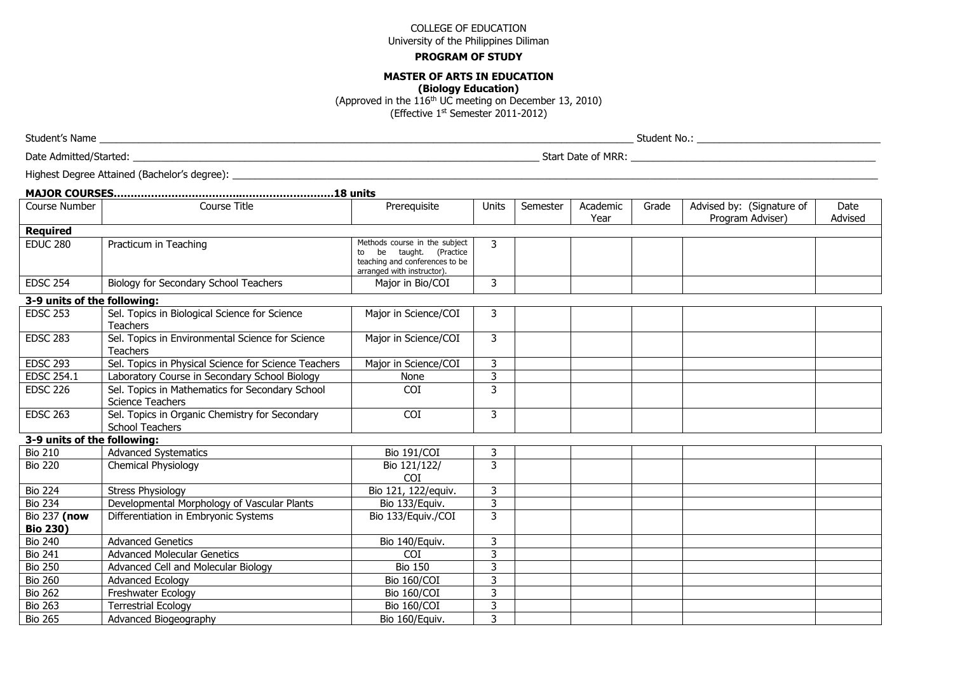#### **PROGRAM OF STUDY**

#### **MASTER OF ARTS IN EDUCATION**

**(Biology Education)**

(Approved in the  $116<sup>th</sup>$  UC meeting on December 13, 2010)

(Effective 1st Semester 2011-2012)

Student's Name \_\_\_\_\_\_\_\_\_\_\_\_\_\_\_\_\_\_\_\_\_\_\_\_\_\_\_\_\_\_\_\_\_\_\_\_\_\_\_\_\_\_\_\_\_\_\_\_\_\_\_\_\_\_\_\_\_\_\_\_\_\_\_\_\_\_\_\_\_\_\_\_\_\_\_\_\_\_\_\_\_\_\_\_\_\_\_\_\_\_\_\_\_\_\_\_ Student No.: \_\_\_\_\_\_\_\_\_\_\_\_\_\_\_\_\_\_\_\_\_\_\_\_\_\_\_\_\_\_\_\_\_

Date Admitted/Started: \_\_\_\_\_\_\_\_\_\_\_\_\_\_\_\_\_\_\_\_\_\_\_\_\_\_\_\_\_\_\_\_\_\_\_\_\_\_\_\_\_\_\_\_\_\_\_\_\_\_\_\_\_\_\_\_\_\_\_\_\_\_\_\_\_\_\_\_\_\_\_\_\_ Start Date of MRR: \_\_\_\_\_\_\_\_\_\_\_\_\_\_\_\_\_\_\_\_\_\_\_\_\_\_\_\_\_\_\_\_\_\_\_\_\_\_\_\_\_\_\_\_

Highest Degree Attained (Bachelor's degree): \_\_\_\_\_\_\_\_\_\_\_\_\_\_\_\_\_\_\_\_\_\_\_\_\_\_\_\_\_\_\_\_\_\_\_\_\_\_\_\_\_\_\_\_\_\_\_\_\_\_\_\_\_\_\_\_\_\_\_\_\_\_\_\_\_\_\_\_\_\_\_\_\_\_\_\_\_\_\_\_\_\_\_\_\_\_\_\_\_\_\_\_\_\_\_\_\_\_\_\_\_\_\_\_\_\_\_\_\_\_\_\_\_\_\_\_

| Course Number                   | Course Title                                                               | Prerequisite                                                                                                          | Units | Semester | Academic<br>Year | Grade | Advised by: (Signature of<br>Program Adviser) | Date<br>Advised |
|---------------------------------|----------------------------------------------------------------------------|-----------------------------------------------------------------------------------------------------------------------|-------|----------|------------------|-------|-----------------------------------------------|-----------------|
| <b>Required</b>                 |                                                                            |                                                                                                                       |       |          |                  |       |                                               |                 |
| <b>EDUC 280</b>                 | Practicum in Teaching                                                      | Methods course in the subject<br>be taught. (Practice<br>teaching and conferences to be<br>arranged with instructor). | 3     |          |                  |       |                                               |                 |
| <b>EDSC 254</b>                 | Biology for Secondary School Teachers                                      | Major in Bio/COI                                                                                                      | 3     |          |                  |       |                                               |                 |
| 3-9 units of the following:     |                                                                            |                                                                                                                       |       |          |                  |       |                                               |                 |
| <b>EDSC 253</b>                 | Sel. Topics in Biological Science for Science<br><b>Teachers</b>           | Major in Science/COI                                                                                                  | 3     |          |                  |       |                                               |                 |
| <b>EDSC 283</b>                 | Sel. Topics in Environmental Science for Science<br><b>Teachers</b>        | Major in Science/COI                                                                                                  | 3     |          |                  |       |                                               |                 |
| <b>EDSC 293</b>                 | Sel. Topics in Physical Science for Science Teachers                       | Major in Science/COI                                                                                                  | 3     |          |                  |       |                                               |                 |
| <b>EDSC 254.1</b>               | Laboratory Course in Secondary School Biology                              | None                                                                                                                  | 3     |          |                  |       |                                               |                 |
| <b>EDSC 226</b>                 | Sel. Topics in Mathematics for Secondary School<br><b>Science Teachers</b> | <b>COI</b>                                                                                                            | 3     |          |                  |       |                                               |                 |
| <b>EDSC 263</b>                 | Sel. Topics in Organic Chemistry for Secondary<br><b>School Teachers</b>   | COI                                                                                                                   | 3     |          |                  |       |                                               |                 |
| 3-9 units of the following:     |                                                                            |                                                                                                                       |       |          |                  |       |                                               |                 |
| <b>Bio 210</b>                  | <b>Advanced Systematics</b>                                                | Bio 191/COI                                                                                                           | 3     |          |                  |       |                                               |                 |
| <b>Bio 220</b>                  | Chemical Physiology                                                        | Bio 121/122/<br>COI                                                                                                   | 3     |          |                  |       |                                               |                 |
| <b>Bio 224</b>                  | <b>Stress Physiology</b>                                                   | Bio 121, 122/equiv.                                                                                                   | 3     |          |                  |       |                                               |                 |
| <b>Bio 234</b>                  | Developmental Morphology of Vascular Plants                                | Bio 133/Equiv.                                                                                                        | 3     |          |                  |       |                                               |                 |
| Bio 237 (now<br><b>Bio 230)</b> | Differentiation in Embryonic Systems                                       | Bio 133/Equiv./COI                                                                                                    | 3     |          |                  |       |                                               |                 |
| <b>Bio 240</b>                  | <b>Advanced Genetics</b>                                                   | Bio 140/Equiv.                                                                                                        | 3     |          |                  |       |                                               |                 |
| <b>Bio 241</b>                  | <b>Advanced Molecular Genetics</b>                                         | <b>COT</b>                                                                                                            | 3     |          |                  |       |                                               |                 |
| <b>Bio 250</b>                  | Advanced Cell and Molecular Biology                                        | <b>Bio 150</b>                                                                                                        | 3     |          |                  |       |                                               |                 |
| <b>Bio 260</b>                  | <b>Advanced Ecology</b>                                                    | Bio 160/COI                                                                                                           | 3     |          |                  |       |                                               |                 |
| <b>Bio 262</b>                  | Freshwater Ecology                                                         | Bio 160/COI                                                                                                           | 3     |          |                  |       |                                               |                 |
| <b>Bio 263</b>                  | <b>Terrestrial Ecology</b>                                                 | Bio 160/COI                                                                                                           | 3     |          |                  |       |                                               |                 |
| <b>Bio 265</b>                  | Advanced Biogeography                                                      | Bio 160/Equiv.                                                                                                        | 3     |          |                  |       |                                               |                 |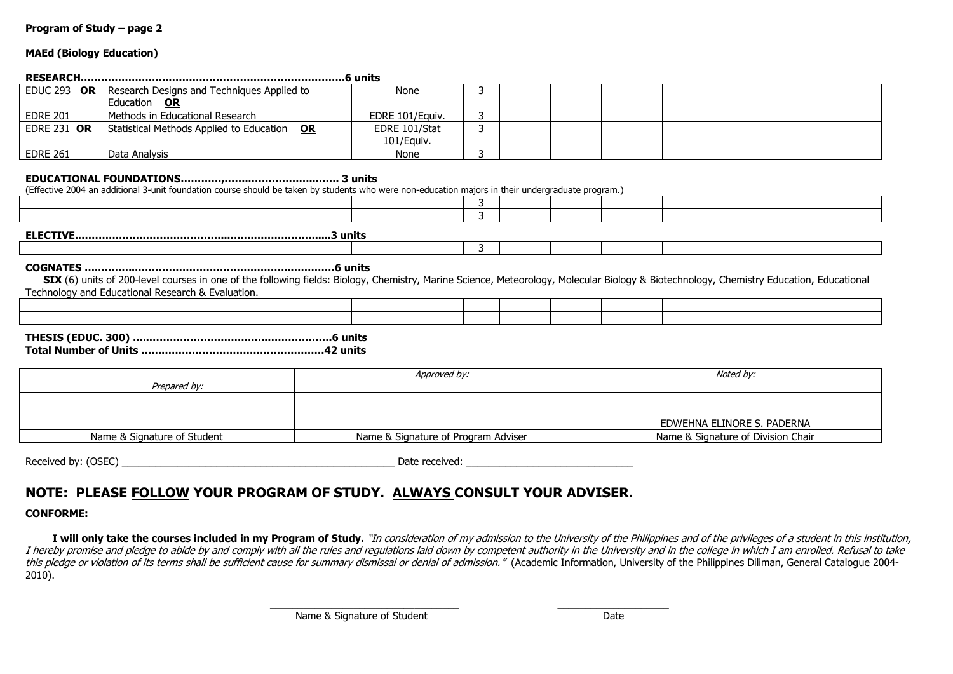#### **MAEd (Biology Education)**

|                    | EDUC 293 OR   Research Designs and Techniques Applied to | None            |  |  |  |  |  |  |  |
|--------------------|----------------------------------------------------------|-----------------|--|--|--|--|--|--|--|
|                    | Education OR                                             |                 |  |  |  |  |  |  |  |
| <b>EDRE 201</b>    | Methods in Educational Research                          | EDRE 101/Equiv. |  |  |  |  |  |  |  |
| <b>EDRE 231 OR</b> | Statistical Methods Applied to Education OR              | EDRE 101/Stat   |  |  |  |  |  |  |  |
|                    |                                                          | 101/Equiv.      |  |  |  |  |  |  |  |
| <b>EDRE 261</b>    | Data Analysis                                            | None            |  |  |  |  |  |  |  |

#### **EDUCATIONAL FOUNDATIONS…………,…….………………..……. 3 units**

(Effective 2004 an additional 3-unit foundation course should be taken by students who were non-education majors in their undergraduate program.)

| <b>ELECTIVE</b><br>3 units |  |  |  |  |  |  |  |  |
|----------------------------|--|--|--|--|--|--|--|--|

3

#### **COGNATES ….………..………………………………………..…………6 units**

SIX (6) units of 200-level courses in one of the following fields: Biology, Chemistry, Marine Science, Meteorology, Molecular Biology & Biotechnology, Chemistry Education, Educational Technology and Educational Research & Evaluation.

#### **THESIS (EDUC. 300) …..……………………………..……………….6 units Total Number of Units ………………………………………………42 units**

| Prepared by:                | Approved by:                        | Noted by:                          |
|-----------------------------|-------------------------------------|------------------------------------|
|                             |                                     | EDWEHNA ELINORE S. PADERNA         |
| Name & Signature of Student | Name & Signature of Program Adviser | Name & Signature of Division Chair |

Received by: (OSEC) \_\_\_\_\_\_\_\_\_\_\_\_\_\_\_\_\_\_\_\_\_\_\_\_\_\_\_\_\_\_\_\_\_\_\_\_\_\_\_\_\_\_\_\_\_\_\_\_\_ Date received: \_\_\_\_\_\_\_\_\_\_\_\_\_\_\_\_\_\_\_\_\_\_\_\_\_\_\_\_\_\_

# **NOTE: PLEASE FOLLOW YOUR PROGRAM OF STUDY. ALWAYS CONSULT YOUR ADVISER.**

### **CONFORME:**

I will only take the courses included in my Program of Study. "In consideration of my admission to the University of the Philippines and of the privileges of a student in this institution, I hereby promise and pledge to abide by and comply with all the rules and regulations laid down by competent authority in the University and in the college in which I am enrolled. Refusal to take this pledge or violation of its terms shall be sufficient cause for summary dismissal or denial of admission." (Academic Information, University of the Philippines Diliman, General Catalogue 2004-2010).

> \_\_\_\_\_\_\_\_\_\_\_\_\_\_\_\_\_\_\_\_\_\_\_\_\_\_\_\_\_\_\_\_\_\_ \_\_\_\_\_\_\_\_\_\_\_\_\_\_\_\_\_\_\_\_ Name & Signature of Student Date Date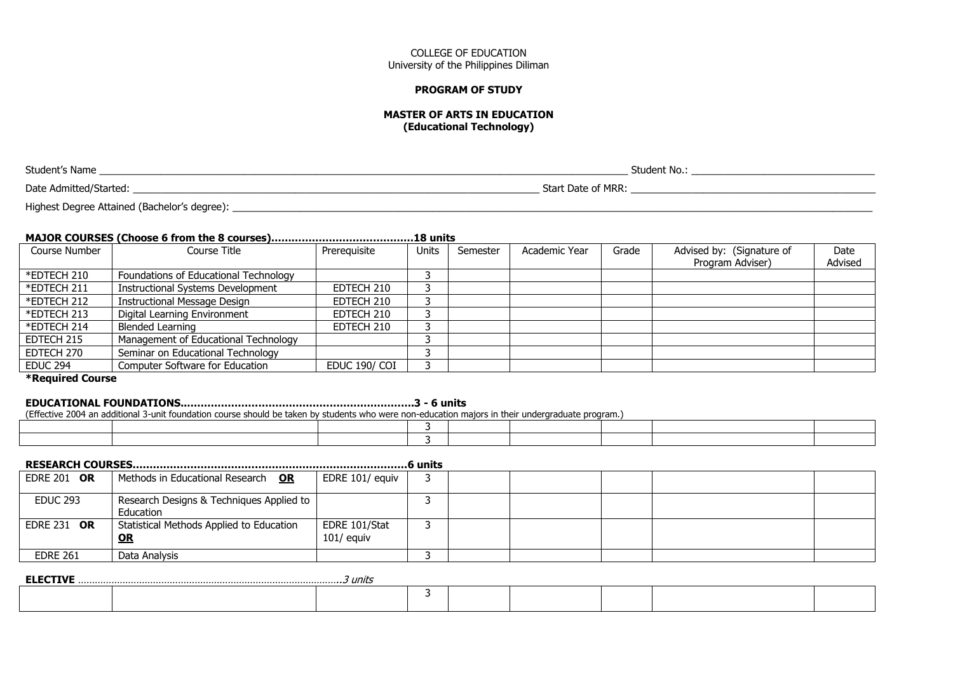#### **PROGRAM OF STUDY**

#### **MASTER OF ARTS IN EDUCATION (Educational Technology)**

Student's Name \_\_\_\_\_\_\_\_\_\_\_\_\_\_\_\_\_\_\_\_\_\_\_\_\_\_\_\_\_\_\_\_\_\_\_\_\_\_\_\_\_\_\_\_\_\_\_\_\_\_\_\_\_\_\_\_\_\_\_\_\_\_\_\_\_\_\_\_\_\_\_\_\_\_\_\_\_\_\_\_\_\_\_\_\_\_\_\_\_\_\_\_\_\_\_ Student No.: \_\_\_\_\_\_\_\_\_\_\_\_\_\_\_\_\_\_\_\_\_\_\_\_\_\_\_\_\_\_\_\_\_

Date Admitted/Started: \_\_\_\_\_\_\_\_\_\_\_\_\_\_\_\_\_\_\_\_\_\_\_\_\_\_\_\_\_\_\_\_\_\_\_\_\_\_\_\_\_\_\_\_\_\_\_\_\_\_\_\_\_\_\_\_\_\_\_\_\_\_\_\_\_\_\_\_\_\_\_\_\_ Start Date of MRR: \_\_\_\_\_\_\_\_\_\_\_\_\_\_\_\_\_\_\_\_\_\_\_\_\_\_\_\_\_\_\_\_\_\_\_\_\_\_\_\_\_\_\_\_

Highest Degree Attained (Bachelor's degree):

# **MAJOR COURSES (Choose 6 from the 8 courses)……………………………………18 units**

| Course Number   | Course Title                             | Prerequisite  | <b>Units</b> | Semester | Academic Year | Grade | Advised by: (Signature of | Date    |
|-----------------|------------------------------------------|---------------|--------------|----------|---------------|-------|---------------------------|---------|
|                 |                                          |               |              |          |               |       | Program Adviser)          | Advised |
| *EDTECH 210     | Foundations of Educational Technology    |               |              |          |               |       |                           |         |
| *EDTECH 211     | <b>Instructional Systems Development</b> | EDTECH 210    |              |          |               |       |                           |         |
| *EDTECH 212     | <b>Instructional Message Design</b>      | EDTECH 210    |              |          |               |       |                           |         |
| *EDTECH 213     | Digital Learning Environment             | EDTECH 210    |              |          |               |       |                           |         |
| *EDTECH 214     | <b>Blended Learning</b>                  | EDTECH 210    |              |          |               |       |                           |         |
| EDTECH 215      | Management of Educational Technology     |               |              |          |               |       |                           |         |
| EDTECH 270      | Seminar on Educational Technology        |               |              |          |               |       |                           |         |
| <b>EDUC 294</b> | Computer Software for Education          | EDUC 190/ COI |              |          |               |       |                           |         |

**\*Required Course**

### **EDUCATIONAL FOUNDATIONS..………………………………………………………….3 - 6 units**

(Effective 2004 an additional 3-unit foundation course should be taken by students who were non-education majors in their undergraduate program.)

| <b>EDRE 201 OR</b> | Methods in Educational Research OR                    | EDRE 101/ equiv               |  |  |  |
|--------------------|-------------------------------------------------------|-------------------------------|--|--|--|
| <b>EDUC 293</b>    | Research Designs & Techniques Applied to<br>Education |                               |  |  |  |
| <b>EDRE 231 OR</b> | Statistical Methods Applied to Education<br><u>OR</u> | EDRE 101/Stat<br>$101/$ equiv |  |  |  |
| <b>EDRE 261</b>    | Data Analysis                                         |                               |  |  |  |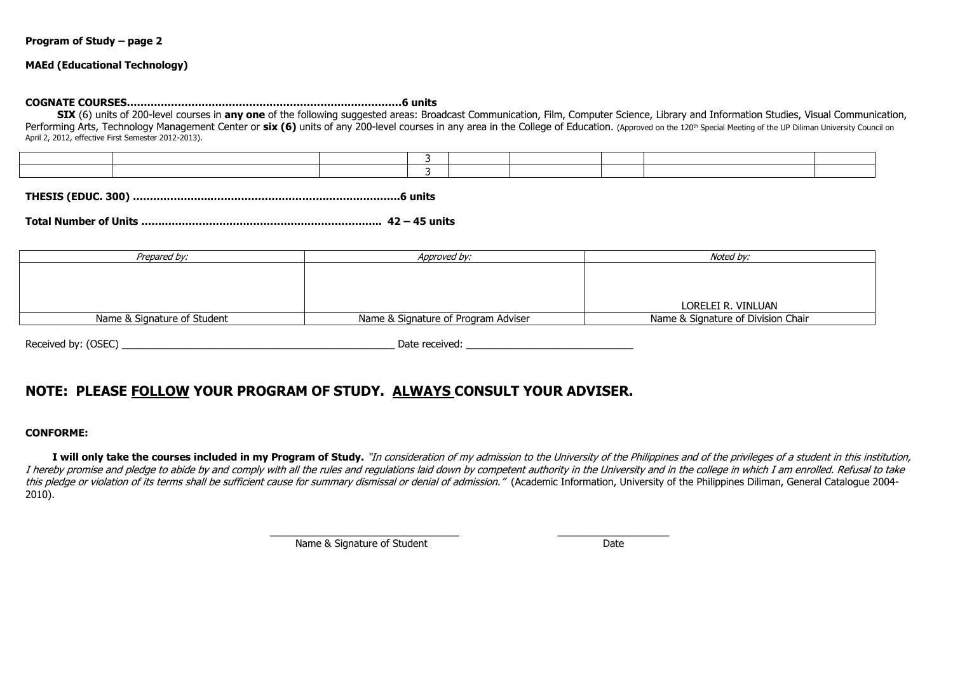#### **MAEd (Educational Technology)**

### **COGNATE COURSES………………………………………………………………………6 units**

 **SIX** (6) units of 200-level courses in **any one** of the following suggested areas: Broadcast Communication, Film, Computer Science, Library and Information Studies, Visual Communication, Performing Arts, Technology Management Center or six (6) units of any 200-level courses in any area in the College of Education. (Approved on the 120<sup>th</sup> Special Meeting of the UP Diliman University Council on April 2, 2012, effective First Semester 2012-2013).

**THESIS (EDUC. 300) …………………..…………………………….………………….6 units**

**Total Number of Units …………………………………………………………….. 42 – 45 units**

| Prepared by:                | Approved by:                        | Noted by:                          |
|-----------------------------|-------------------------------------|------------------------------------|
|                             |                                     |                                    |
|                             |                                     |                                    |
|                             |                                     |                                    |
|                             |                                     | LORELEI R. VINLUAN                 |
| Name & Signature of Student | Name & Signature of Program Adviser | Name & Signature of Division Chair |

Received by: (OSEC) example and the set of the set of the set of the set of the set of the set of the set of the set of the set of the set of the set of the set of the set of the set of the set of the set of the set of the

# **NOTE: PLEASE FOLLOW YOUR PROGRAM OF STUDY. ALWAYS CONSULT YOUR ADVISER.**

#### **CONFORME:**

I will only take the courses included in my Program of Study. "In consideration of my admission to the University of the Philippines and of the privileges of a student in this institution, I hereby promise and pledge to abide by and comply with all the rules and regulations laid down by competent authority in the University and in the college in which I am enrolled. Refusal to take this pledge or violation of its terms shall be sufficient cause for summary dismissal or denial of admission." (Academic Information, University of the Philippines Diliman, General Catalogue 2004-2010).

\_\_\_\_\_\_\_\_\_\_\_\_\_\_\_\_\_\_\_\_\_\_\_\_\_\_\_\_\_\_\_\_\_\_ \_\_\_\_\_\_\_\_\_\_\_\_\_\_\_\_\_\_\_\_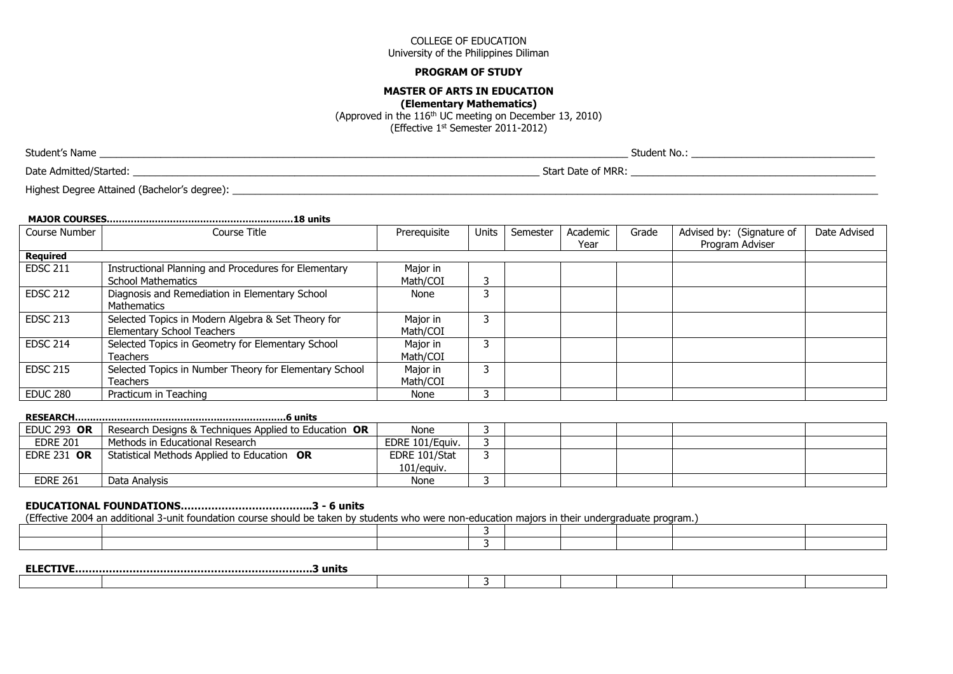#### **PROGRAM OF STUDY**

### **MASTER OF ARTS IN EDUCATION**

**(Elementary Mathematics)**

(Approved in the 116th UC meeting on December 13, 2010) (Effective 1st Semester 2011-2012)

Student's Name \_\_\_\_\_\_\_\_\_\_\_\_\_\_\_\_\_\_\_\_\_\_\_\_\_\_\_\_\_\_\_\_\_\_\_\_\_\_\_\_\_\_\_\_\_\_\_\_\_\_\_\_\_\_\_\_\_\_\_\_\_\_\_\_\_\_\_\_\_\_\_\_\_\_\_\_\_\_\_\_\_\_\_\_\_\_\_\_\_\_\_\_\_\_\_ Student No.: \_\_\_\_\_\_\_\_\_\_\_\_\_\_\_\_\_\_\_\_\_\_\_\_\_\_\_\_\_\_\_\_\_

Date Admitted/Started: \_\_\_\_\_\_\_\_\_\_\_\_\_\_\_\_\_\_\_\_\_\_\_\_\_\_\_\_\_\_\_\_\_\_\_\_\_\_\_\_\_\_\_\_\_\_\_\_\_\_\_\_\_\_\_\_\_\_\_\_\_\_\_\_\_\_\_\_\_\_\_\_\_ Start Date of MRR: \_\_\_\_\_\_\_\_\_\_\_\_\_\_\_\_\_\_\_\_\_\_\_\_\_\_\_\_\_\_\_\_\_\_\_\_\_\_\_\_\_\_\_\_

Highest Degree Attained (Bachelor's degree): \_\_\_\_\_\_\_\_\_\_\_\_\_\_\_\_\_\_\_\_\_\_\_\_\_\_\_\_\_\_\_\_\_\_\_\_\_\_\_\_\_\_\_\_\_\_\_\_\_\_\_\_\_\_\_\_\_\_\_\_\_\_\_\_\_\_\_\_\_\_\_\_\_\_\_\_\_\_\_\_\_\_\_\_\_\_\_\_\_\_\_\_\_\_\_\_\_\_\_\_\_\_\_\_\_\_\_\_\_\_\_\_\_\_\_\_

|                 | .18 units                                                                               |                      |       |          |                  |       |                                              |              |
|-----------------|-----------------------------------------------------------------------------------------|----------------------|-------|----------|------------------|-------|----------------------------------------------|--------------|
| Course Number   | Course Title                                                                            | Prereguisite         | Units | Semester | Academic<br>Year | Grade | Advised by: (Signature of<br>Program Adviser | Date Advised |
| <b>Required</b> |                                                                                         |                      |       |          |                  |       |                                              |              |
| <b>EDSC 211</b> | Instructional Planning and Procedures for Elementary<br><b>School Mathematics</b>       | Major in<br>Math/COI | 3     |          |                  |       |                                              |              |
| <b>EDSC 212</b> | Diagnosis and Remediation in Elementary School<br><b>Mathematics</b>                    | None                 | 3     |          |                  |       |                                              |              |
| <b>EDSC 213</b> | Selected Topics in Modern Algebra & Set Theory for<br><b>Elementary School Teachers</b> | Major in<br>Math/COI | 3     |          |                  |       |                                              |              |
| <b>EDSC 214</b> | Selected Topics in Geometry for Elementary School<br><b>Teachers</b>                    | Major in<br>Math/COI | 3     |          |                  |       |                                              |              |
| <b>EDSC 215</b> | Selected Topics in Number Theory for Elementary School<br><b>Teachers</b>               | Major in<br>Math/COI | 3     |          |                  |       |                                              |              |
| <b>EDUC 280</b> | Practicum in Teaching                                                                   | None                 | 3     |          |                  |       |                                              |              |
| <b>BEGEABOU</b> | $\sim$                                                                                  |                      |       |          |                  |       |                                              |              |

#### **RESEARCH…………………………………………………………….6 units**

| EDUC 293 OR        | Research Designs & Techniques Applied to Education OR | None            |  |  |  |
|--------------------|-------------------------------------------------------|-----------------|--|--|--|
| <b>EDRE 201</b>    | Methods in Educational Research                       | EDRE 101/Eauiv. |  |  |  |
| <b>EDRE 231 OR</b> | Statistical Methods Applied to Education OR           | EDRE 101/Stat   |  |  |  |
|                    |                                                       | 101/eauiv.      |  |  |  |
| <b>EDRE 261</b>    | Data Analysis                                         | None            |  |  |  |

# **EDUCATIONAL FOUNDATIONS………………………………...3 - 6 units**

(Effective 2004 an additional 3-unit foundation course should be taken by students who were non-education majors in their undergraduate program.)

| <b>ELECTIVE</b> | ፡ unɪts |  |  |  |  |
|-----------------|---------|--|--|--|--|
|                 |         |  |  |  |  |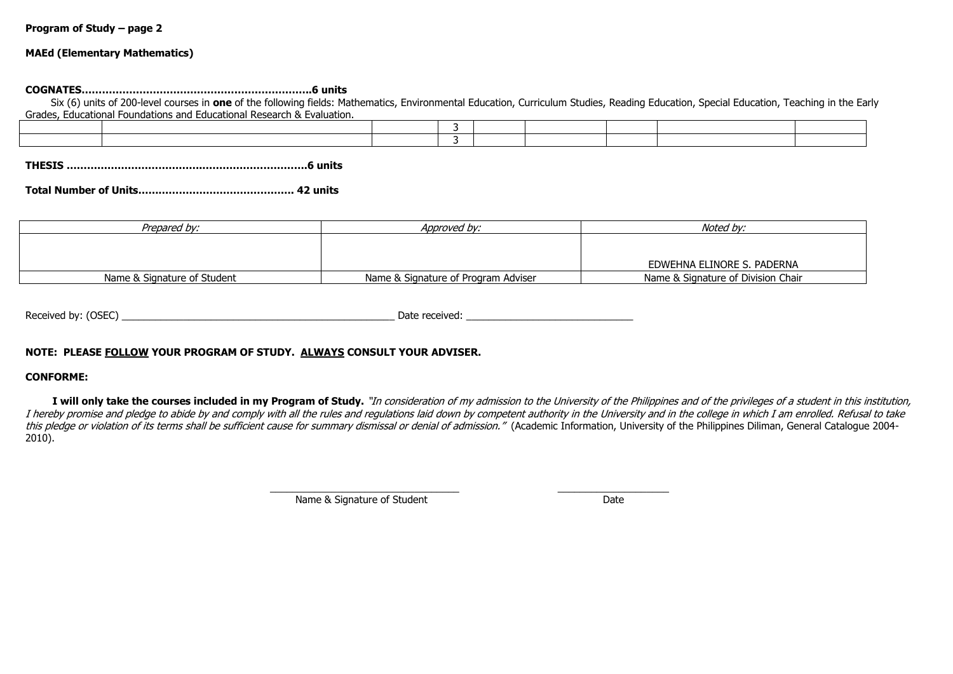#### **MAEd (Elementary Mathematics)**

#### **COGNATES…………………………………………………………..6 units**

 Six (6) units of 200-level courses in **one** of the following fields: Mathematics, Environmental Education, Curriculum Studies, Reading Education, Special Education, Teaching in the Early Grades, Educational Foundations and Educational Research & Evaluation.

**THESIS ………………………………….………………………….6 units**

|--|--|--|--|

| Prepared bv:                | Approved bv:                        | Noted bv:                          |
|-----------------------------|-------------------------------------|------------------------------------|
|                             |                                     |                                    |
|                             |                                     |                                    |
|                             |                                     | EDWEHNA ELINORE S. PADERNA         |
| Name & Signature of Student | Name & Signature of Program Adviser | Name & Signature of Division Chair |

| Received by: (OSEC) | Date received: |
|---------------------|----------------|
|                     |                |

### **NOTE: PLEASE FOLLOW YOUR PROGRAM OF STUDY. ALWAYS CONSULT YOUR ADVISER.**

#### **CONFORME:**

I will only take the courses included in my Program of Study. "In consideration of my admission to the University of the Philippines and of the privileges of a student in this institution, I hereby promise and pledge to abide by and comply with all the rules and regulations laid down by competent authority in the University and in the college in which I am enrolled. Refusal to take this pledge or violation of its terms shall be sufficient cause for summary dismissal or denial of admission." (Academic Information, University of the Philippines Diliman, General Catalogue 2004-2010).

> \_\_\_\_\_\_\_\_\_\_\_\_\_\_\_\_\_\_\_\_\_\_\_\_\_\_\_\_\_\_\_\_\_\_ \_\_\_\_\_\_\_\_\_\_\_\_\_\_\_\_\_\_\_\_ Name & Signature of Student Date Date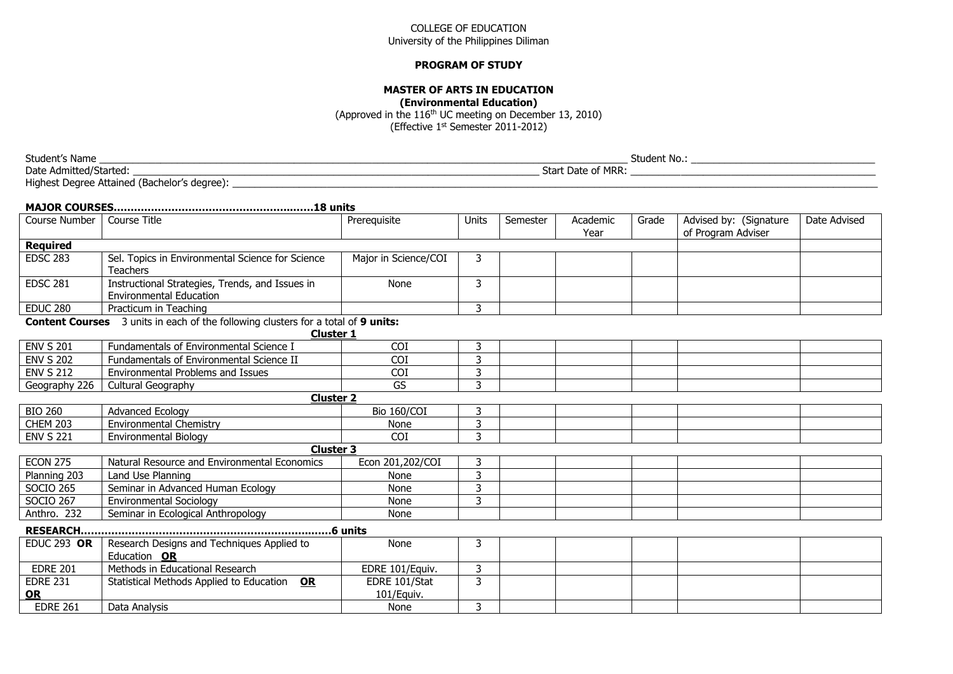#### **PROGRAM OF STUDY**

# **MASTER OF ARTS IN EDUCATION**

**(Environmental Education)**

(Approved in the 116th UC meeting on December 13, 2010) (Effective 1st Semester 2011-2012)

Student's Name \_\_\_\_\_\_\_\_\_\_\_\_\_\_\_\_\_\_\_\_\_\_\_\_\_\_\_\_\_\_\_\_\_\_\_\_\_\_\_\_\_\_\_\_\_\_\_\_\_\_\_\_\_\_\_\_\_\_\_\_\_\_\_\_\_\_\_\_\_\_\_\_\_\_\_\_\_\_\_\_\_\_\_\_\_\_\_\_\_\_\_\_\_\_\_ Student No.: \_\_\_\_\_\_\_\_\_\_\_\_\_\_\_\_\_\_\_\_\_\_\_\_\_\_\_\_\_\_\_\_\_ Date Admitted/Started: \_\_\_\_\_\_\_\_\_\_\_\_\_\_\_\_\_\_\_\_\_\_\_\_\_\_\_\_\_\_\_\_\_\_\_\_\_\_\_\_\_\_\_\_\_\_\_\_\_\_\_\_\_\_\_\_\_\_\_\_\_\_\_\_\_\_\_\_\_\_\_\_\_ Start Date of MRR: \_\_\_\_\_\_\_\_\_\_\_\_\_\_\_\_\_\_\_\_\_\_\_\_\_\_\_\_\_\_\_\_\_\_\_\_\_\_\_\_\_\_\_\_ Highest Degree Attained (Bachelor's degree): \_\_\_\_\_\_\_\_\_\_\_\_\_\_\_\_\_\_\_\_\_\_\_\_\_\_\_\_\_\_\_\_\_\_\_\_\_\_\_\_\_\_\_\_\_\_\_\_\_\_\_\_\_\_\_\_\_\_\_\_\_\_\_\_\_\_\_\_\_\_\_\_\_\_\_\_\_\_\_\_\_\_\_\_\_\_\_\_\_\_\_\_\_\_\_\_\_\_\_\_\_\_\_\_\_\_\_\_\_\_\_\_\_\_\_\_

| Course Number         | Course Title                                                                                                 | Prerequisite                | Units | Semester | Academic<br>Year | Grade | Advised by: (Signature<br>of Program Adviser | Date Advised |
|-----------------------|--------------------------------------------------------------------------------------------------------------|-----------------------------|-------|----------|------------------|-------|----------------------------------------------|--------------|
| <b>Required</b>       |                                                                                                              |                             |       |          |                  |       |                                              |              |
| <b>EDSC 283</b>       | Sel. Topics in Environmental Science for Science<br><b>Teachers</b>                                          | Major in Science/COI        | 3     |          |                  |       |                                              |              |
| <b>EDSC 281</b>       | Instructional Strategies, Trends, and Issues in<br><b>Environmental Education</b>                            | None                        | 3     |          |                  |       |                                              |              |
| <b>EDUC 280</b>       | Practicum in Teaching                                                                                        |                             | 3     |          |                  |       |                                              |              |
|                       | <b>Content Courses</b> 3 units in each of the following clusters for a total of 9 units:<br><b>Cluster 1</b> |                             |       |          |                  |       |                                              |              |
| <b>ENV S 201</b>      | Fundamentals of Environmental Science I                                                                      | <b>COI</b>                  | 3     |          |                  |       |                                              |              |
| <b>ENV S 202</b>      | Fundamentals of Environmental Science II                                                                     | <b>COI</b>                  | 3     |          |                  |       |                                              |              |
| <b>ENV S 212</b>      | Environmental Problems and Issues                                                                            | <b>COI</b>                  | 3     |          |                  |       |                                              |              |
| Geography 226         | Cultural Geography                                                                                           | GS                          | 3     |          |                  |       |                                              |              |
|                       | <b>Cluster 2</b>                                                                                             |                             |       |          |                  |       |                                              |              |
| <b>BIO 260</b>        | <b>Advanced Ecology</b>                                                                                      | Bio 160/COI                 | 3     |          |                  |       |                                              |              |
| <b>CHEM 203</b>       | <b>Environmental Chemistry</b>                                                                               | None                        | 3     |          |                  |       |                                              |              |
| <b>ENV S 221</b>      | Environmental Biology                                                                                        | <b>COI</b>                  | 3     |          |                  |       |                                              |              |
|                       | <b>Cluster 3</b>                                                                                             |                             |       |          |                  |       |                                              |              |
| <b>ECON 275</b>       | Natural Resource and Environmental Economics                                                                 | Econ 201,202/COI            | 3     |          |                  |       |                                              |              |
| Planning 203          | Land Use Planning                                                                                            | None                        | 3     |          |                  |       |                                              |              |
| <b>SOCIO 265</b>      | Seminar in Advanced Human Ecology                                                                            | None                        | 3     |          |                  |       |                                              |              |
| <b>SOCIO 267</b>      | <b>Environmental Sociology</b>                                                                               | None                        | 3     |          |                  |       |                                              |              |
| Anthro. 232           | Seminar in Ecological Anthropology                                                                           | None                        |       |          |                  |       |                                              |              |
|                       |                                                                                                              |                             |       |          |                  |       |                                              |              |
| <b>EDUC 293 OR</b>    | Research Designs and Techniques Applied to<br>Education OR                                                   | None                        | 3     |          |                  |       |                                              |              |
| <b>EDRE 201</b>       | Methods in Educational Research                                                                              | EDRE 101/Equiv.             | 3     |          |                  |       |                                              |              |
| <b>EDRE 231</b><br>OR | <u>OR</u><br>Statistical Methods Applied to Education                                                        | EDRE 101/Stat<br>101/Equiv. | 3     |          |                  |       |                                              |              |
| <b>EDRE 261</b>       | Data Analysis                                                                                                | None                        | 3     |          |                  |       |                                              |              |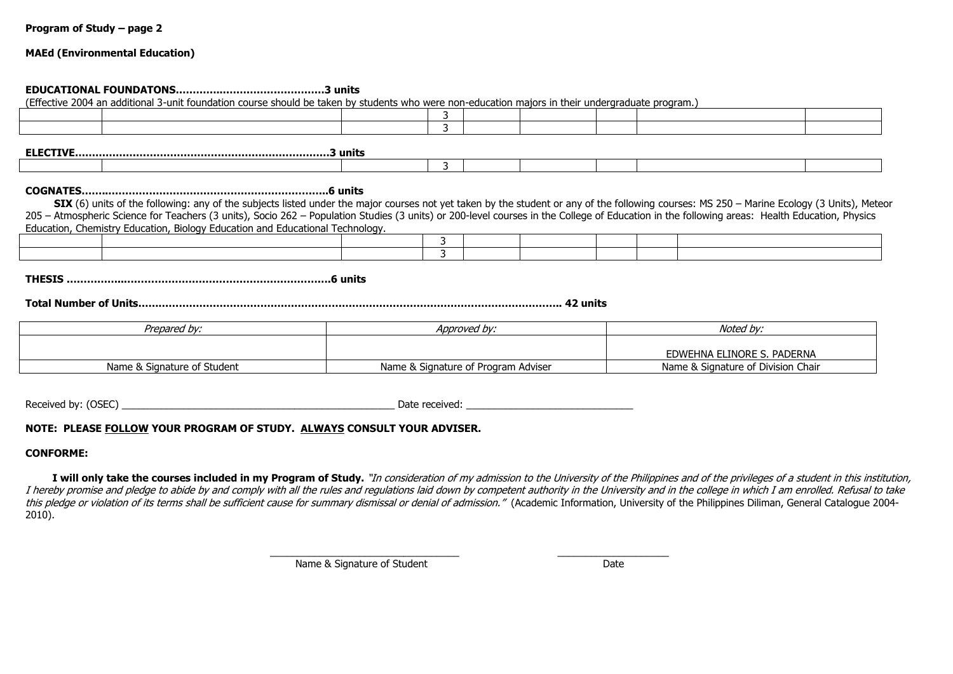### **MAEd (Environmental Education)**

#### **EDUCATIONAL FOUNDATONS…………..…………………………3 units**

(Effective 2004 an additional 3-unit foundation course should be taken by students who were non-education majors in their undergraduate program.)

3

**ELECTIVE…………………………………………………………………3 units**

# **COGNATES……..………………………………………………………..6 units**

**SIX** (6) units of the following: any of the subjects listed under the major courses not yet taken by the student or any of the following courses: MS 250 – Marine Ecology (3 Units), Meteor 205 – Atmospheric Science for Teachers (3 units), Socio 262 – Population Studies (3 units) or 200-level courses in the College of Education in the following areas: Health Education, Physics Education, Chemistry Education, Biology Education and Educational Technology.

| . |  |  |  |  |
|---|--|--|--|--|
|   |  |  |  |  |
|   |  |  |  |  |

**THESIS ……………..…………………………………………………….6 units**

**Total Number of Units…………………………………………………………………………………………………………….. 42 units**

| Prepared by:                | Approved by:                        | Noted by:                          |
|-----------------------------|-------------------------------------|------------------------------------|
|                             |                                     |                                    |
|                             |                                     | EDWEHNA ELINORE S. PADERNA         |
| Name & Signature of Student | Name & Signature of Program Adviser | Name & Signature of Division Chair |

Received by: (OSEC) \_\_\_\_\_\_\_\_\_\_\_\_\_\_\_\_\_\_\_\_\_\_\_\_\_\_\_\_\_\_\_\_\_\_\_\_\_\_\_\_\_\_\_\_\_\_\_\_\_ Date received: \_\_\_\_\_\_\_\_\_\_\_\_\_\_\_\_\_\_\_\_\_\_\_\_\_\_\_\_\_\_

### **NOTE: PLEASE FOLLOW YOUR PROGRAM OF STUDY. ALWAYS CONSULT YOUR ADVISER.**

### **CONFORME:**

I will only take the courses included in my Program of Study. "In consideration of my admission to the University of the Philippines and of the privileges of a student in this institution, I hereby promise and pledge to abide by and comply with all the rules and regulations laid down by competent authority in the University and in the college in which I am enrolled. Refusal to take this pledge or violation of its terms shall be sufficient cause for summary dismissal or denial of admission." (Academic Information, University of the Philippines Diliman, General Catalogue 2004-2010).

\_\_\_\_\_\_\_\_\_\_\_\_\_\_\_\_\_\_\_\_\_\_\_\_\_\_\_\_\_\_\_\_\_\_ \_\_\_\_\_\_\_\_\_\_\_\_\_\_\_\_\_\_\_\_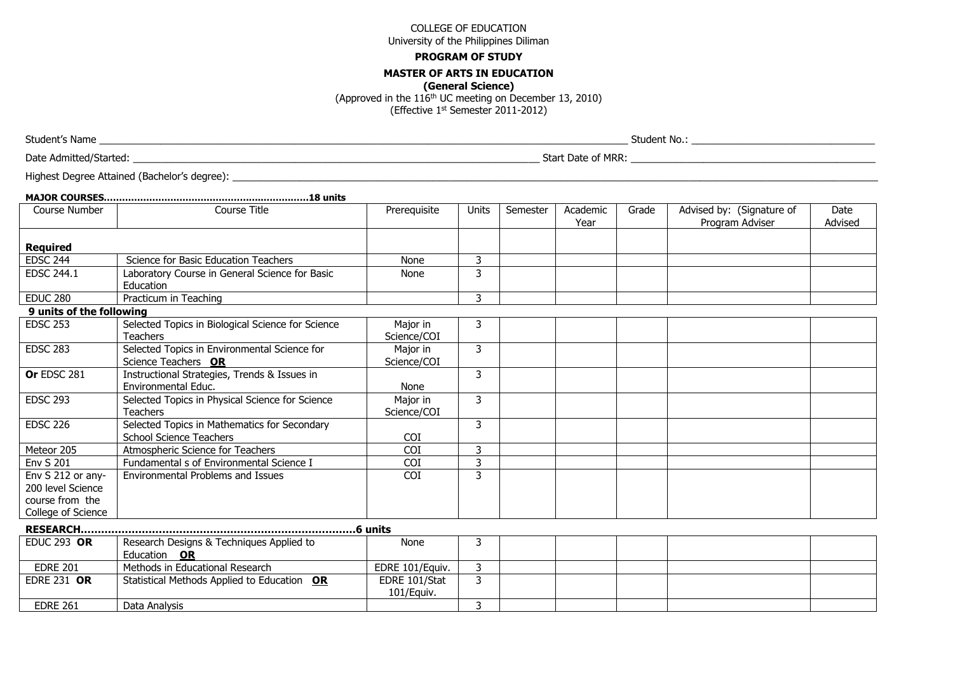#### **PROGRAM OF STUDY**

#### **MASTER OF ARTS IN EDUCATION**

**(General Science)**

(Approved in the 116th UC meeting on December 13, 2010)

(Effective 1st Semester 2011-2012)

Student's Name \_\_\_\_\_\_\_\_\_\_\_\_\_\_\_\_\_\_\_\_\_\_\_\_\_\_\_\_\_\_\_\_\_\_\_\_\_\_\_\_\_\_\_\_\_\_\_\_\_\_\_\_\_\_\_\_\_\_\_\_\_\_\_\_\_\_\_\_\_\_\_\_\_\_\_\_\_\_\_\_\_\_\_\_\_\_\_\_\_\_\_\_\_\_\_ Student No.: \_\_\_\_\_\_\_\_\_\_\_\_\_\_\_\_\_\_\_\_\_\_\_\_\_\_\_\_\_\_\_\_\_

Date Admitted/Started: **Example 2008** Start Date of MRR: Start Date of MRR: **Example 2008** Start Date of MRR:

Highest Degree Attained (Bachelor's degree): \_\_\_\_\_\_\_\_\_\_\_\_\_\_\_\_\_\_\_\_\_\_\_\_\_\_\_\_\_\_\_\_\_\_\_\_\_\_\_\_\_\_\_\_\_\_\_\_\_\_\_\_\_\_\_\_\_\_\_\_\_\_\_\_\_\_\_\_\_\_\_\_\_\_\_\_\_\_\_\_\_\_\_\_\_\_\_\_\_\_\_\_\_\_\_\_\_\_\_\_\_\_\_\_\_\_\_\_\_\_\_\_\_\_\_\_

| Course Number                                                                   | Course Title                                                                   | Prerequisite                | <b>Units</b> | Semester | Academic<br>Year | Grade | Advised by: (Signature of<br>Program Adviser | Date<br>Advised |
|---------------------------------------------------------------------------------|--------------------------------------------------------------------------------|-----------------------------|--------------|----------|------------------|-------|----------------------------------------------|-----------------|
| <b>Required</b>                                                                 |                                                                                |                             |              |          |                  |       |                                              |                 |
| <b>EDSC 244</b>                                                                 | Science for Basic Education Teachers                                           | None                        | 3            |          |                  |       |                                              |                 |
| EDSC 244.1                                                                      | Laboratory Course in General Science for Basic<br>Education                    | None                        | 3            |          |                  |       |                                              |                 |
| <b>EDUC 280</b>                                                                 | Practicum in Teaching                                                          |                             | 3            |          |                  |       |                                              |                 |
| 9 units of the following                                                        |                                                                                |                             |              |          |                  |       |                                              |                 |
| <b>EDSC 253</b>                                                                 | Selected Topics in Biological Science for Science<br><b>Teachers</b>           | Major in<br>Science/COI     | 3            |          |                  |       |                                              |                 |
| <b>EDSC 283</b>                                                                 | Selected Topics in Environmental Science for<br>Science Teachers OR            | Major in<br>Science/COI     | 3            |          |                  |       |                                              |                 |
| <b>Or EDSC 281</b>                                                              | Instructional Strategies, Trends & Issues in<br>Environmental Educ.            | None                        | 3            |          |                  |       |                                              |                 |
| <b>EDSC 293</b>                                                                 | Selected Topics in Physical Science for Science<br><b>Teachers</b>             | Major in<br>Science/COI     | 3            |          |                  |       |                                              |                 |
| <b>EDSC 226</b>                                                                 | Selected Topics in Mathematics for Secondary<br><b>School Science Teachers</b> | COI                         | 3            |          |                  |       |                                              |                 |
| Meteor 205                                                                      | Atmospheric Science for Teachers                                               | COI                         | 3            |          |                  |       |                                              |                 |
| <b>Env S 201</b>                                                                | Fundamental s of Environmental Science I                                       | COI                         | 3            |          |                  |       |                                              |                 |
| Env S 212 or any-<br>200 level Science<br>course from the<br>College of Science | <b>Environmental Problems and Issues</b>                                       | <b>COI</b>                  | 3            |          |                  |       |                                              |                 |
|                                                                                 |                                                                                |                             |              |          |                  |       |                                              |                 |
| <b>EDUC 293 OR</b>                                                              | Research Designs & Techniques Applied to<br>Education OR                       | None                        | 3            |          |                  |       |                                              |                 |
| <b>EDRE 201</b>                                                                 | Methods in Educational Research                                                | EDRE 101/Equiv.             | 3            |          |                  |       |                                              |                 |
| <b>EDRE 231 OR</b>                                                              | Statistical Methods Applied to Education OR                                    | EDRE 101/Stat<br>101/Equiv. | 3            |          |                  |       |                                              |                 |
| <b>EDRE 261</b>                                                                 | Data Analysis                                                                  |                             | 3            |          |                  |       |                                              |                 |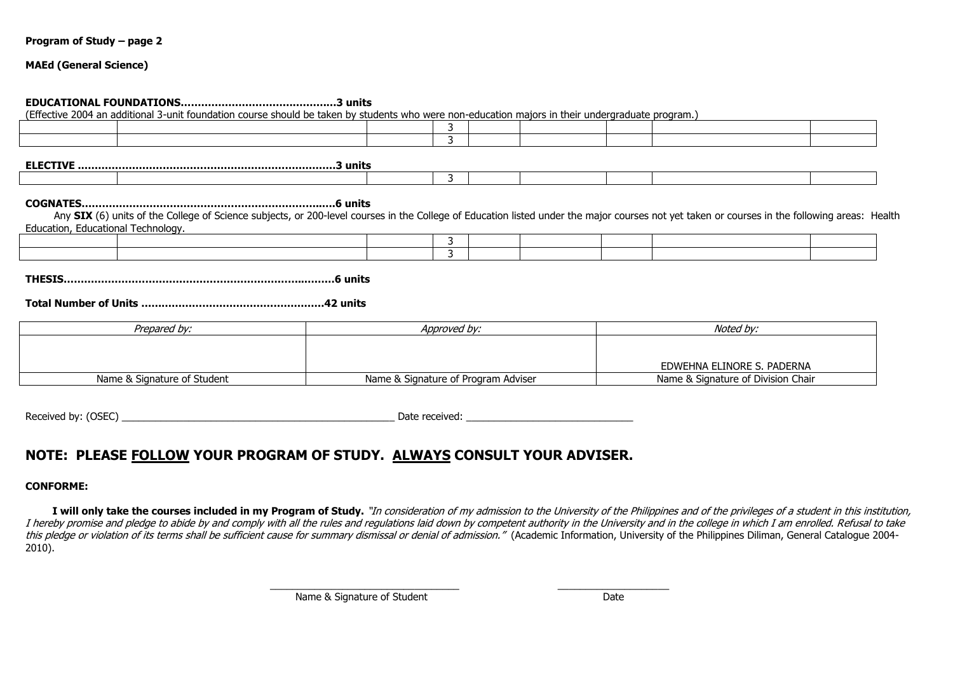#### **MAEd (General Science)**

#### **EDUCATIONAL FOUNDATIONS…………………………………….…3 units**

(Effective 2004 an additional 3-unit foundation course should be taken by students who were non-education majors in their undergraduate program.)

3

**ELECTIVE .…………………………………………………………………3 units**

#### **COGNATES……………………………………………………………..….6 units**

Any SIX (6) units of the College of Science subjects, or 200-level courses in the College of Education listed under the major courses not yet taken or courses in the following areas: Health Education, Educational Technology.

**THESIS……………………………………………………………..………6 units**

#### **Total Number of Units ………………………………………………42 units**

| Prepared by:                | Approved by:                        | Noted bv:                          |
|-----------------------------|-------------------------------------|------------------------------------|
|                             |                                     |                                    |
|                             |                                     |                                    |
|                             |                                     | EDWEHNA ELINORE S. PADERNA         |
| Name & Signature of Student | Name & Signature of Program Adviser | Name & Signature of Division Chair |

Received by: (OSEC) example and the set of the set of the set of the set of the set of the set of the set of the set of the set of the set of the set of the set of the set of the set of the set of the set of the set of the

# **NOTE: PLEASE FOLLOW YOUR PROGRAM OF STUDY. ALWAYS CONSULT YOUR ADVISER.**

#### **CONFORME:**

I will only take the courses included in my Program of Study. "In consideration of my admission to the University of the Philippines and of the privileges of a student in this institution, I hereby promise and pledge to abide by and comply with all the rules and regulations laid down by competent authority in the University and in the college in which I am enrolled. Refusal to take this pledge or violation of its terms shall be sufficient cause for summary dismissal or denial of admission." (Academic Information, University of the Philippines Diliman, General Catalogue 2004-2010).

\_\_\_\_\_\_\_\_\_\_\_\_\_\_\_\_\_\_\_\_\_\_\_\_\_\_\_\_\_\_\_\_\_\_ \_\_\_\_\_\_\_\_\_\_\_\_\_\_\_\_\_\_\_\_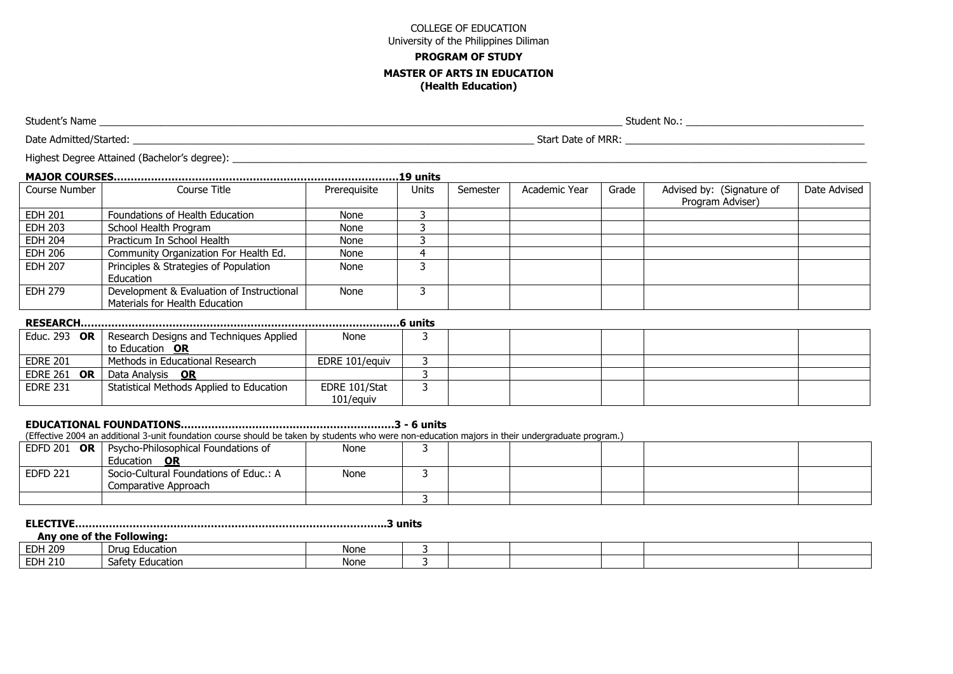# **PROGRAM OF STUDY MASTER OF ARTS IN EDUCATION**

**(Health Education)**

Student's Name \_\_\_\_\_\_\_\_\_\_\_\_\_\_\_\_\_\_\_\_\_\_\_\_\_\_\_\_\_\_\_\_\_\_\_\_\_\_\_\_\_\_\_\_\_\_\_\_\_\_\_\_\_\_\_\_\_\_\_\_\_\_\_\_\_\_\_\_\_\_\_\_\_\_\_\_\_\_\_\_\_\_\_\_\_\_\_\_\_\_\_\_\_\_ Student No.: \_\_\_\_\_\_\_\_\_\_\_\_\_\_\_\_\_\_\_\_\_\_\_\_\_\_\_\_\_\_\_\_

Date Admitted/Started: with a start Date of MRR: with a start Date of MRR: with a start Date of MRR: with a start Date of MRR:

Highest Degree Attained (Bachelor's degree): <br>

|                | 19 units                                                                    |              |       |          |               |       |                                               |              |  |  |  |  |
|----------------|-----------------------------------------------------------------------------|--------------|-------|----------|---------------|-------|-----------------------------------------------|--------------|--|--|--|--|
| Course Number  | Course Title                                                                | Prerequisite | Units | Semester | Academic Year | Grade | Advised by: (Signature of<br>Program Adviser) | Date Advised |  |  |  |  |
| EDH 201        | Foundations of Health Education                                             | None         |       |          |               |       |                                               |              |  |  |  |  |
| <b>EDH 203</b> | School Health Program                                                       | None         |       |          |               |       |                                               |              |  |  |  |  |
| <b>EDH 204</b> | Practicum In School Health                                                  | None         |       |          |               |       |                                               |              |  |  |  |  |
| <b>EDH 206</b> | Community Organization For Health Ed.                                       | None         |       |          |               |       |                                               |              |  |  |  |  |
| <b>EDH 207</b> | Principles & Strategies of Population<br>Education                          | None         |       |          |               |       |                                               |              |  |  |  |  |
| EDH 279        | Development & Evaluation of Instructional<br>Materials for Health Education | None         |       |          |               |       |                                               |              |  |  |  |  |

| <b>RESEARCH</b> |  |  |  |
|-----------------|--|--|--|
|                 |  |  |  |
|                 |  |  |  |

#### **RESEARCH……………………………………………………………………………….…6 units**

|                     | Educ. 293 OR   Research Designs and Techniques Applied | None           |  |  |  |
|---------------------|--------------------------------------------------------|----------------|--|--|--|
|                     | to Education OR                                        |                |  |  |  |
| <b>EDRE 201</b>     | Methods in Educational Research                        | EDRE 101/eauiv |  |  |  |
| EDRE 261 OR $\vert$ | Data Analysis OR                                       |                |  |  |  |
| <b>EDRE 231</b>     | Statistical Methods Applied to Education               | EDRE 101/Stat  |  |  |  |
|                     |                                                        | 101/equiv      |  |  |  |

# **EDUCATIONAL FOUNDATIONS………………………………………………………3 - 6 units**

(Effective 2004 an additional 3-unit foundation course should be taken by students who were non-education majors in their undergraduate program.)

|                 | EDFD 201 $OR$   Psycho-Philosophical Foundations of | None |  |  |  |
|-----------------|-----------------------------------------------------|------|--|--|--|
|                 | <b>Education</b><br>OR                              |      |  |  |  |
| <b>EDFD 221</b> | Socio-Cultural Foundations of Educ.: A              | None |  |  |  |
|                 | Comparative Approach                                |      |  |  |  |
|                 |                                                     |      |  |  |  |

### **ELECTIVE………………………………………………………………………………..3 units**

#### **Any one of the Following:**

| <b>EDH 209</b> | $\overline{\phantom{0}}$<br>i Education<br>⊃rua ' | None |  |  |  |
|----------------|---------------------------------------------------|------|--|--|--|
| <b>EDH 210</b> | -<br>Safel<br>ucation                             | None |  |  |  |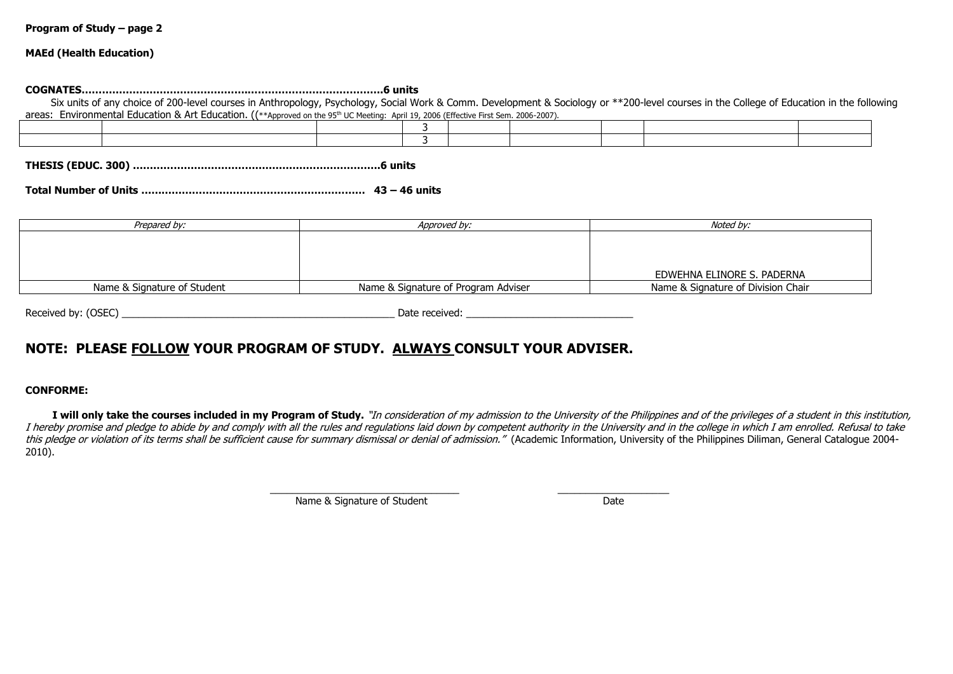#### **MAEd (Health Education)**

#### **COGNATES………………………………………….………………………………….6 units**

Six units of anv choice of 200-level courses in Anthropology, Psychology, Social Work & Comm. Development & Sociology or \*\*200-level courses in the College of Education in the following areas: Environmental Education & Art Education. ((\*\*Approved on the 95th UC Meeting: April 19, 2006 (Effective First Sem. 2006-2007).

**THESIS (EDUC. 300) ……………………………………………………………….6 units**

**Total Number of Units ………………………………………………………… 43 – 46 units**

| Prepared by:                | Approved by:                        | Noted by:                          |
|-----------------------------|-------------------------------------|------------------------------------|
|                             |                                     |                                    |
|                             |                                     |                                    |
|                             |                                     |                                    |
|                             |                                     | EDWEHNA ELINORE S. PADERNA         |
| Name & Signature of Student | Name & Signature of Program Adviser | Name & Signature of Division Chair |

Received by: (OSEC) example and the set of the set of the set of the set of the set of the set of the set of the set of the set of the set of the set of the set of the set of the set of the set of the set of the set of the

# **NOTE: PLEASE FOLLOW YOUR PROGRAM OF STUDY. ALWAYS CONSULT YOUR ADVISER.**

#### **CONFORME:**

I will only take the courses included in my Program of Study. "In consideration of my admission to the University of the Philippines and of the privileges of a student in this institution, I hereby promise and pledge to abide by and comply with all the rules and regulations laid down by competent authority in the University and in the college in which I am enrolled. Refusal to take this pledge or violation of its terms shall be sufficient cause for summary dismissal or denial of admission." (Academic Information, University of the Philippines Diliman, General Catalogue 2004-2010).

\_\_\_\_\_\_\_\_\_\_\_\_\_\_\_\_\_\_\_\_\_\_\_\_\_\_\_\_\_\_\_\_\_\_ \_\_\_\_\_\_\_\_\_\_\_\_\_\_\_\_\_\_\_\_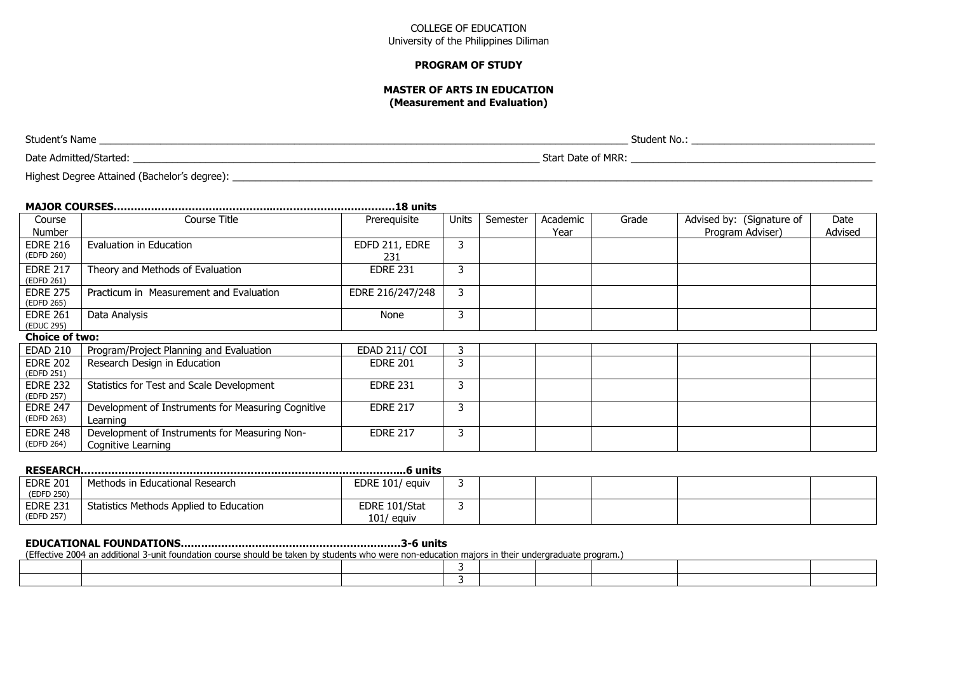#### **PROGRAM OF STUDY**

#### **MASTER OF ARTS IN EDUCATION (Measurement and Evaluation)**

Student's Name \_\_\_\_\_\_\_\_\_\_\_\_\_\_\_\_\_\_\_\_\_\_\_\_\_\_\_\_\_\_\_\_\_\_\_\_\_\_\_\_\_\_\_\_\_\_\_\_\_\_\_\_\_\_\_\_\_\_\_\_\_\_\_\_\_\_\_\_\_\_\_\_\_\_\_\_\_\_\_\_\_\_\_\_\_\_\_\_\_\_\_\_\_\_\_ Student No.: \_\_\_\_\_\_\_\_\_\_\_\_\_\_\_\_\_\_\_\_\_\_\_\_\_\_\_\_\_\_\_\_\_ Date Admitted/Started: **Example 2008** Start Date of MRR: Start Date of MRR: **Example 2008** Start Date of MRR:

Highest Degree Attained (Bachelor's degree): \_\_\_\_\_\_\_\_\_\_\_\_\_\_\_\_\_\_\_\_\_\_\_\_\_\_\_\_\_\_\_\_\_\_\_\_\_\_\_\_\_\_\_\_\_\_\_\_\_\_\_\_\_\_\_\_\_\_\_\_\_\_\_\_\_\_\_\_\_\_\_\_\_\_\_\_\_\_\_\_\_\_\_\_\_\_\_\_\_\_\_\_\_\_\_\_\_\_\_\_\_\_\_\_\_\_\_\_\_\_\_\_\_\_\_

| Course                        | Course Title                                                        | Prerequisite          | <b>Units</b> | Semester | Academic | Grade | Advised by: (Signature of | Date    |
|-------------------------------|---------------------------------------------------------------------|-----------------------|--------------|----------|----------|-------|---------------------------|---------|
| Number                        |                                                                     |                       |              |          | Year     |       | Program Adviser)          | Advised |
| <b>EDRE 216</b><br>(EDFD 260) | Evaluation in Education                                             | EDFD 211, EDRE<br>231 | 3            |          |          |       |                           |         |
| <b>EDRE 217</b><br>(EDFD 261) | Theory and Methods of Evaluation                                    | <b>EDRE 231</b>       | 3            |          |          |       |                           |         |
| <b>EDRE 275</b><br>(EDFD 265) | Practicum in Measurement and Evaluation                             | EDRE 216/247/248      | 3            |          |          |       |                           |         |
| <b>EDRE 261</b><br>(EDUC 295) | Data Analysis                                                       | None                  | 3            |          |          |       |                           |         |
| <b>Choice of two:</b>         |                                                                     |                       |              |          |          |       |                           |         |
| <b>EDAD 210</b>               | Program/Project Planning and Evaluation                             | <b>EDAD 211/ COI</b>  | 3            |          |          |       |                           |         |
| <b>EDRE 202</b><br>(EDFD 251) | Research Design in Education                                        | <b>EDRE 201</b>       | 3            |          |          |       |                           |         |
| <b>EDRE 232</b><br>(EDFD 257) | Statistics for Test and Scale Development                           | <b>EDRE 231</b>       | 3            |          |          |       |                           |         |
| <b>EDRE 247</b><br>(EDFD 263) | Development of Instruments for Measuring Cognitive<br>Learning      | <b>EDRE 217</b>       | 3            |          |          |       |                           |         |
| <b>EDRE 248</b><br>(EDFD 264) | Development of Instruments for Measuring Non-<br>Cognitive Learning | <b>EDRE 217</b>       | 3            |          |          |       |                           |         |

| <b>EDRE 201</b> | Methods in Educational Research         | EDRE 101/ equiv |   |  |  |  |  |  |  |  |
|-----------------|-----------------------------------------|-----------------|---|--|--|--|--|--|--|--|
| (EDFD 250)      |                                         |                 |   |  |  |  |  |  |  |  |
| <b>EDRE 231</b> | Statistics Methods Applied to Education | EDRE 101/Stat   | س |  |  |  |  |  |  |  |
| (EDFD 257)      |                                         | $101/$ equiv    |   |  |  |  |  |  |  |  |

# **EDUCATIONAL FOUNDATIONS……….…………….…………………………………3-6 units**

(Effective 2004 an additional 3-unit foundation course should be taken by students who were non-education majors in their undergraduate program.)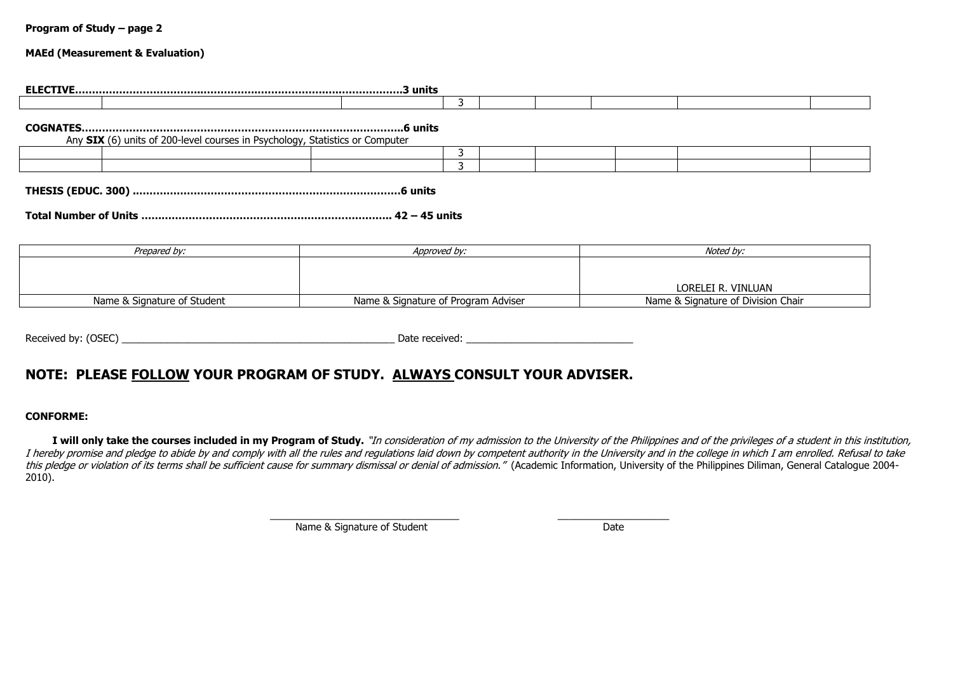#### **MAEd (Measurement & Evaluation)**

|                                                                              | 3            |                    |
|------------------------------------------------------------------------------|--------------|--------------------|
| Any SIX (6) units of 200-level courses in Psychology, Statistics or Computer |              |                    |
|                                                                              |              |                    |
|                                                                              | ٦            |                    |
|                                                                              |              |                    |
| Prepared by:                                                                 | Approved by: | Noted by:          |
|                                                                              |              |                    |
|                                                                              |              | LORELEI R. VINLUAN |

Received by: (OSEC) example and the set of the set of the set of the set of the set of the set of the set of the set of the set of the set of the set of the set of the set of the set of the set of the set of the set of the

# **NOTE: PLEASE FOLLOW YOUR PROGRAM OF STUDY. ALWAYS CONSULT YOUR ADVISER.**

### **CONFORME:**

I will only take the courses included in my Program of Study. "In consideration of my admission to the University of the Philippines and of the privileges of a student in this institution, I hereby promise and pledge to abide by and comply with all the rules and regulations laid down by competent authority in the University and in the college in which I am enrolled. Refusal to take this pledge or violation of its terms shall be sufficient cause for summary dismissal or denial of admission." (Academic Information, University of the Philippines Diliman, General Catalogue 2004-2010).

> \_\_\_\_\_\_\_\_\_\_\_\_\_\_\_\_\_\_\_\_\_\_\_\_\_\_\_\_\_\_\_\_\_\_ \_\_\_\_\_\_\_\_\_\_\_\_\_\_\_\_\_\_\_\_ Name & Signature of Student Date Date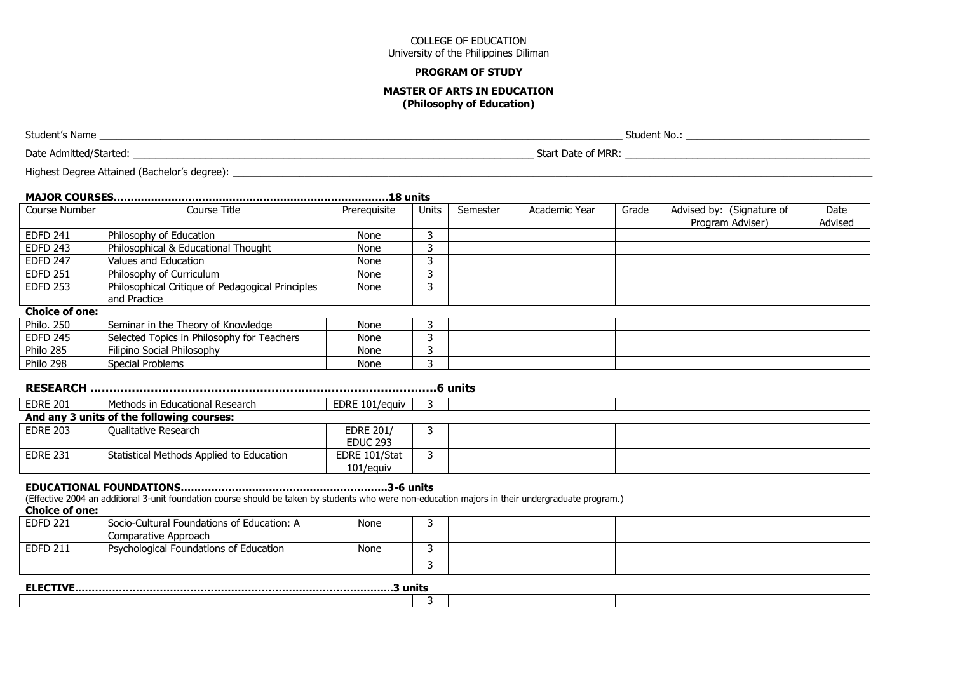#### **PROGRAM OF STUDY**

#### **MASTER OF ARTS IN EDUCATION (Philosophy of Education)**

Student's Name \_\_\_\_\_\_\_\_\_\_\_\_\_\_\_\_\_\_\_\_\_\_\_\_\_\_\_\_\_\_\_\_\_\_\_\_\_\_\_\_\_\_\_\_\_\_\_\_\_\_\_\_\_\_\_\_\_\_\_\_\_\_\_\_\_\_\_\_\_\_\_\_\_\_\_\_\_\_\_\_\_\_\_\_\_\_\_\_\_\_\_\_\_\_ Student No.: \_\_\_\_\_\_\_\_\_\_\_\_\_\_\_\_\_\_\_\_\_\_\_\_\_\_\_\_\_\_\_\_\_ Date Admitted/Started: \_\_\_\_\_\_\_\_\_\_\_\_\_\_\_\_\_\_\_\_\_\_\_\_\_\_\_\_\_\_\_\_\_\_\_\_\_\_\_\_\_\_\_\_\_\_\_\_\_\_\_\_\_\_\_\_\_\_\_\_\_\_\_\_\_\_\_\_\_\_\_\_ Start Date of MRR: \_\_\_\_\_\_\_\_\_\_\_\_\_\_\_\_\_\_\_\_\_\_\_\_\_\_\_\_\_\_\_\_\_\_\_\_\_\_\_\_\_\_\_\_ Highest Degree Attained (Bachelor's degree): \_\_\_\_\_\_\_\_\_\_\_\_\_\_\_\_\_\_\_\_\_\_\_\_\_\_\_\_\_\_\_\_\_\_\_\_\_\_\_\_\_\_\_\_\_\_\_\_\_\_\_\_\_\_\_\_\_\_\_\_\_\_\_\_\_\_\_\_\_\_\_\_\_\_\_\_\_\_\_\_\_\_\_\_\_\_\_\_\_\_\_\_\_\_\_\_\_\_\_\_\_\_\_\_\_\_\_\_\_\_\_\_\_\_\_

| Course Number         | Course Title                                                                                                                                      | Prerequisite                        | Units | Semester | Academic Year | Grade | Advised by: (Signature of<br>Program Adviser) | Date<br>Advised |
|-----------------------|---------------------------------------------------------------------------------------------------------------------------------------------------|-------------------------------------|-------|----------|---------------|-------|-----------------------------------------------|-----------------|
| <b>EDFD 241</b>       | Philosophy of Education                                                                                                                           | None                                | 3     |          |               |       |                                               |                 |
| <b>EDFD 243</b>       | Philosophical & Educational Thought                                                                                                               | None                                | 3     |          |               |       |                                               |                 |
| <b>EDFD 247</b>       | Values and Education                                                                                                                              | None                                | 3     |          |               |       |                                               |                 |
| <b>EDFD 251</b>       | Philosophy of Curriculum                                                                                                                          | None                                |       |          |               |       |                                               |                 |
| <b>EDFD 253</b>       | Philosophical Critique of Pedagogical Principles<br>and Practice                                                                                  | None                                | 3     |          |               |       |                                               |                 |
| <b>Choice of one:</b> |                                                                                                                                                   |                                     |       |          |               |       |                                               |                 |
| <b>Philo. 250</b>     | Seminar in the Theory of Knowledge                                                                                                                | None                                | 3     |          |               |       |                                               |                 |
| <b>EDFD 245</b>       | Selected Topics in Philosophy for Teachers                                                                                                        | None                                |       |          |               |       |                                               |                 |
| Philo 285             | Filipino Social Philosophy                                                                                                                        | None                                | 3     |          |               |       |                                               |                 |
| Philo 298             | <b>Special Problems</b>                                                                                                                           | None                                | 3     |          |               |       |                                               |                 |
|                       |                                                                                                                                                   |                                     |       | .6 units |               |       |                                               |                 |
| <b>EDRE 201</b>       | Methods in Educational Research                                                                                                                   | EDRE 101/equiv                      | 3     |          |               |       |                                               |                 |
|                       | And any 3 units of the following courses:                                                                                                         |                                     |       |          |               |       |                                               |                 |
| <b>EDRE 203</b>       | Qualitative Research                                                                                                                              | <b>EDRE 201/</b><br><b>EDUC 293</b> | 3     |          |               |       |                                               |                 |
| <b>EDRE 231</b>       | Statistical Methods Applied to Education                                                                                                          | EDRE 101/Stat<br>101/equiv          | 3     |          |               |       |                                               |                 |
| <b>Choice of one:</b> | (Effective 2004 an additional 3-unit foundation course should be taken by students who were non-education majors in their undergraduate program.) |                                     |       |          |               |       |                                               |                 |
| <b>EDFD 221</b>       | Socio-Cultural Foundations of Education: A                                                                                                        | None                                | 3     |          |               |       |                                               |                 |

| LUI D'ALI       | <b>SOCIO-CUILUI di TOUTIQUUITIS OF LUUCALIOIT. A</b><br>Comparative Approach | סווטור |  |  |  |
|-----------------|------------------------------------------------------------------------------|--------|--|--|--|
| <b>EDFD 211</b> | Psychological Foundations of Education                                       | None   |  |  |  |
|                 |                                                                              |        |  |  |  |

| ----<br><b>ELE</b><br>. | --<br>3 units |  |  |  |  |  |  |  |
|-------------------------|---------------|--|--|--|--|--|--|--|
|                         |               |  |  |  |  |  |  |  |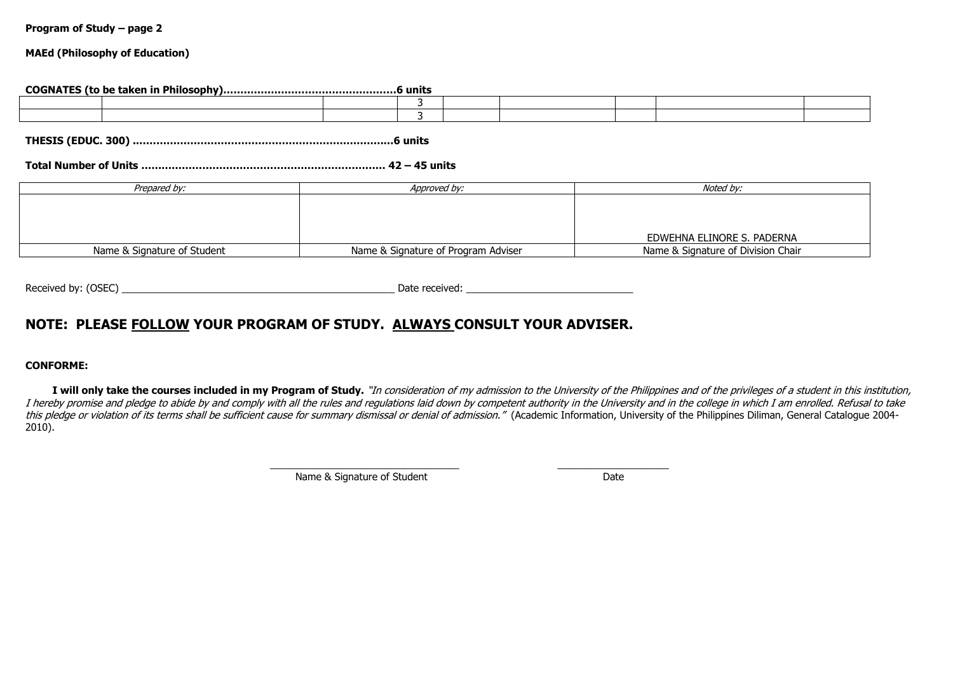#### **MAEd (Philosophy of Education)**

#### **COGNATES (to be taken in Philosophy)……………………………………………6 units**

**THESIS (EDUC. 300) .……………………………………………………………….…6 units**

# **Total Number of Units ……………………………………………………………… 42 – 45 units**

| Prepared by:                | Approved by:                        | Noted by:                          |
|-----------------------------|-------------------------------------|------------------------------------|
|                             |                                     |                                    |
|                             |                                     |                                    |
|                             |                                     |                                    |
|                             |                                     | EDWEHNA ELINORE S. PADERNA         |
|                             |                                     |                                    |
| Name & Signature of Student | Name & Signature of Program Adviser | Name & Signature of Division Chair |

Received by: (OSEC) \_\_\_\_\_\_\_\_\_\_\_\_\_\_\_\_\_\_\_\_\_\_\_\_\_\_\_\_\_\_\_\_\_\_\_\_\_\_\_\_\_\_\_\_\_\_\_\_\_ Date received: \_\_\_\_\_\_\_\_\_\_\_\_\_\_\_\_\_\_\_\_\_\_\_\_\_\_\_\_\_\_

# **NOTE: PLEASE FOLLOW YOUR PROGRAM OF STUDY. ALWAYS CONSULT YOUR ADVISER.**

#### **CONFORME:**

I will only take the courses included in my Program of Study. "In consideration of my admission to the University of the Philippines and of the privileges of a student in this institution, I hereby promise and pledge to abide by and comply with all the rules and regulations laid down by competent authority in the University and in the college in which I am enrolled. Refusal to take this pledge or violation of its terms shall be sufficient cause for summary dismissal or denial of admission." (Academic Information, University of the Philippines Diliman, General Catalogue 2004-2010).

\_\_\_\_\_\_\_\_\_\_\_\_\_\_\_\_\_\_\_\_\_\_\_\_\_\_\_\_\_\_\_\_\_\_ \_\_\_\_\_\_\_\_\_\_\_\_\_\_\_\_\_\_\_\_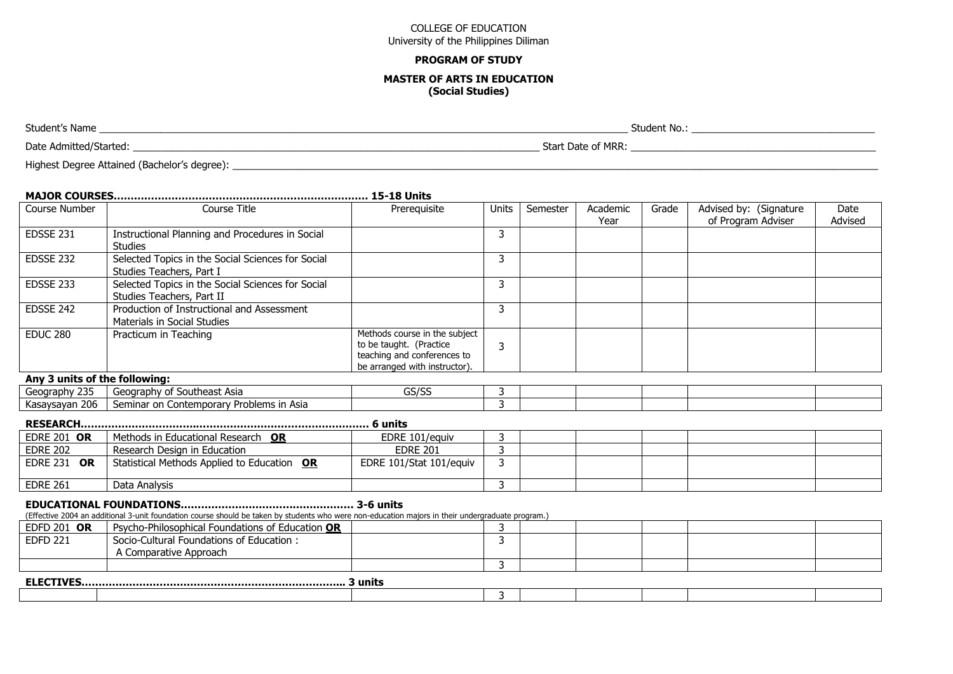#### **PROGRAM OF STUDY**

#### **MASTER OF ARTS IN EDUCATION (Social Studies)**

Student's Name \_\_\_\_\_\_\_\_\_\_\_\_\_\_\_\_\_\_\_\_\_\_\_\_\_\_\_\_\_\_\_\_\_\_\_\_\_\_\_\_\_\_\_\_\_\_\_\_\_\_\_\_\_\_\_\_\_\_\_\_\_\_\_\_\_\_\_\_\_\_\_\_\_\_\_\_\_\_\_\_\_\_\_\_\_\_\_\_\_\_\_\_\_\_\_ Student No.: \_\_\_\_\_\_\_\_\_\_\_\_\_\_\_\_\_\_\_\_\_\_\_\_\_\_\_\_\_\_\_\_\_ Date Admitted/Started: **We are also assumed as a start of MRR** and the Start Date of MRR: **we are also assumed as the Start Date of MRR**:

Highest Degree Attained (Bachelor's degree): \_\_\_\_\_\_\_\_\_\_\_\_\_\_\_\_\_\_\_\_\_\_\_\_\_\_\_\_\_\_\_\_\_\_\_\_\_\_\_\_\_\_\_\_\_\_\_\_\_\_\_\_\_\_\_\_\_\_\_\_\_\_\_\_\_\_\_\_\_\_\_\_\_\_\_\_\_\_\_\_\_\_\_\_\_\_\_\_\_\_\_\_\_\_\_\_\_\_\_\_\_\_\_\_\_\_\_\_\_\_\_\_\_\_\_\_

# **MAJOR COURSES………………………………………………………………… 15-18 Units**

| Course Number                 | Course Title                                                                   | Prerequisite                                                                                                             | Units | Semester | Academic<br>Year | Grade | Advised by: (Signature<br>of Program Adviser | Date<br>Advised |
|-------------------------------|--------------------------------------------------------------------------------|--------------------------------------------------------------------------------------------------------------------------|-------|----------|------------------|-------|----------------------------------------------|-----------------|
| EDSSE 231                     | Instructional Planning and Procedures in Social<br><b>Studies</b>              |                                                                                                                          |       |          |                  |       |                                              |                 |
| EDSSE 232                     | Selected Topics in the Social Sciences for Social<br>Studies Teachers, Part I  |                                                                                                                          | 3     |          |                  |       |                                              |                 |
| EDSSE 233                     | Selected Topics in the Social Sciences for Social<br>Studies Teachers, Part II |                                                                                                                          |       |          |                  |       |                                              |                 |
| EDSSE 242                     | Production of Instructional and Assessment<br>Materials in Social Studies      |                                                                                                                          |       |          |                  |       |                                              |                 |
| <b>EDUC 280</b>               | Practicum in Teaching                                                          | Methods course in the subject<br>to be taught. (Practice<br>teaching and conferences to<br>be arranged with instructor). | 3     |          |                  |       |                                              |                 |
| Any 3 units of the following: |                                                                                |                                                                                                                          |       |          |                  |       |                                              |                 |
| Geography 235                 | Geography of Southeast Asia                                                    | GS/SS                                                                                                                    |       |          |                  |       |                                              |                 |
| Kasaysayan 206 L              | Seminar on Contemporary Problems in Asia                                       |                                                                                                                          |       |          |                  |       |                                              |                 |

|--|--|--|--|--|

Kasaysayan 206 Seminar on Contemporary Problems in Asia 3

| <b>EDRE 201 OR</b>           | Methods in Educational Research OR          | EDRE 101/eauiv          |  |  |  |
|------------------------------|---------------------------------------------|-------------------------|--|--|--|
| <b>EDRE 202</b>              | Research Design in Education                | <b>EDRE 201</b>         |  |  |  |
| <b>EDRE 231</b><br><b>OR</b> | Statistical Methods Applied to Education OR | EDRE 101/Stat 101/equiv |  |  |  |
| <b>EDRE 261</b>              | Data Analysis                               |                         |  |  |  |

#### **EDUCATIONAL FOUNDATIONS…………………………………………… 3-6 units**

(Effective 2004 an additional 3-unit foundation course should be taken by students who were non-education majors in their undergraduate program.)

| EDFD 201 OR     | Psycho-Philosophical Foundations of Education OR |  |  |  |  |  |  |  |  |  |
|-----------------|--------------------------------------------------|--|--|--|--|--|--|--|--|--|
| <b>EDFD 221</b> | Socio-Cultural Foundations of Education:         |  |  |  |  |  |  |  |  |  |
|                 | A Comparative Approach                           |  |  |  |  |  |  |  |  |  |
|                 |                                                  |  |  |  |  |  |  |  |  |  |
| 3 units         |                                                  |  |  |  |  |  |  |  |  |  |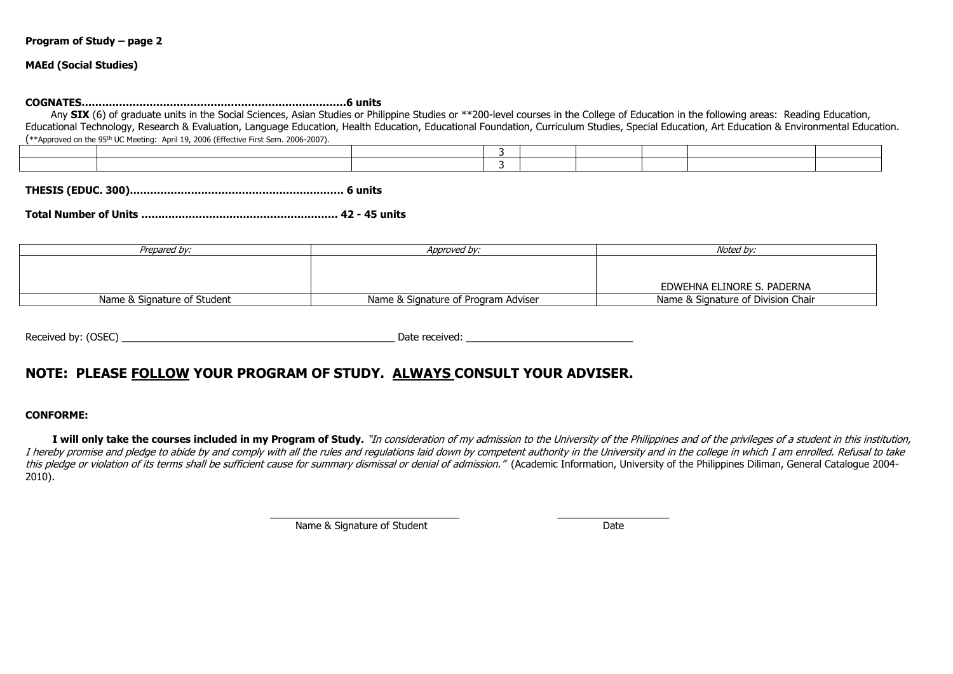**MAEd (Social Studies)**

**COGNATES……………………………………………………………………6 units**

Any **SIX** (6) of graduate units in the Social Sciences, Asian Studies or Philippine Studies or \*\*200-level courses in the College of Education in the following areas: Reading Education, Educational Technology, Research & Evaluation, Language Education, Health Education, Educational Foundation, Curriculum Studies, Special Education, Art Education & Environmental Education. (\*\*Approved on the 95th UC Meeting: April 19, 2006 (Effective First Sem. 2006-2007).

**THESIS (EDUC. 300)……………………………………………………… 6 units** 

**Total Number of Units …………………………………………………. 42 - 45 units**

| Prepared by:                | Approved by:                        | Noted by:                          |
|-----------------------------|-------------------------------------|------------------------------------|
|                             |                                     |                                    |
|                             |                                     |                                    |
|                             |                                     | EDWEHNA ELINORE S. PADERNA         |
| Name & Signature of Student | Name & Signature of Program Adviser | Name & Signature of Division Chair |

Received by: (OSEC) example and the set of the set of the set of the set of the set of the set of the set of the set of the set of the set of the set of the set of the set of the set of the set of the set of the set of the

# **NOTE: PLEASE FOLLOW YOUR PROGRAM OF STUDY. ALWAYS CONSULT YOUR ADVISER.**

#### **CONFORME:**

I will only take the courses included in my Program of Study. "In consideration of my admission to the University of the Philippines and of the privileges of a student in this institution, I hereby promise and pledge to abide by and comply with all the rules and regulations laid down by competent authority in the University and in the college in which I am enrolled. Refusal to take this pledge or violation of its terms shall be sufficient cause for summary dismissal or denial of admission." (Academic Information, University of the Philippines Diliman, General Catalogue 2004-2010).

\_\_\_\_\_\_\_\_\_\_\_\_\_\_\_\_\_\_\_\_\_\_\_\_\_\_\_\_\_\_\_\_\_\_ \_\_\_\_\_\_\_\_\_\_\_\_\_\_\_\_\_\_\_\_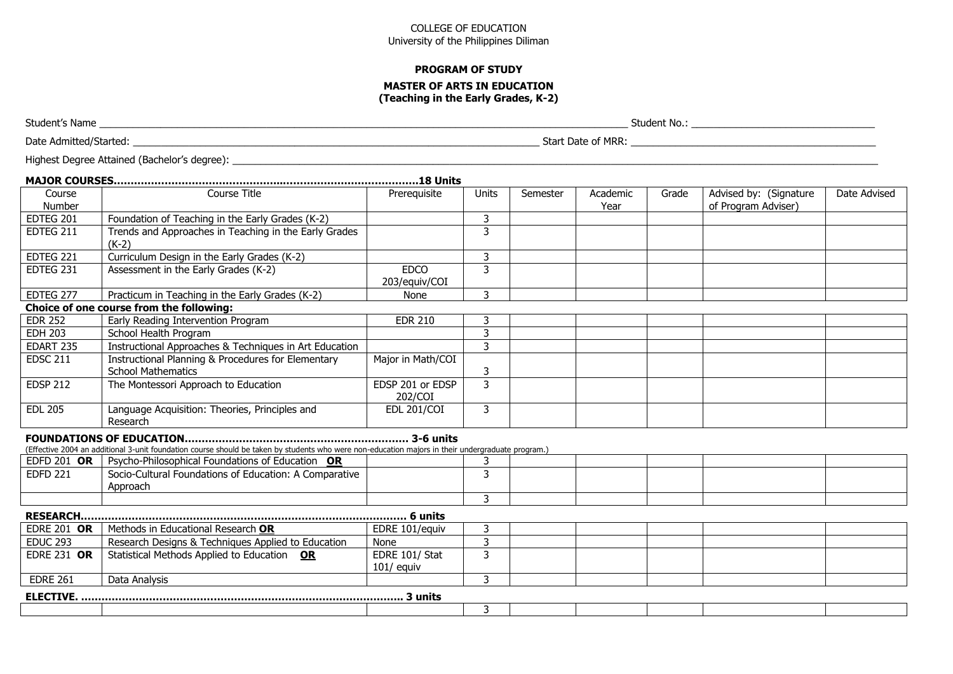#### **PROGRAM OF STUDY**

#### **MASTER OF ARTS IN EDUCATION (Teaching in the Early Grades, K-2)**

Student's Name \_\_\_\_\_\_\_\_\_\_\_\_\_\_\_\_\_\_\_\_\_\_\_\_\_\_\_\_\_\_\_\_\_\_\_\_\_\_\_\_\_\_\_\_\_\_\_\_\_\_\_\_\_\_\_\_\_\_\_\_\_\_\_\_\_\_\_\_\_\_\_\_\_\_\_\_\_\_\_\_\_\_\_\_\_\_\_\_\_\_\_\_\_\_\_ Student No.: \_\_\_\_\_\_\_\_\_\_\_\_\_\_\_\_\_\_\_\_\_\_\_\_\_\_\_\_\_\_\_\_\_

Date Admitted/Started: \_\_\_\_\_\_\_\_\_\_\_\_\_\_\_\_\_\_\_\_\_\_\_\_\_\_\_\_\_\_\_\_\_\_\_\_\_\_\_\_\_\_\_\_\_\_\_\_\_\_\_\_\_\_\_\_\_\_\_\_\_\_\_\_\_\_\_\_\_\_\_\_\_ Start Date of MRR: \_\_\_\_\_\_\_\_\_\_\_\_\_\_\_\_\_\_\_\_\_\_\_\_\_\_\_\_\_\_\_\_\_\_\_\_\_\_\_\_\_\_\_\_

| Highest Degree Attained (Bachelor's degree): _ |  |  |
|------------------------------------------------|--|--|
|------------------------------------------------|--|--|

| Course<br>Number   | Course Title                                                                                                                                      | Prerequisite                   | <b>Units</b> | Semester | Academic<br>Year | Grade | Advised by: (Signature<br>of Program Adviser) | Date Advised |
|--------------------|---------------------------------------------------------------------------------------------------------------------------------------------------|--------------------------------|--------------|----------|------------------|-------|-----------------------------------------------|--------------|
| EDTEG 201          | Foundation of Teaching in the Early Grades (K-2)                                                                                                  |                                | 3            |          |                  |       |                                               |              |
| EDTEG 211          | Trends and Approaches in Teaching in the Early Grades<br>$(K-2)$                                                                                  |                                | 3            |          |                  |       |                                               |              |
| EDTEG 221          | Curriculum Design in the Early Grades (K-2)                                                                                                       |                                | 3            |          |                  |       |                                               |              |
| EDTEG 231          | Assessment in the Early Grades (K-2)                                                                                                              | <b>EDCO</b><br>203/equiv/COI   | 3            |          |                  |       |                                               |              |
| EDTEG 277          | Practicum in Teaching in the Early Grades (K-2)                                                                                                   | None                           | 3            |          |                  |       |                                               |              |
|                    | Choice of one course from the following:                                                                                                          |                                |              |          |                  |       |                                               |              |
| <b>EDR 252</b>     | Early Reading Intervention Program                                                                                                                | <b>EDR 210</b>                 | 3            |          |                  |       |                                               |              |
| <b>EDH 203</b>     | School Health Program                                                                                                                             |                                | 3            |          |                  |       |                                               |              |
| EDART 235          | Instructional Approaches & Techniques in Art Education                                                                                            |                                | 3            |          |                  |       |                                               |              |
| <b>EDSC 211</b>    | Instructional Planning & Procedures for Elementary<br><b>School Mathematics</b>                                                                   | Major in Math/COI              | 3            |          |                  |       |                                               |              |
| <b>EDSP 212</b>    | The Montessori Approach to Education                                                                                                              | EDSP 201 or EDSP<br>202/COI    | 3            |          |                  |       |                                               |              |
| <b>EDL 205</b>     | Language Acquisition: Theories, Principles and<br>Research                                                                                        | <b>EDL 201/COI</b>             | 3            |          |                  |       |                                               |              |
|                    | (Effective 2004 an additional 3-unit foundation course should be taken by students who were non-education majors in their undergraduate program.) |                                |              |          |                  |       |                                               |              |
| EDFD 201 OR        | Psycho-Philosophical Foundations of Education OR                                                                                                  |                                | 3            |          |                  |       |                                               |              |
| <b>EDFD 221</b>    | Socio-Cultural Foundations of Education: A Comparative<br>Approach                                                                                |                                | 3            |          |                  |       |                                               |              |
|                    |                                                                                                                                                   |                                | 3            |          |                  |       |                                               |              |
| <b>RESEARCH</b>    |                                                                                                                                                   |                                |              |          |                  |       |                                               |              |
| <b>EDRE 201 OR</b> | Methods in Educational Research OR                                                                                                                | EDRE 101/equiv                 | 3            |          |                  |       |                                               |              |
| <b>EDUC 293</b>    | Research Designs & Techniques Applied to Education                                                                                                | None                           | 3            |          |                  |       |                                               |              |
| <b>EDRE 231 OR</b> | Statistical Methods Applied to Education OR                                                                                                       | EDRE 101/ Stat<br>$101/$ equiv | 3            |          |                  |       |                                               |              |
| <b>EDRE 261</b>    | Data Analysis                                                                                                                                     |                                | 3            |          |                  |       |                                               |              |
|                    |                                                                                                                                                   |                                |              |          |                  |       |                                               |              |
|                    |                                                                                                                                                   |                                | 3            |          |                  |       |                                               |              |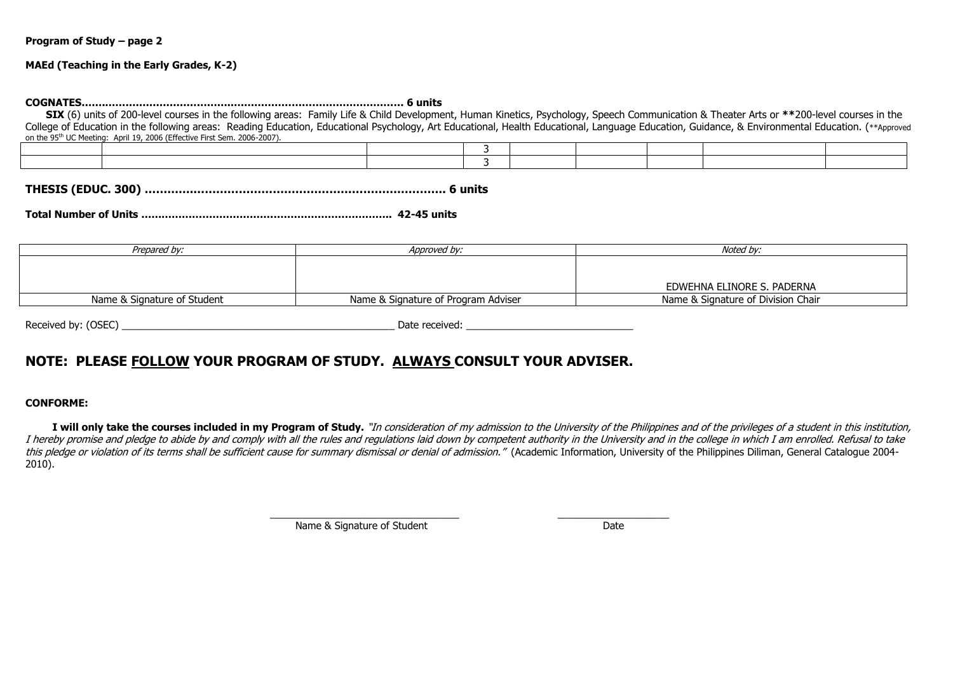#### **MAEd (Teaching in the Early Grades, K-2)**

**COGNATES…….……………………………….…………………………………………… 6 units**

**SIX** (6) units of 200-level courses in the following areas: Family Life & Child Development, Human Kinetics, Psychology, Speech Communication & Theater Arts or **\*\***200-level courses in the College of Education in the following areas: Reading Education, Educational Psychology, Art Educational, Health Educational, Language Education, Guidance, & Environmental Education. (\*\*Approved on the 95th UC Meeting: April 19, 2006 (Effective First Sem. 2006-2007).

**THESIS (EDUC. 300) ………….…………………………………………………………. 6 units**

**Total Number of Units ……………………………………………………………….. 42-45 units**

| Approved by:                        | Noted by:                          |
|-------------------------------------|------------------------------------|
|                                     |                                    |
|                                     |                                    |
|                                     | EDWEHNA ELINORE S. PADERNA         |
| Name & Signature of Program Adviser | Name & Signature of Division Chair |
|                                     |                                    |

| (OSEC)<br>Received by: | Date<br>received |
|------------------------|------------------|
|                        |                  |

# **NOTE: PLEASE FOLLOW YOUR PROGRAM OF STUDY. ALWAYS CONSULT YOUR ADVISER.**

#### **CONFORME:**

I will only take the courses included in my Program of Study. "In consideration of my admission to the University of the Philippines and of the privileges of a student in this institution, I hereby promise and pledge to abide by and comply with all the rules and regulations laid down by competent authority in the University and in the college in which I am enrolled. Refusal to take this pledge or violation of its terms shall be sufficient cause for summary dismissal or denial of admission." (Academic Information, University of the Philippines Diliman, General Catalogue 2004-2010).

\_\_\_\_\_\_\_\_\_\_\_\_\_\_\_\_\_\_\_\_\_\_\_\_\_\_\_\_\_\_\_\_\_\_ \_\_\_\_\_\_\_\_\_\_\_\_\_\_\_\_\_\_\_\_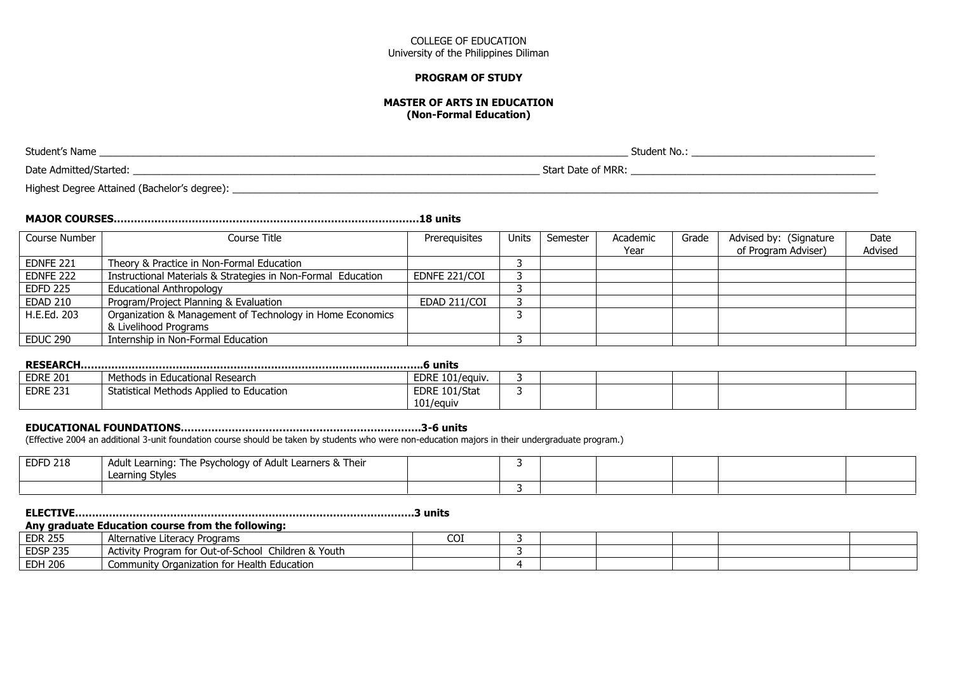#### **PROGRAM OF STUDY**

#### **MASTER OF ARTS IN EDUCATION (Non-Formal Education)**

Student's Name \_\_\_\_\_\_\_\_\_\_\_\_\_\_\_\_\_\_\_\_\_\_\_\_\_\_\_\_\_\_\_\_\_\_\_\_\_\_\_\_\_\_\_\_\_\_\_\_\_\_\_\_\_\_\_\_\_\_\_\_\_\_\_\_\_\_\_\_\_\_\_\_\_\_\_\_\_\_\_\_\_\_\_\_\_\_\_\_\_\_\_\_\_\_\_ Student No.: \_\_\_\_\_\_\_\_\_\_\_\_\_\_\_\_\_\_\_\_\_\_\_\_\_\_\_\_\_\_\_\_\_

Date Admitted/Started: \_\_\_\_\_\_\_\_\_\_\_\_\_\_\_\_\_\_\_\_\_\_\_\_\_\_\_\_\_\_\_\_\_\_\_\_\_\_\_\_\_\_\_\_\_\_\_\_\_\_\_\_\_\_\_\_\_\_\_\_\_\_\_\_\_\_\_\_\_\_\_\_\_ Start Date of MRR: \_\_\_\_\_\_\_\_\_\_\_\_\_\_\_\_\_\_\_\_\_\_\_\_\_\_\_\_\_\_\_\_\_\_\_\_\_\_\_\_\_\_\_\_

Highest Degree Attained (Bachelor's degree): <br>
and the state of the state of the state of the state of the state of the state of the state of the state of t

# **MAJOR COURSES………………………………………………………………………………18 units**

| Course Number   | Course Title                                                 | Prerequisites | Units | Semester | Academic | Grade | Advised by: (Signature | Date    |
|-----------------|--------------------------------------------------------------|---------------|-------|----------|----------|-------|------------------------|---------|
|                 |                                                              |               |       |          | Year     |       | of Program Adviser)    | Advised |
| EDNFE 221       | Theory & Practice in Non-Formal Education                    |               |       |          |          |       |                        |         |
| EDNFE 222       | Instructional Materials & Strategies in Non-Formal Education | EDNFE 221/COI |       |          |          |       |                        |         |
| <b>EDFD 225</b> | <b>Educational Anthropology</b>                              |               |       |          |          |       |                        |         |
| <b>EDAD 210</b> | Program/Project Planning & Evaluation                        | EDAD 211/COI  |       |          |          |       |                        |         |
| H.E.Ed. 203     | Organization & Management of Technology in Home Economics    |               |       |          |          |       |                        |         |
|                 | & Livelihood Programs                                        |               |       |          |          |       |                        |         |
| <b>EDUC 290</b> | Internship in Non-Formal Education                           |               |       |          |          |       |                        |         |

| <b>EDRE 201</b> | Methods in Educational Research          | EDRE 101/eauiv. |  |  |  |  |  |
|-----------------|------------------------------------------|-----------------|--|--|--|--|--|
| <b>EDRE 231</b> | Statistical Methods Applied to Education | EDRE 101/Stat   |  |  |  |  |  |
|                 |                                          | 101/equiv       |  |  |  |  |  |

#### **EDUCATIONAL FOUNDATIONS……………………………….…………………………….3-6 units**

(Effective 2004 an additional 3-unit foundation course should be taken by students who were non-education majors in their undergraduate program.)

| <b>EDFD 218</b> | I Adult Learning: The Psychology of Adult Learners & Their<br>Learning Styles |  |  |  |  |
|-----------------|-------------------------------------------------------------------------------|--|--|--|--|
|                 |                                                                               |  |  |  |  |

### **ELECTIVE……………………………………………………………………………………….3 units**

#### **Any graduate Education course from the following:**

| <b>EDR 255</b>  | Alternative<br>: Literacy Programs                                 | COI |  |  |  |
|-----------------|--------------------------------------------------------------------|-----|--|--|--|
| <b>EDSP 235</b> | Children & Youth<br><b>Activity Program</b><br>า for Out-of-School |     |  |  |  |
| <b>EDH 206</b>  | Community Organization for Health Education                        |     |  |  |  |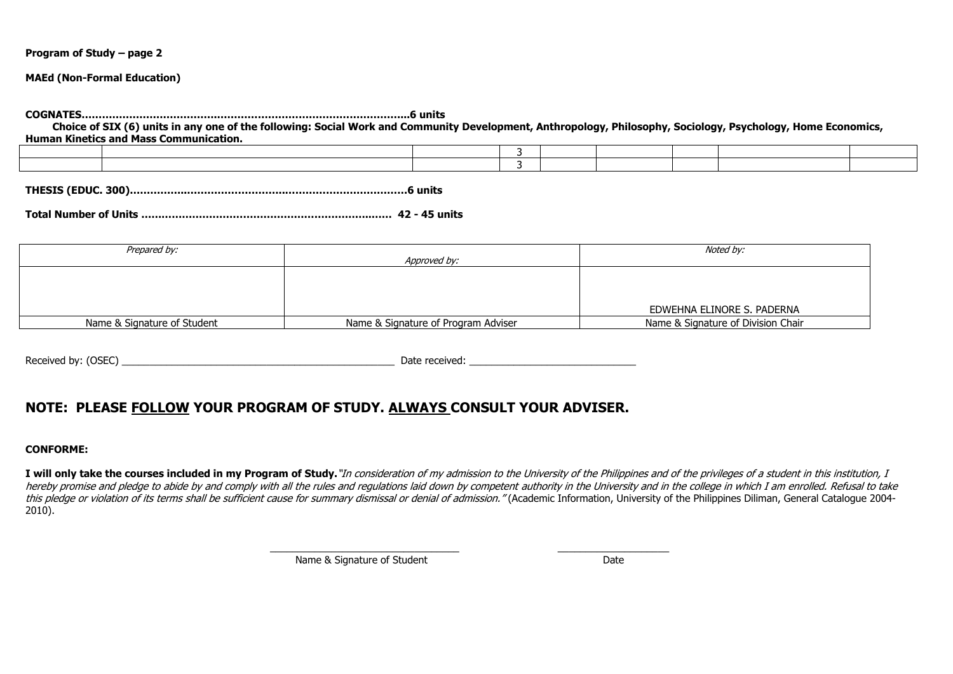### **MAEd (Non-Formal Education)**

**COGNATES………………………………….………………………………………………...6 units Choice of SIX (6) units in any one of the following: Social Work and Community Development, Anthropology, Philosophy, Sociology, Psychology, Home Economics, Human Kinetics and Mass Communication.**

**THESIS (EDUC. 300)……………..………………………..………………………………6 units**

**Total Number of Units …………………………………………………………..…… 42 - 45 units**

| Prepared by:                |                                     | Noted by:                          |
|-----------------------------|-------------------------------------|------------------------------------|
|                             | Approved by:                        |                                    |
|                             |                                     |                                    |
|                             |                                     |                                    |
|                             |                                     |                                    |
|                             |                                     | EDWEHNA ELINORE S. PADERNA         |
| Name & Signature of Student | Name & Signature of Program Adviser | Name & Signature of Division Chair |

Received by: (OSEC) examples a set of the set of the set of the set of the set of the set of the set of the set of the set of the set of the set of the set of the set of the set of the set of the set of the set of the set

# **NOTE: PLEASE FOLLOW YOUR PROGRAM OF STUDY. ALWAYS CONSULT YOUR ADVISER.**

#### **CONFORME:**

I will only take the courses included in my Program of Study."In consideration of my admission to the University of the Philippines and of the privileges of a student in this institution, I hereby promise and pledge to abide by and comply with all the rules and regulations laid down by competent authority in the University and in the college in which I am enrolled. Refusal to take this pledge or violation of its terms shall be sufficient cause for summary dismissal or denial of admission." (Academic Information, University of the Philippines Diliman, General Catalogue 2004-2010).

\_\_\_\_\_\_\_\_\_\_\_\_\_\_\_\_\_\_\_\_\_\_\_\_\_\_\_\_\_\_\_\_\_\_ \_\_\_\_\_\_\_\_\_\_\_\_\_\_\_\_\_\_\_\_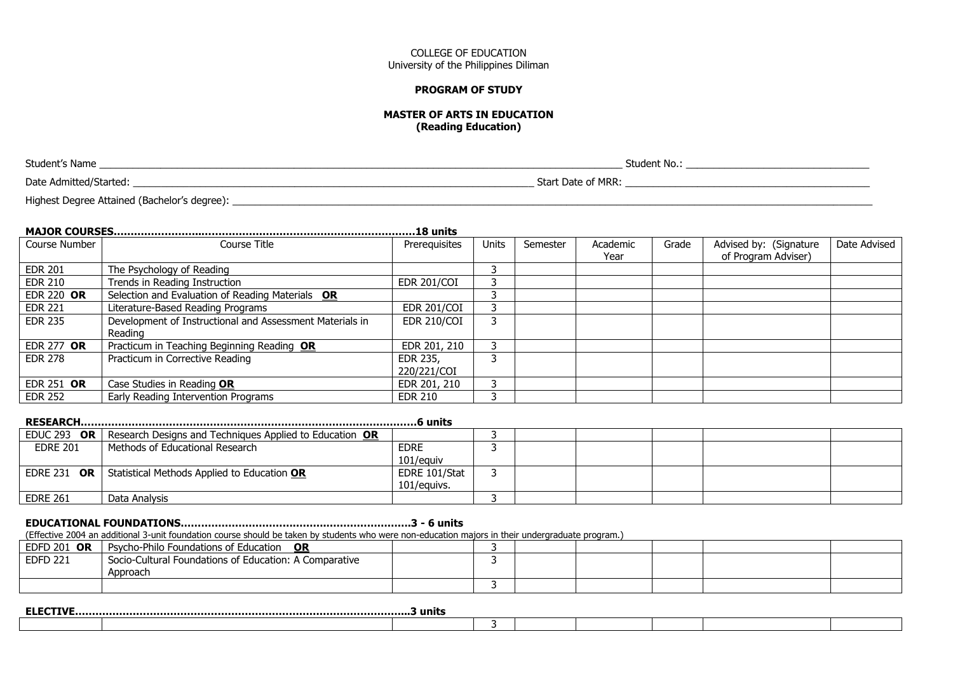### **PROGRAM OF STUDY**

#### **MASTER OF ARTS IN EDUCATION (Reading Education)**

| Student's Name                               | Student No.:       |
|----------------------------------------------|--------------------|
| Date Admitted/Started:                       | Start Date of MRR: |
| Highest Degree Attained (Bachelor's degree): |                    |

### **MAJOR COURSES……………………..………………………………………………………18 units**

| Course Number     | Course Title                                             | Prerequisites      | <b>Units</b> | Semester | Academic | Grade | Advised by: (Signature | Date Advised |
|-------------------|----------------------------------------------------------|--------------------|--------------|----------|----------|-------|------------------------|--------------|
|                   |                                                          |                    |              |          | Year     |       | of Program Adviser)    |              |
| <b>EDR 201</b>    | The Psychology of Reading                                |                    |              |          |          |       |                        |              |
| EDR 210           | Trends in Reading Instruction                            | <b>EDR 201/COI</b> | <u>ີ</u>     |          |          |       |                        |              |
| <b>EDR 220 OR</b> | Selection and Evaluation of Reading Materials OR         |                    |              |          |          |       |                        |              |
| <b>EDR 221</b>    | Literature-Based Reading Programs                        | <b>EDR 201/COI</b> |              |          |          |       |                        |              |
| <b>EDR 235</b>    | Development of Instructional and Assessment Materials in | <b>EDR 210/COI</b> | 3            |          |          |       |                        |              |
|                   | Reading                                                  |                    |              |          |          |       |                        |              |
| EDR 277 OR        | Practicum in Teaching Beginning Reading OR               | EDR 201, 210       |              |          |          |       |                        |              |
| <b>EDR 278</b>    | Practicum in Corrective Reading                          | EDR 235,           |              |          |          |       |                        |              |
|                   |                                                          | 220/221/COI        |              |          |          |       |                        |              |
| EDR 251 OR        | Case Studies in Reading OR                               | EDR 201, 210       |              |          |          |       |                        |              |
| <b>EDR 252</b>    | Early Reading Intervention Programs                      | <b>EDR 210</b>     |              |          |          |       |                        |              |

| EDUC 293 OR            | Research Designs and Techniques Applied to Education OR |               |  |  |  |  |  |  |
|------------------------|---------------------------------------------------------|---------------|--|--|--|--|--|--|
| <b>EDRE 201</b>        | Methods of Educational Research                         | <b>EDRE</b>   |  |  |  |  |  |  |
|                        |                                                         | 101/equiv     |  |  |  |  |  |  |
| <b>EDRE 231</b><br>OR. | Statistical Methods Applied to Education OR             | EDRE 101/Stat |  |  |  |  |  |  |
|                        |                                                         | 101/eauivs.   |  |  |  |  |  |  |
| <b>EDRE 261</b>        | Data Analysis                                           |               |  |  |  |  |  |  |

#### **EDUCATIONAL FOUNDATIONS…………………………………….…………………….3 - 6 units**

(Effective 2004 an additional 3-unit foundation course should be taken by students who were non-education majors in their undergraduate program.)

| <b>EDFD 201 OR</b> | Psycho-Philo Foundations of Education<br>0R                        |  |  |  |  |
|--------------------|--------------------------------------------------------------------|--|--|--|--|
| <b>EDFD 221</b>    | Socio-Cultural Foundations of Education: A Comparative<br>Approach |  |  |  |  |
|                    |                                                                    |  |  |  |  |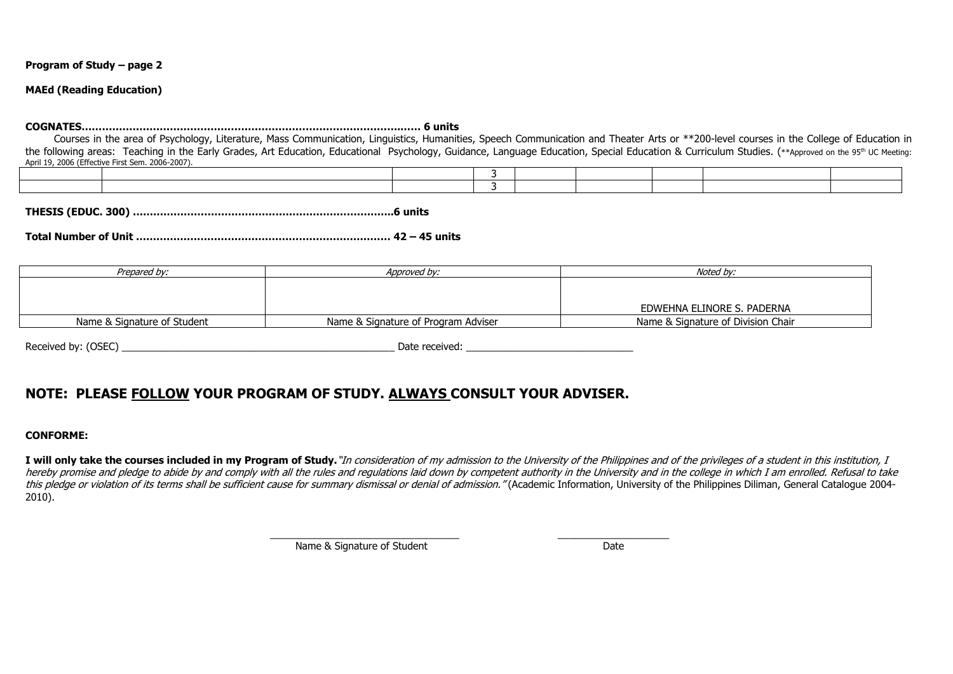#### **MAEd (Reading Education)**

#### **COGNATES………………………………………………………………………………….…… 6 units**

Courses in the area of Psychology, Literature, Mass Communication, Linguistics, Humanities, Speech Communication and Theater Arts or \*\*200-level courses in the College of Education in the following areas: Teaching in the Early Grades, Art Education, Educational Psychology, Guidance, Language Education, Special Education & Curriculum Studies. (\*\*Approved on the 95<sup>th</sup> UC Meeting: April 19, 2006 (Effective First Sem. 2006-2007).

**THESIS (EDUC. 300) …………………………………………………………………..6 units**

**Total Number of Unit ………………………………………………………………… 42 – 45 units**

| Prepared by:                | Approved bv:                        | Noted by:                          |  |  |  |  |
|-----------------------------|-------------------------------------|------------------------------------|--|--|--|--|
|                             |                                     |                                    |  |  |  |  |
|                             |                                     |                                    |  |  |  |  |
|                             |                                     | EDWEHNA ELINORE S. PADERNA         |  |  |  |  |
| Name & Signature of Student | Name & Signature of Program Adviser | Name & Signature of Division Chair |  |  |  |  |

Received by: (OSEC) example and the set of the second part of the second part of the second of the second part of the second part of the second part of the second part of the second part of the second part of the second pa

# **NOTE: PLEASE FOLLOW YOUR PROGRAM OF STUDY. ALWAYS CONSULT YOUR ADVISER.**

### **CONFORME:**

I will only take the courses included in my Program of Study."In consideration of my admission to the University of the Philippines and of the privileges of a student in this institution, I hereby promise and pledge to abide by and comply with all the rules and regulations laid down by competent authority in the University and in the college in which I am enrolled. Refusal to take this pledge or violation of its terms shall be sufficient cause for summary dismissal or denial of admission." (Academic Information, University of the Philippines Diliman, General Catalogue 2004-2010).

\_\_\_\_\_\_\_\_\_\_\_\_\_\_\_\_\_\_\_\_\_\_\_\_\_\_\_\_\_\_\_\_\_\_ \_\_\_\_\_\_\_\_\_\_\_\_\_\_\_\_\_\_\_\_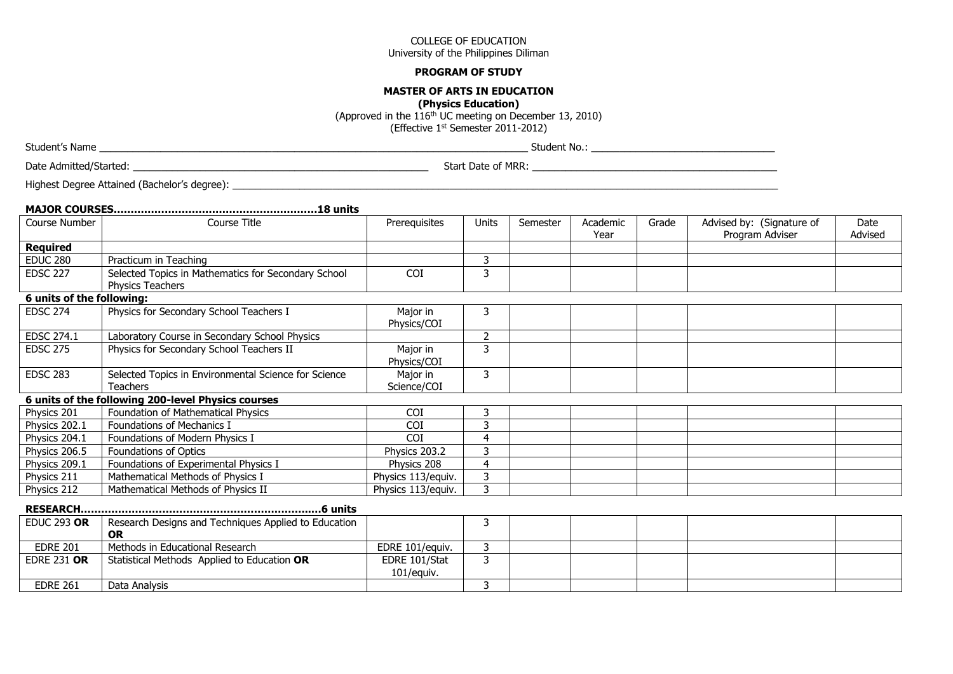#### **PROGRAM OF STUDY**

#### **MASTER OF ARTS IN EDUCATION**

**(Physics Education)**

(Approved in the 116th UC meeting on December 13, 2010) (Effective 1st Semester 2011-2012)

Date Admitted/Started: 2002 and 2003 and 2003 and 2003 and 2003 and 2003 and 2003 and 2003 and 2003 and 2003 and 2003 and 2003 and 2003 and 2003 and 2003 and 2003 and 2003 and 2003 and 2003 and 2003 and 2003 and 2003 and 2

Highest Degree Attained (Bachelor's degree): \_\_\_\_\_\_\_\_\_\_\_\_\_\_\_\_\_\_\_\_\_\_\_\_\_\_\_\_\_\_\_\_\_\_\_\_\_\_\_\_\_\_\_\_\_\_\_\_\_\_\_\_\_\_\_\_\_\_\_\_\_\_\_\_\_\_\_\_\_\_\_\_\_\_\_\_\_\_\_\_\_\_\_\_\_\_\_\_\_\_\_\_\_\_\_\_\_\_

| Course Number             | Course Title                                                                   | Prerequisites               | Units          | Semester | Academic<br>Year | Grade | Advised by: (Signature of<br>Program Adviser | Date<br>Advised |
|---------------------------|--------------------------------------------------------------------------------|-----------------------------|----------------|----------|------------------|-------|----------------------------------------------|-----------------|
| <b>Required</b>           |                                                                                |                             |                |          |                  |       |                                              |                 |
| <b>EDUC 280</b>           | Practicum in Teaching                                                          |                             | 3              |          |                  |       |                                              |                 |
| <b>EDSC 227</b>           | Selected Topics in Mathematics for Secondary School<br><b>Physics Teachers</b> | COI                         | 3              |          |                  |       |                                              |                 |
| 6 units of the following: |                                                                                |                             |                |          |                  |       |                                              |                 |
| <b>EDSC 274</b>           | Physics for Secondary School Teachers I                                        | Major in<br>Physics/COI     | 3              |          |                  |       |                                              |                 |
| EDSC 274.1                | Laboratory Course in Secondary School Physics                                  |                             | $\overline{2}$ |          |                  |       |                                              |                 |
| <b>EDSC 275</b>           | Physics for Secondary School Teachers II                                       | Major in<br>Physics/COI     | 3              |          |                  |       |                                              |                 |
| <b>EDSC 283</b>           | Selected Topics in Environmental Science for Science<br><b>Teachers</b>        | Major in<br>Science/COI     | 3              |          |                  |       |                                              |                 |
|                           | 6 units of the following 200-level Physics courses                             |                             |                |          |                  |       |                                              |                 |
| Physics 201               | Foundation of Mathematical Physics                                             | COI                         | 3              |          |                  |       |                                              |                 |
| Physics 202.1             | Foundations of Mechanics I                                                     | COI                         | 3              |          |                  |       |                                              |                 |
| Physics 204.1             | Foundations of Modern Physics I                                                | COI                         | 4              |          |                  |       |                                              |                 |
| Physics 206.5             | Foundations of Optics                                                          | Physics 203.2               | 3              |          |                  |       |                                              |                 |
| Physics 209.1             | Foundations of Experimental Physics I                                          | Physics 208                 | 4              |          |                  |       |                                              |                 |
| Physics 211               | Mathematical Methods of Physics I                                              | Physics 113/equiv.          | 3              |          |                  |       |                                              |                 |
| Physics 212               | Mathematical Methods of Physics II                                             | Physics 113/equiv.          | 3              |          |                  |       |                                              |                 |
|                           |                                                                                |                             |                |          |                  |       |                                              |                 |
| <b>EDUC 293 OR</b>        | Research Designs and Techniques Applied to Education<br><b>OR</b>              |                             | 3              |          |                  |       |                                              |                 |
| <b>EDRE 201</b>           | Methods in Educational Research                                                | EDRE 101/equiv.             | 3              |          |                  |       |                                              |                 |
| <b>EDRE 231 OR</b>        | Statistical Methods Applied to Education OR                                    | EDRE 101/Stat<br>101/equiv. | $\overline{3}$ |          |                  |       |                                              |                 |
| <b>EDRE 261</b>           | Data Analysis                                                                  |                             | 3              |          |                  |       |                                              |                 |

Student's Name \_\_\_\_\_\_\_\_\_\_\_\_\_\_\_\_\_\_\_\_\_\_\_\_\_\_\_\_\_\_\_\_\_\_\_\_\_\_\_\_\_\_\_\_\_\_\_\_\_\_\_\_\_\_\_\_\_\_\_\_\_\_\_\_\_\_\_\_\_\_\_\_\_\_\_\_\_ Student No.: \_\_\_\_\_\_\_\_\_\_\_\_\_\_\_\_\_\_\_\_\_\_\_\_\_\_\_\_\_\_\_\_\_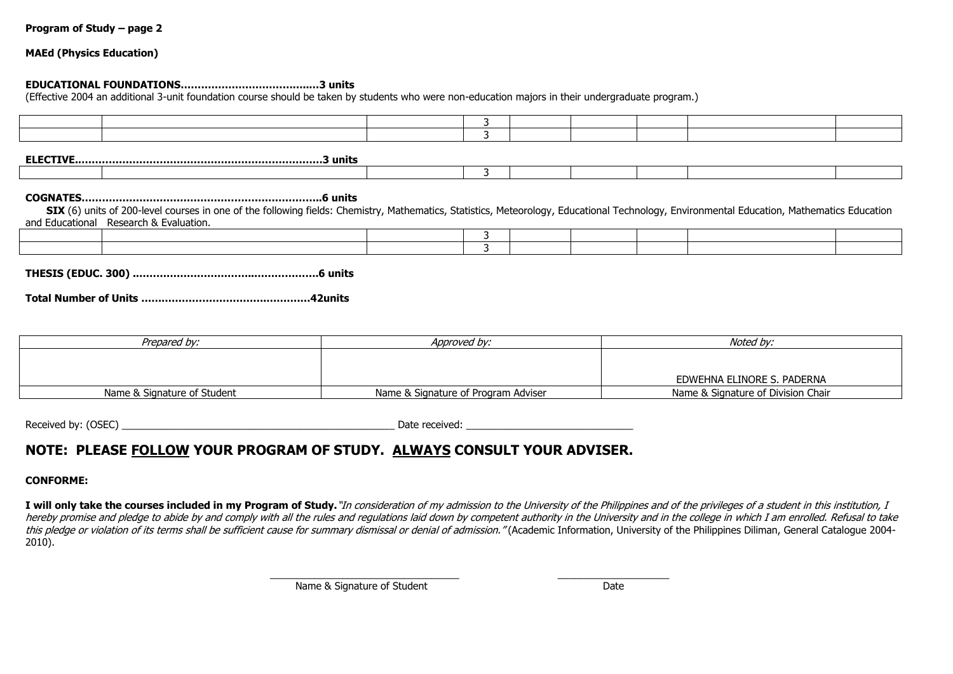### **MAEd (Physics Education)**

#### **EDUCATIONAL FOUNDATIONS………………………………..…3 units**

(Effective 2004 an additional 3-unit foundation course should be taken by students who were non-education majors in their undergraduate program.)

3

**ELECTIVE.………………………………………………………………3 units**

#### **COGNATES……………………………………………………………..6 units**

**SIX** (6) units of 200-level courses in one of the following fields: Chemistry, Mathematics, Statistics, Meteorology, Educational Technology, Environmental Education, Mathematics Education and Educational Research & Evaluation.

**THESIS (EDUC. 300) .……………………………..……………….6 units**

**Total Number of Units ……………………………….……….…42units**

| Prepared by:                | Approved by:                        | Noted bv:                          |
|-----------------------------|-------------------------------------|------------------------------------|
|                             |                                     |                                    |
|                             |                                     |                                    |
|                             |                                     | EDWEHNA ELINORE S. PADERNA         |
| Name & Signature of Student | Name & Signature of Program Adviser | Name & Signature of Division Chair |

Received by: (OSEC) example and the set of the set of the set of the set of the set of the set of the set of the set of the set of the set of the set of the set of the set of the set of the set of the set of the set of the

# **NOTE: PLEASE FOLLOW YOUR PROGRAM OF STUDY. ALWAYS CONSULT YOUR ADVISER.**

### **CONFORME:**

I will only take the courses included in my Program of Study."In consideration of my admission to the University of the Philippines and of the privileges of a student in this institution, I hereby promise and pledge to abide by and comply with all the rules and regulations laid down by competent authority in the University and in the college in which I am enrolled. Refusal to take this pledge or violation of its terms shall be sufficient cause for summary dismissal or denial of admission." (Academic Information, University of the Philippines Diliman, General Catalogue 2004-2010).

\_\_\_\_\_\_\_\_\_\_\_\_\_\_\_\_\_\_\_\_\_\_\_\_\_\_\_\_\_\_\_\_\_\_ \_\_\_\_\_\_\_\_\_\_\_\_\_\_\_\_\_\_\_\_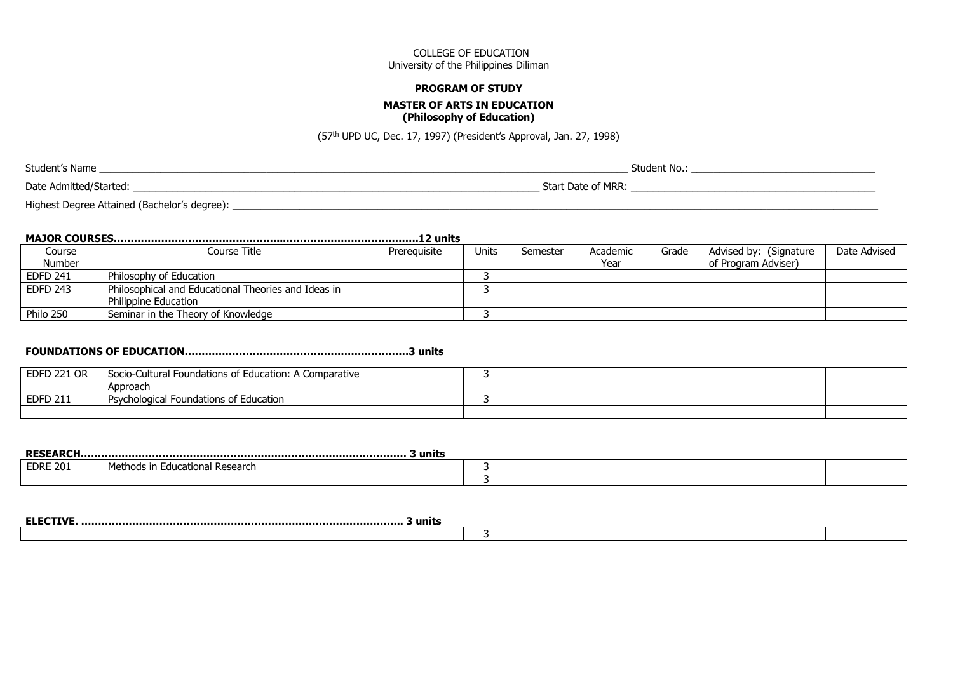#### **PROGRAM OF STUDY**

# **MASTER OF ARTS IN EDUCATION**

# **(Philosophy of Education)**

(57th UPD UC, Dec. 17, 1997) (President's Approval, Jan. 27, 1998)

Student's Name \_\_\_\_\_\_\_\_\_\_\_\_\_\_\_\_\_\_\_\_\_\_\_\_\_\_\_\_\_\_\_\_\_\_\_\_\_\_\_\_\_\_\_\_\_\_\_\_\_\_\_\_\_\_\_\_\_\_\_\_\_\_\_\_\_\_\_\_\_\_\_\_\_\_\_\_\_\_\_\_\_\_\_\_\_\_\_\_\_\_\_\_\_\_\_ Student No.: \_\_\_\_\_\_\_\_\_\_\_\_\_\_\_\_\_\_\_\_\_\_\_\_\_\_\_\_\_\_\_\_\_

Date Admitted/Started: \_\_\_\_\_\_\_\_\_\_\_\_\_\_\_\_\_\_\_\_\_\_\_\_\_\_\_\_\_\_\_\_\_\_\_\_\_\_\_\_\_\_\_\_\_\_\_\_\_\_\_\_\_\_\_\_\_\_\_\_\_\_\_\_\_\_\_\_\_\_\_\_\_ Start Date of MRR: \_\_\_\_\_\_\_\_\_\_\_\_\_\_\_\_\_\_\_\_\_\_\_\_\_\_\_\_\_\_\_\_\_\_\_\_\_\_\_\_\_\_\_\_

Highest Degree Attained (Bachelor's degree): \_\_\_\_\_\_\_\_\_\_\_\_\_\_\_\_\_\_\_\_\_\_\_\_\_\_\_\_\_\_\_\_\_\_\_\_\_\_\_\_\_\_\_\_\_\_\_\_\_\_\_\_\_\_\_\_\_\_\_\_\_\_\_\_\_\_\_\_\_\_\_\_\_\_\_\_\_\_\_\_\_\_\_\_\_\_\_\_\_\_\_\_\_\_\_\_\_\_\_\_\_\_\_\_\_\_\_\_\_\_\_\_\_\_\_\_

# **MAJOR COURSES…………………………………………..………………………………….12 units**

| Course          | Course Title                                        | Prereguisite | Jnits | Semester | Academic | Grade | Advised by: (Signature | Date Advised |
|-----------------|-----------------------------------------------------|--------------|-------|----------|----------|-------|------------------------|--------------|
| Number          |                                                     |              |       |          | Year     |       | of Program Adviser)    |              |
| <b>EDFD 241</b> | Philosophy of Education                             |              |       |          |          |       |                        |              |
| <b>EDFD 243</b> | Philosophical and Educational Theories and Ideas in |              |       |          |          |       |                        |              |
|                 | <b>Philippine Education</b>                         |              |       |          |          |       |                        |              |
| Philo 250       | Seminar in the Theory of Knowledge                  |              |       |          |          |       |                        |              |

# **FOUNDATIONS OF EDUCATION…………………………………………………………3 units**

| <b>EDFD 221 OR</b> | Socio-Cultural Foundations of Education: A Comparative |  |  |  |  |
|--------------------|--------------------------------------------------------|--|--|--|--|
|                    | Approach                                               |  |  |  |  |
| <b>EDFD 211</b>    | Psychological Foundations of Education                 |  |  |  |  |
|                    |                                                        |  |  |  |  |

| <b>RESEARCH.</b><br>3 units |                                |  |  |  |  |  |  |
|-----------------------------|--------------------------------|--|--|--|--|--|--|
| <b>EDRE 201</b>             | Educational Research<br>uhods. |  |  |  |  |  |  |
|                             |                                |  |  |  |  |  |  |

| гім<br>. | 3 units |  |  |  |  |
|----------|---------|--|--|--|--|
|          |         |  |  |  |  |